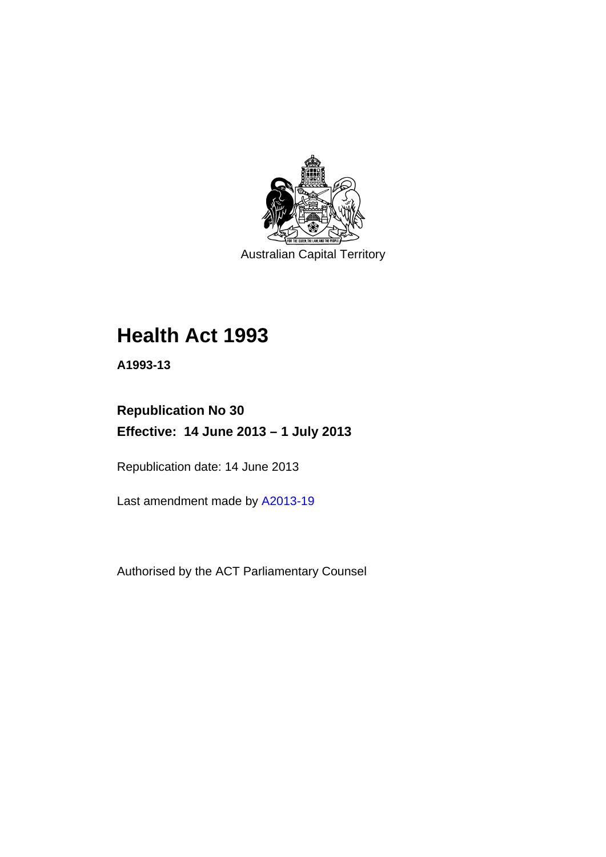

Australian Capital Territory

# **Health Act 1993**

**A1993-13** 

## **Republication No 30 Effective: 14 June 2013 – 1 July 2013**

Republication date: 14 June 2013

Last amendment made by [A2013-19](http://www.legislation.act.gov.au/a/2013-19)

Authorised by the ACT Parliamentary Counsel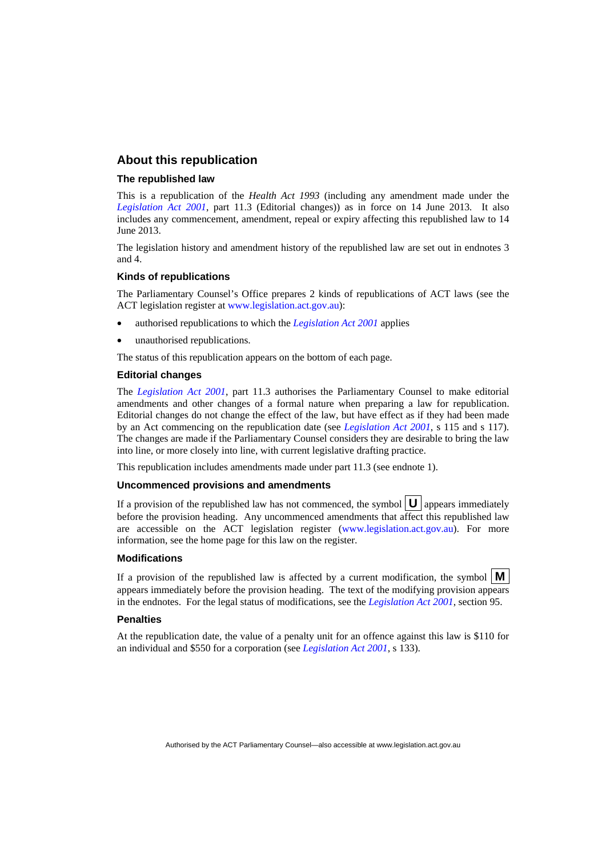#### **About this republication**

#### **The republished law**

This is a republication of the *Health Act 1993* (including any amendment made under the *[Legislation Act 2001](http://www.legislation.act.gov.au/a/2001-14)*, part 11.3 (Editorial changes)) as in force on 14 June 2013*.* It also includes any commencement, amendment, repeal or expiry affecting this republished law to 14 June 2013.

The legislation history and amendment history of the republished law are set out in endnotes 3 and 4.

#### **Kinds of republications**

The Parliamentary Counsel's Office prepares 2 kinds of republications of ACT laws (see the ACT legislation register at [www.legislation.act.gov.au](http://www.legislation.act.gov.au/)):

- authorised republications to which the *[Legislation Act 2001](http://www.legislation.act.gov.au/a/2001-14)* applies
- unauthorised republications.

The status of this republication appears on the bottom of each page.

#### **Editorial changes**

The *[Legislation Act 2001](http://www.legislation.act.gov.au/a/2001-14)*, part 11.3 authorises the Parliamentary Counsel to make editorial amendments and other changes of a formal nature when preparing a law for republication. Editorial changes do not change the effect of the law, but have effect as if they had been made by an Act commencing on the republication date (see *[Legislation Act 2001](http://www.legislation.act.gov.au/a/2001-14)*, s 115 and s 117). The changes are made if the Parliamentary Counsel considers they are desirable to bring the law into line, or more closely into line, with current legislative drafting practice.

This republication includes amendments made under part 11.3 (see endnote 1).

#### **Uncommenced provisions and amendments**

If a provision of the republished law has not commenced, the symbol  $\mathbf{U}$  appears immediately before the provision heading. Any uncommenced amendments that affect this republished law are accessible on the ACT legislation register [\(www.legislation.act.gov.au\)](http://www.legislation.act.gov.au/). For more information, see the home page for this law on the register.

#### **Modifications**

If a provision of the republished law is affected by a current modification, the symbol  $\mathbf{M}$ appears immediately before the provision heading. The text of the modifying provision appears in the endnotes. For the legal status of modifications, see the *[Legislation Act 2001](http://www.legislation.act.gov.au/a/2001-14)*, section 95.

#### **Penalties**

At the republication date, the value of a penalty unit for an offence against this law is \$110 for an individual and \$550 for a corporation (see *[Legislation Act 2001](http://www.legislation.act.gov.au/a/2001-14)*, s 133).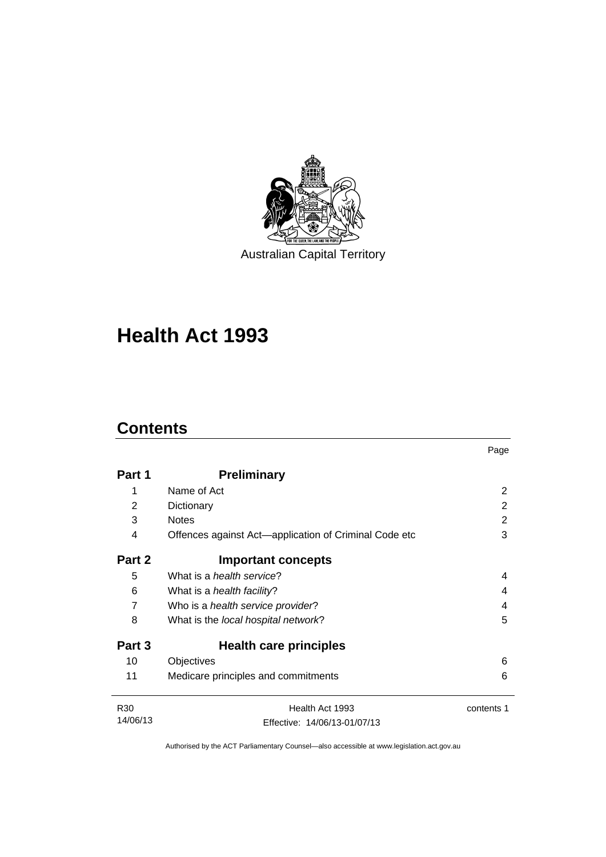

Australian Capital Territory

# **Health Act 1993**

### **Contents**

|                 |                                                       | Page       |
|-----------------|-------------------------------------------------------|------------|
| Part 1          | <b>Preliminary</b>                                    |            |
| 1               | Name of Act                                           | 2          |
| 2               | Dictionary                                            | 2          |
| 3               | <b>Notes</b>                                          | 2          |
| 4               | Offences against Act-application of Criminal Code etc | 3          |
| Part 2          | <b>Important concepts</b>                             |            |
| 5               | What is a <i>health service</i> ?                     | 4          |
| 6               | What is a <i>health facility</i> ?                    | 4          |
| $\overline{7}$  | Who is a health service provider?                     | 4          |
| 8               | What is the local hospital network?                   | 5          |
| Part 3          | Health care principles                                |            |
| 10              | Objectives                                            | 6          |
| 11              | Medicare principles and commitments                   | 6          |
| R <sub>30</sub> | Health Act 1993                                       | contents 1 |
| 14/06/13        | Effective: 14/06/13-01/07/13                          |            |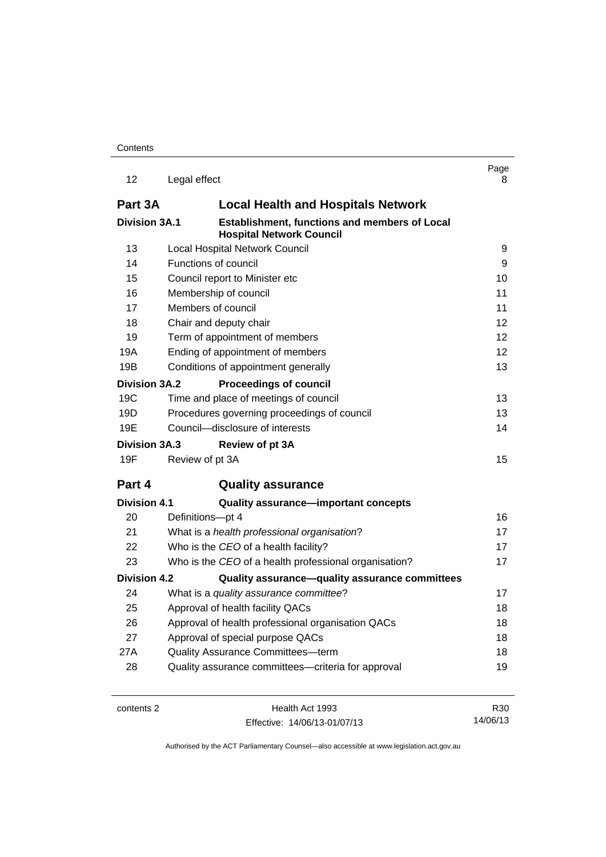| 12                   | Legal effect                                                                            | Page<br>8 |
|----------------------|-----------------------------------------------------------------------------------------|-----------|
| Part 3A              | <b>Local Health and Hospitals Network</b>                                               |           |
| <b>Division 3A.1</b> | <b>Establishment, functions and members of Local</b><br><b>Hospital Network Council</b> |           |
| 13                   | Local Hospital Network Council                                                          | 9         |
| 14                   | Functions of council                                                                    | 9         |
| 15                   | Council report to Minister etc                                                          | 10        |
| 16                   | Membership of council                                                                   | 11        |
| 17                   | Members of council                                                                      | 11        |
| 18                   | Chair and deputy chair                                                                  | 12        |
| 19                   | Term of appointment of members                                                          | 12        |
| 19A                  | Ending of appointment of members                                                        | 12        |
| 19B                  | Conditions of appointment generally                                                     | 13        |
| <b>Division 3A.2</b> | <b>Proceedings of council</b>                                                           |           |
| 19C                  | Time and place of meetings of council                                                   | 13        |
| 19D                  | Procedures governing proceedings of council                                             | 13        |
| 19E                  | Council-disclosure of interests                                                         | 14        |
| <b>Division 3A.3</b> | <b>Review of pt 3A</b>                                                                  |           |
| 19F                  | Review of pt 3A                                                                         | 15        |
| Part 4               | <b>Quality assurance</b>                                                                |           |
| <b>Division 4.1</b>  | Quality assurance-important concepts                                                    |           |
| 20                   | Definitions-pt 4                                                                        | 16        |
| 21                   | What is a health professional organisation?                                             | 17        |
| 22                   | Who is the CEO of a health facility?                                                    | 17        |
| 23                   | Who is the CEO of a health professional organisation?                                   | 17        |
| <b>Division 4.2</b>  | Quality assurance-quality assurance committees                                          |           |
| 24                   | What is a quality assurance committee?                                                  | 17        |
| 25                   | Approval of health facility QACs                                                        | 18        |
| 26                   | Approval of health professional organisation QACs                                       | 18        |
| 27                   | Approval of special purpose QACs                                                        | 18        |
| 27A                  | Quality Assurance Committees-term                                                       | 18        |
| 28                   | Quality assurance committees-criteria for approval                                      | 19        |
| contents 2           | Health Act 1993                                                                         | R30       |

Effective: 14/06/13-01/07/13

14/06/13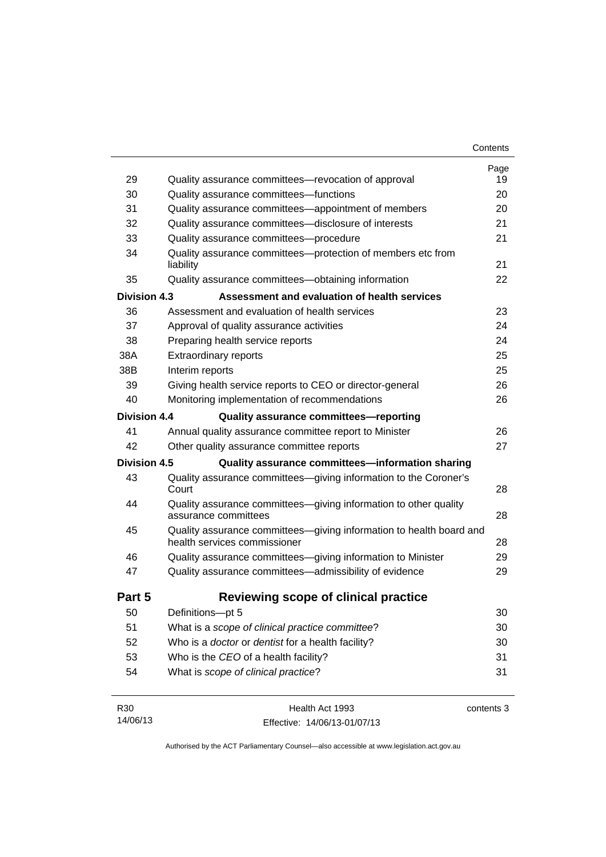| 29                  | Quality assurance committees—revocation of approval                                                 | Page<br>19 |
|---------------------|-----------------------------------------------------------------------------------------------------|------------|
| 30                  | Quality assurance committees-functions                                                              | 20         |
| 31                  | Quality assurance committees—appointment of members                                                 | 20         |
| 32                  | Quality assurance committees-disclosure of interests                                                | 21         |
| 33                  | Quality assurance committees--procedure                                                             | 21         |
| 34                  | Quality assurance committees-protection of members etc from<br>liability                            | 21         |
| 35                  | Quality assurance committees-obtaining information                                                  | 22         |
| <b>Division 4.3</b> | Assessment and evaluation of health services                                                        |            |
| 36                  | Assessment and evaluation of health services                                                        | 23         |
| 37                  | Approval of quality assurance activities                                                            | 24         |
| 38                  | Preparing health service reports                                                                    | 24         |
| 38A                 | <b>Extraordinary reports</b>                                                                        | 25         |
| 38B                 | Interim reports                                                                                     | 25         |
| 39                  | Giving health service reports to CEO or director-general                                            | 26         |
| 40                  | Monitoring implementation of recommendations                                                        | 26         |
| Division 4.4        | Quality assurance committees-reporting                                                              |            |
| 41                  | Annual quality assurance committee report to Minister                                               | 26         |
| 42                  | Other quality assurance committee reports                                                           | 27         |
| Division 4.5        | Quality assurance committees-information sharing                                                    |            |
| 43                  | Quality assurance committees-giving information to the Coroner's<br>Court                           | 28         |
| 44                  | Quality assurance committees-giving information to other quality<br>assurance committees            | 28         |
| 45                  | Quality assurance committees-giving information to health board and<br>health services commissioner | 28         |
| 46                  | Quality assurance committees-giving information to Minister                                         | 29         |
| 47                  | Quality assurance committees-admissibility of evidence                                              | 29         |
| Part 5              | Reviewing scope of clinical practice                                                                |            |
| 50                  | Definitions-pt 5                                                                                    | 30         |
| 51                  | What is a scope of clinical practice committee?                                                     | 30         |
| 52                  | Who is a doctor or dentist for a health facility?                                                   | 30         |
| 53                  | Who is the CEO of a health facility?                                                                | 31         |
|                     |                                                                                                     | 31         |

| R30      | Health Act 1993              | contents 3 |
|----------|------------------------------|------------|
| 14/06/13 | Effective: 14/06/13-01/07/13 |            |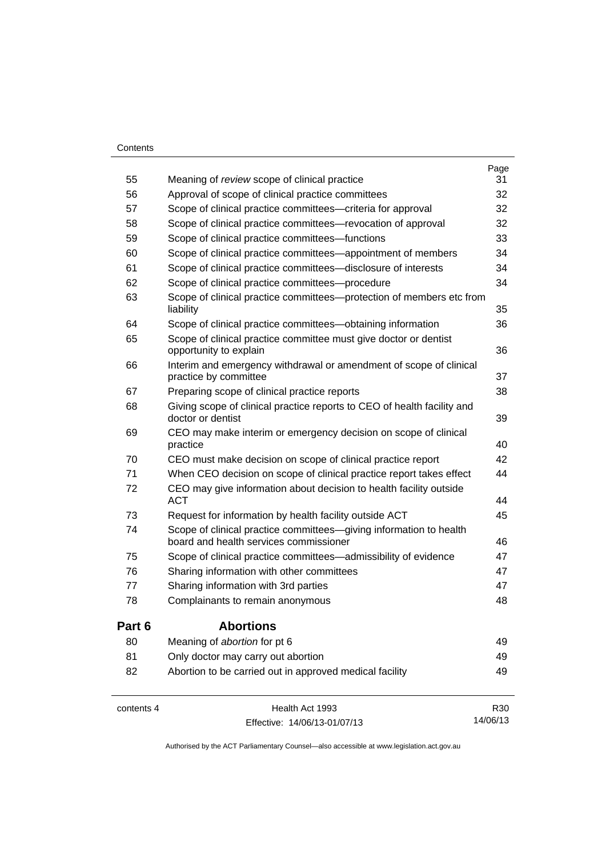#### **Contents**

| contents 4 | Health Act 1993                                                                              | R30  |
|------------|----------------------------------------------------------------------------------------------|------|
| 82         | Abortion to be carried out in approved medical facility                                      | 49   |
| 81         | Only doctor may carry out abortion                                                           | 49   |
| 80         | Meaning of abortion for pt 6                                                                 | 49   |
| Part 6     | <b>Abortions</b>                                                                             |      |
| 78         | Complainants to remain anonymous                                                             | 48   |
| 77         | Sharing information with 3rd parties                                                         | 47   |
| 76         | Sharing information with other committees                                                    | 47   |
| 75         | Scope of clinical practice committees—admissibility of evidence                              | 47   |
|            | board and health services commissioner                                                       | 46   |
| 74         | Scope of clinical practice committees-giving information to health                           |      |
| 73         | Request for information by health facility outside ACT                                       | 45   |
| 72         | CEO may give information about decision to health facility outside<br><b>ACT</b>             | 44   |
| 71         | When CEO decision on scope of clinical practice report takes effect                          | 44   |
| 70         | CEO must make decision on scope of clinical practice report                                  | 42   |
| 69         | CEO may make interim or emergency decision on scope of clinical<br>practice                  | 40   |
| 68         | Giving scope of clinical practice reports to CEO of health facility and<br>doctor or dentist | 39   |
| 67         | Preparing scope of clinical practice reports                                                 | 38   |
| 66         | Interim and emergency withdrawal or amendment of scope of clinical<br>practice by committee  | 37   |
|            | opportunity to explain                                                                       | 36   |
| 65         | Scope of clinical practice committee must give doctor or dentist                             |      |
| 64         | Scope of clinical practice committees-obtaining information                                  | 36   |
| 63         | Scope of clinical practice committees—protection of members etc from<br>liability            | 35   |
| 62         | Scope of clinical practice committees---procedure                                            | 34   |
| 61         | Scope of clinical practice committees—disclosure of interests                                | 34   |
| 60         | Scope of clinical practice committees—appointment of members                                 | 34   |
| 59         | Scope of clinical practice committees-functions                                              | 33   |
| 58         | Scope of clinical practice committees—revocation of approval                                 | 32   |
| 57         | Scope of clinical practice committees—criteria for approval                                  | 32   |
| 56         | Approval of scope of clinical practice committees                                            | 32   |
| 55         | Meaning of review scope of clinical practice                                                 | 31   |
|            |                                                                                              | Page |

Effective: 14/06/13-01/07/13

14/06/13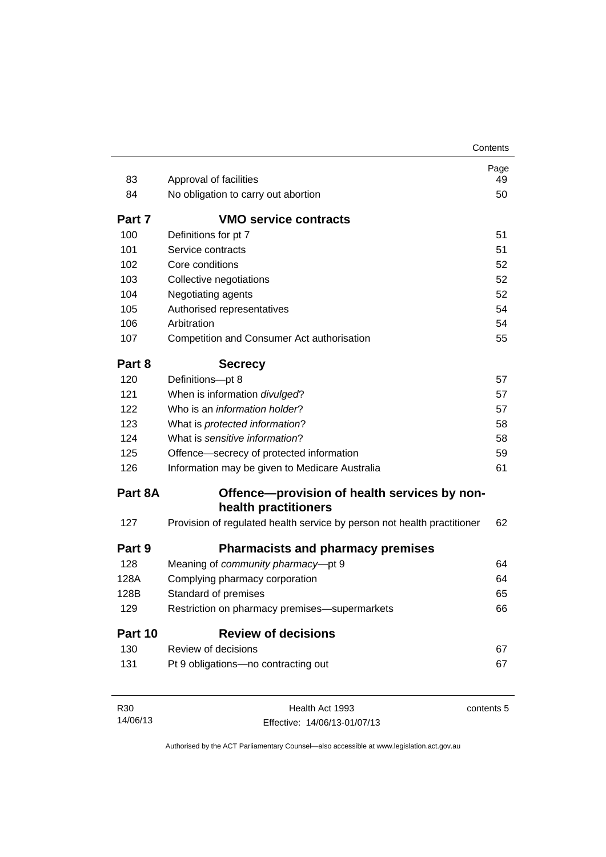|                         |                                                                         | Contents                   |
|-------------------------|-------------------------------------------------------------------------|----------------------------|
|                         |                                                                         | Page                       |
| 83                      | Approval of facilities                                                  | 49                         |
| 84                      | No obligation to carry out abortion                                     | 50                         |
| Part 7                  | <b>VMO service contracts</b>                                            |                            |
| 100                     | Definitions for pt 7                                                    | 51                         |
| 101                     | Service contracts                                                       | 51                         |
| 102                     | Core conditions                                                         | 52                         |
| 103                     | Collective negotiations                                                 | 52                         |
| 104                     | Negotiating agents                                                      | 52                         |
| 105                     | Authorised representatives                                              | 54                         |
| 106                     | Arbitration                                                             | 54                         |
| 107                     | Competition and Consumer Act authorisation                              | 55                         |
| Part 8                  | <b>Secrecy</b>                                                          |                            |
| 120                     | Definitions-pt 8                                                        | 57                         |
| 121                     | When is information divulged?                                           | 57                         |
| 122                     | Who is an <i>information holder</i> ?                                   | 57                         |
| 123                     | What is protected information?                                          | 58                         |
| 124                     | What is sensitive information?                                          | 58                         |
| 125                     | Offence—secrecy of protected information                                | 59                         |
| 126                     | Information may be given to Medicare Australia                          | 61                         |
| Part 8A                 | Offence-provision of health services by non-                            |                            |
|                         | health practitioners                                                    |                            |
| 127                     | Provision of regulated health service by person not health practitioner | 62                         |
| Part 9                  |                                                                         |                            |
|                         | <b>Pharmacists and pharmacy premises</b>                                |                            |
| 128                     | Meaning of community pharmacy-pt 9                                      |                            |
|                         | Complying pharmacy corporation                                          |                            |
|                         | Standard of premises                                                    |                            |
| 129                     | Restriction on pharmacy premises-supermarkets                           |                            |
| 128A<br>128B<br>Part 10 | <b>Review of decisions</b>                                              |                            |
| 130                     | Review of decisions                                                     | 64<br>64<br>65<br>66<br>67 |

| R30      | Health Act 1993              | contents 5 |
|----------|------------------------------|------------|
| 14/06/13 | Effective: 14/06/13-01/07/13 |            |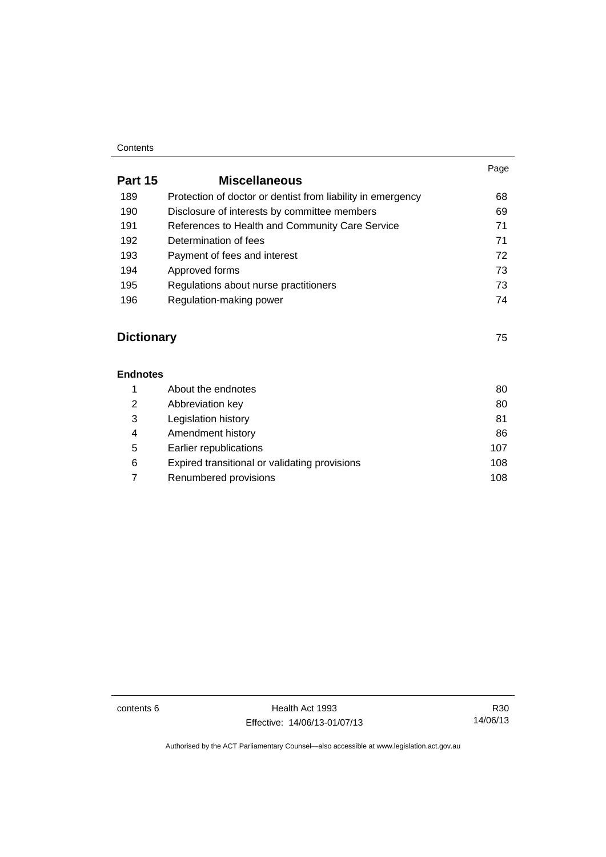#### **Contents**

|                   |                                                             | Page |
|-------------------|-------------------------------------------------------------|------|
| Part 15           | <b>Miscellaneous</b>                                        |      |
| 189               | Protection of doctor or dentist from liability in emergency | 68   |
| 190               | Disclosure of interests by committee members                | 69   |
| 191               | References to Health and Community Care Service             | 71   |
| 192               | Determination of fees                                       | 71   |
| 193               | Payment of fees and interest                                | 72   |
| 194               | Approved forms                                              | 73   |
| 195               | Regulations about nurse practitioners                       | 73   |
| 196               | Regulation-making power                                     | 74   |
| <b>Dictionary</b> |                                                             | 75   |
| <b>Endnotes</b>   |                                                             |      |
| 1                 | About the endnotes                                          | 80   |
| 2                 | Abbreviation key                                            | 80   |
| 3                 | Legislation history                                         | 81   |
| 4                 | Amendment history                                           | 86   |
| 5                 | Earlier republications                                      | 107  |
| 6                 | Expired transitional or validating provisions               | 108  |
|                   |                                                             |      |

7 Renumbered provisions **108** 

contents 6 Health Act 1993 Effective: 14/06/13-01/07/13

R30 14/06/13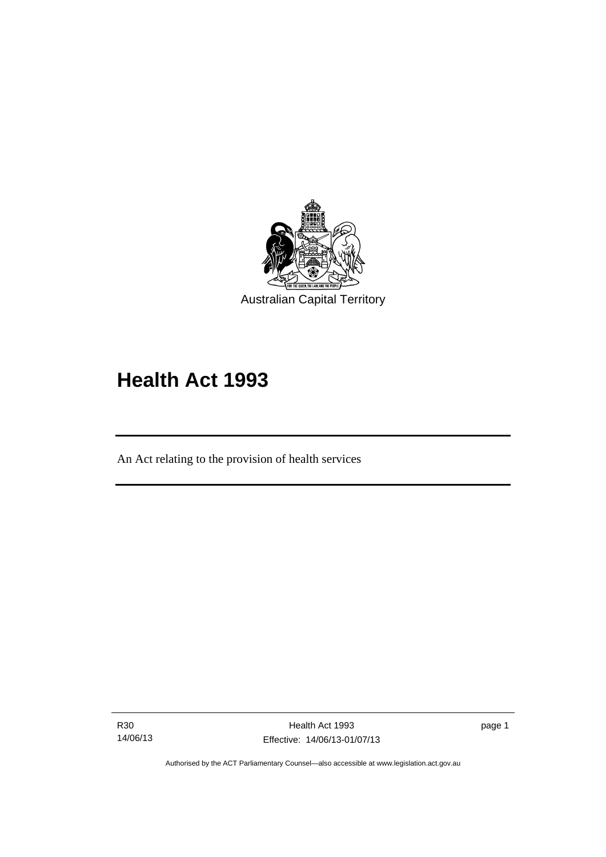

# **Health Act 1993**

An Act relating to the provision of health services

R30 14/06/13

l

page 1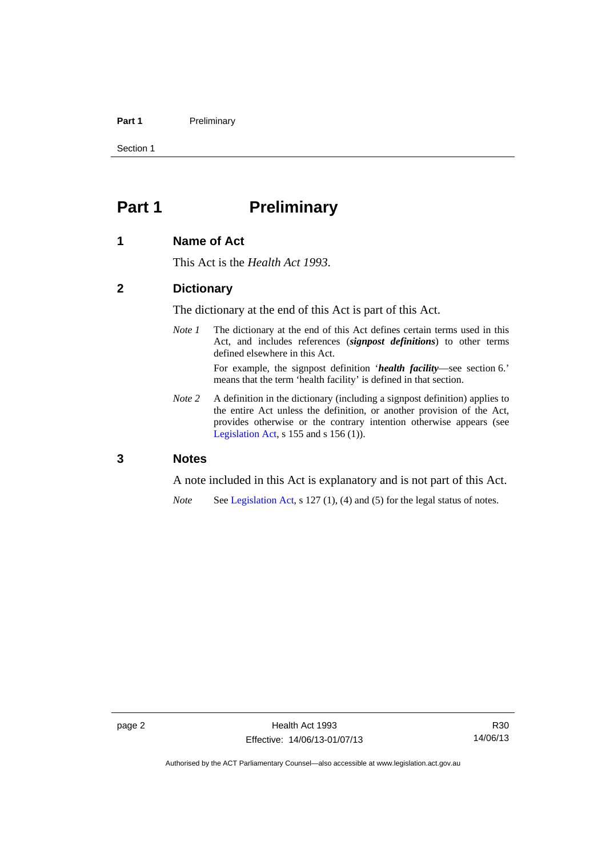#### Part 1 **Preliminary**

Section 1

### <span id="page-9-0"></span>**Part 1** Preliminary

#### <span id="page-9-1"></span>**1 Name of Act**

This Act is the *Health Act 1993*.

#### <span id="page-9-2"></span>**2 Dictionary**

The dictionary at the end of this Act is part of this Act.

*Note 1* The dictionary at the end of this Act defines certain terms used in this Act, and includes references (*signpost definitions*) to other terms defined elsewhere in this Act.

> For example, the signpost definition '*health facility*—see section 6.' means that the term 'health facility' is defined in that section.

*Note* 2 A definition in the dictionary (including a signpost definition) applies to the entire Act unless the definition, or another provision of the Act, provides otherwise or the contrary intention otherwise appears (see [Legislation Act,](http://www.legislation.act.gov.au/a/2001-14)  $s$  155 and  $s$  156 (1)).

#### <span id="page-9-3"></span>**3 Notes**

A note included in this Act is explanatory and is not part of this Act.

*Note* See [Legislation Act,](http://www.legislation.act.gov.au/a/2001-14) s 127 (1), (4) and (5) for the legal status of notes.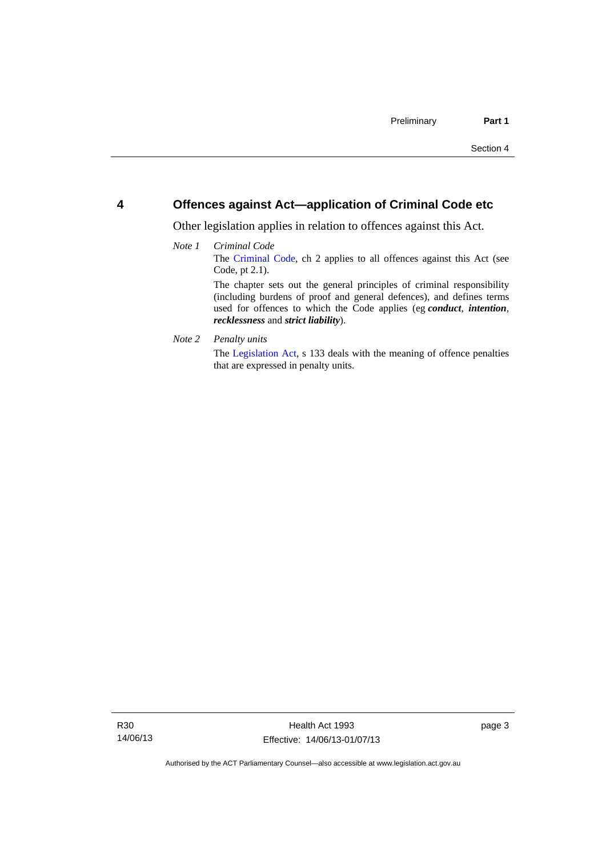#### <span id="page-10-0"></span>**4 Offences against Act—application of Criminal Code etc**

Other legislation applies in relation to offences against this Act.

#### *Note 1 Criminal Code* The [Criminal Code](http://www.legislation.act.gov.au/a/2002-51), ch 2 applies to all offences against this Act (see Code, pt 2.1). The chapter sets out the general principles of criminal responsibility (including burdens of proof and general defences), and defines terms used for offences to which the Code applies (eg *conduct*, *intention*, *recklessness* and *strict liability*).

*Note 2 Penalty units* 

The [Legislation Act](http://www.legislation.act.gov.au/a/2001-14), s 133 deals with the meaning of offence penalties that are expressed in penalty units.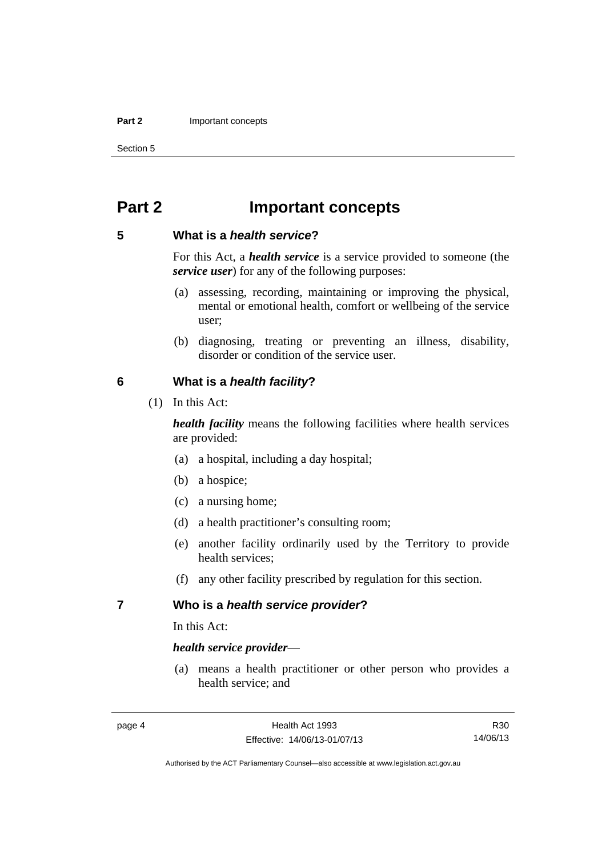#### **Part 2 Important concepts**

Section 5

### <span id="page-11-0"></span>**Part 2 Important concepts**

#### <span id="page-11-1"></span>**5 What is a** *health service***?**

For this Act, a *health service* is a service provided to someone (the *service user*) for any of the following purposes:

- (a) assessing, recording, maintaining or improving the physical, mental or emotional health, comfort or wellbeing of the service user;
- (b) diagnosing, treating or preventing an illness, disability, disorder or condition of the service user.

#### <span id="page-11-2"></span>**6 What is a** *health facility***?**

(1) In this Act:

*health facility* means the following facilities where health services are provided:

- (a) a hospital, including a day hospital;
- (b) a hospice;
- (c) a nursing home;
- (d) a health practitioner's consulting room;
- (e) another facility ordinarily used by the Territory to provide health services;
- (f) any other facility prescribed by regulation for this section.

#### <span id="page-11-3"></span>**7 Who is a** *health service provider***?**

In this Act:

#### *health service provider*—

 (a) means a health practitioner or other person who provides a health service; and

R30 14/06/13

Authorised by the ACT Parliamentary Counsel—also accessible at www.legislation.act.gov.au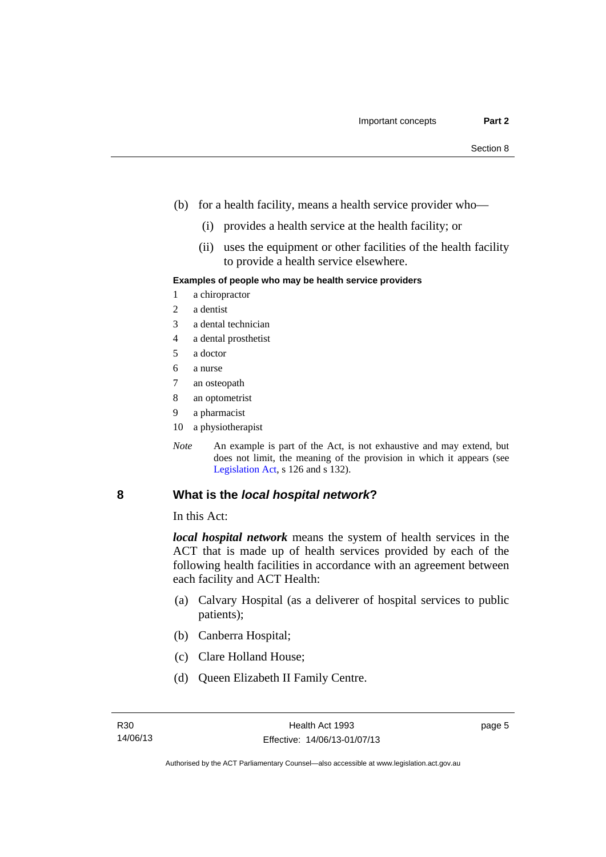- (b) for a health facility, means a health service provider who—
	- (i) provides a health service at the health facility; or
	- (ii) uses the equipment or other facilities of the health facility to provide a health service elsewhere.

#### **Examples of people who may be health service providers**

- 1 a chiropractor
- 2 a dentist
- 3 a dental technician
- 4 a dental prosthetist
- 5 a doctor
- 6 a nurse
- 7 an osteopath
- 8 an optometrist
- 9 a pharmacist
- 10 a physiotherapist
- *Note* An example is part of the Act, is not exhaustive and may extend, but does not limit, the meaning of the provision in which it appears (see [Legislation Act,](http://www.legislation.act.gov.au/a/2001-14) s 126 and s 132).

#### <span id="page-12-0"></span>**8 What is the** *local hospital network***?**

In this Act:

*local hospital network* means the system of health services in the ACT that is made up of health services provided by each of the following health facilities in accordance with an agreement between each facility and ACT Health:

- (a) Calvary Hospital (as a deliverer of hospital services to public patients);
- (b) Canberra Hospital;
- (c) Clare Holland House;
- (d) Queen Elizabeth II Family Centre.

page 5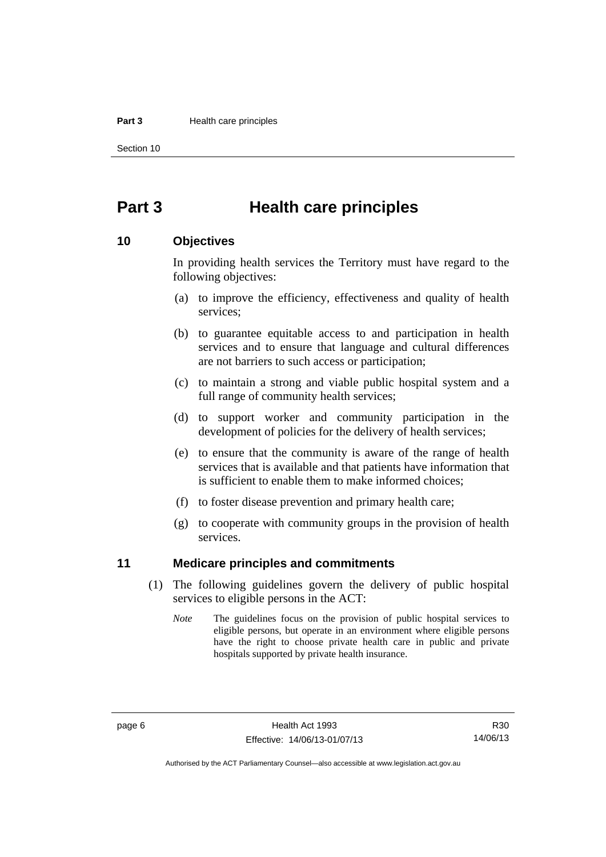#### **Part 3 Health care principles**

Section 10

### <span id="page-13-0"></span>**Part 3 Health care principles**

#### <span id="page-13-1"></span>**10 Objectives**

In providing health services the Territory must have regard to the following objectives:

- (a) to improve the efficiency, effectiveness and quality of health services;
- (b) to guarantee equitable access to and participation in health services and to ensure that language and cultural differences are not barriers to such access or participation;
- (c) to maintain a strong and viable public hospital system and a full range of community health services;
- (d) to support worker and community participation in the development of policies for the delivery of health services;
- (e) to ensure that the community is aware of the range of health services that is available and that patients have information that is sufficient to enable them to make informed choices;
- (f) to foster disease prevention and primary health care;
- (g) to cooperate with community groups in the provision of health services.

#### <span id="page-13-2"></span>**11 Medicare principles and commitments**

- (1) The following guidelines govern the delivery of public hospital services to eligible persons in the ACT:
	- *Note* The guidelines focus on the provision of public hospital services to eligible persons, but operate in an environment where eligible persons have the right to choose private health care in public and private hospitals supported by private health insurance.

R30 14/06/13

Authorised by the ACT Parliamentary Counsel—also accessible at www.legislation.act.gov.au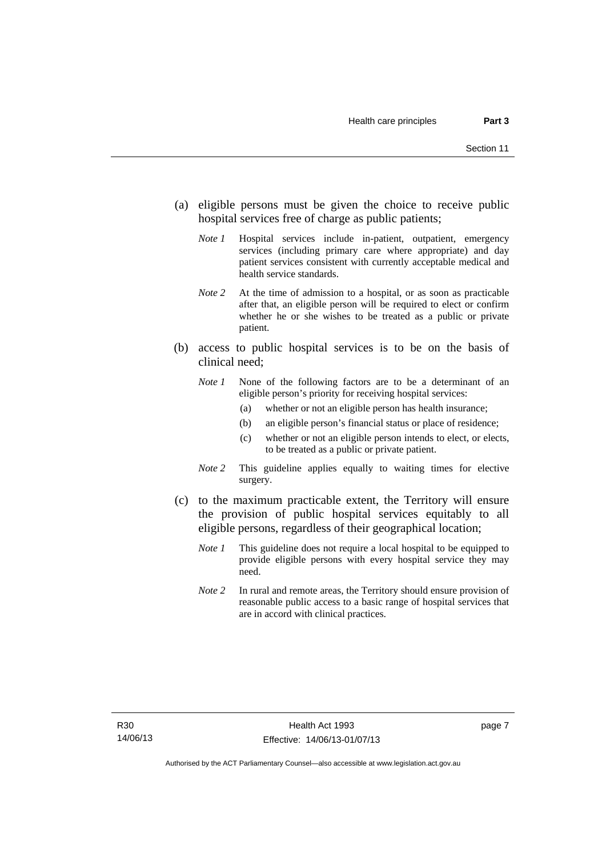- (a) eligible persons must be given the choice to receive public hospital services free of charge as public patients;
	- *Note 1* Hospital services include in-patient, outpatient, emergency services (including primary care where appropriate) and day patient services consistent with currently acceptable medical and health service standards.
	- *Note 2* At the time of admission to a hospital, or as soon as practicable after that, an eligible person will be required to elect or confirm whether he or she wishes to be treated as a public or private patient.
- (b) access to public hospital services is to be on the basis of clinical need;
	- *Note 1* None of the following factors are to be a determinant of an eligible person's priority for receiving hospital services:
		- (a) whether or not an eligible person has health insurance;
		- (b) an eligible person's financial status or place of residence;
		- (c) whether or not an eligible person intends to elect, or elects, to be treated as a public or private patient.
	- *Note 2* This guideline applies equally to waiting times for elective surgery.
- (c) to the maximum practicable extent, the Territory will ensure the provision of public hospital services equitably to all eligible persons, regardless of their geographical location;
	- *Note 1* This guideline does not require a local hospital to be equipped to provide eligible persons with every hospital service they may need.
	- *Note 2* In rural and remote areas, the Territory should ensure provision of reasonable public access to a basic range of hospital services that are in accord with clinical practices.

page 7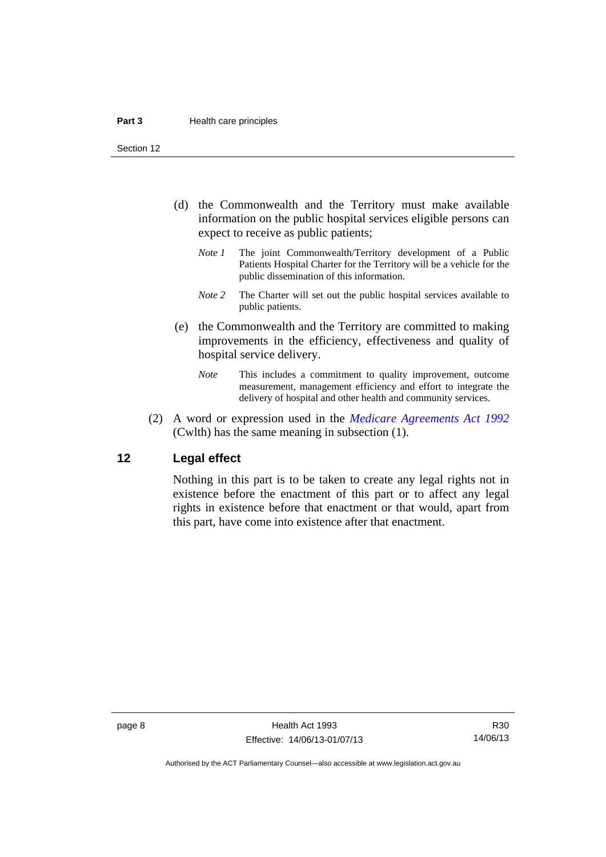Section 12

- (d) the Commonwealth and the Territory must make available information on the public hospital services eligible persons can expect to receive as public patients;
	- *Note 1* The joint Commonwealth/Territory development of a Public Patients Hospital Charter for the Territory will be a vehicle for the public dissemination of this information.
	- *Note 2* The Charter will set out the public hospital services available to public patients.
- (e) the Commonwealth and the Territory are committed to making improvements in the efficiency, effectiveness and quality of hospital service delivery.
	- *Note* This includes a commitment to quality improvement, outcome measurement, management efficiency and effort to integrate the delivery of hospital and other health and community services.
- (2) A word or expression used in the *[Medicare Agreements Act 1992](http://www.comlaw.gov.au/Details/C2006C00041)* (Cwlth) has the same meaning in subsection (1).

#### <span id="page-15-0"></span>**12 Legal effect**

Nothing in this part is to be taken to create any legal rights not in existence before the enactment of this part or to affect any legal rights in existence before that enactment or that would, apart from this part, have come into existence after that enactment.

R30 14/06/13

Authorised by the ACT Parliamentary Counsel—also accessible at www.legislation.act.gov.au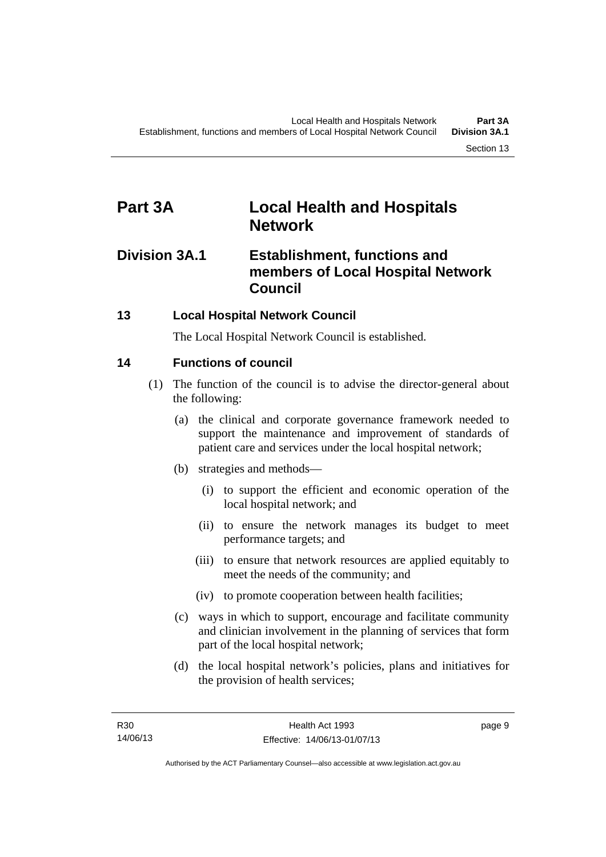### <span id="page-16-0"></span>**Part 3A Local Health and Hospitals Network**

### <span id="page-16-1"></span>**Division 3A.1 Establishment, functions and members of Local Hospital Network Council**

### <span id="page-16-2"></span>**13 Local Hospital Network Council**

The Local Hospital Network Council is established.

### <span id="page-16-3"></span>**14 Functions of council**

- (1) The function of the council is to advise the director-general about the following:
	- (a) the clinical and corporate governance framework needed to support the maintenance and improvement of standards of patient care and services under the local hospital network;
	- (b) strategies and methods—
		- (i) to support the efficient and economic operation of the local hospital network; and
		- (ii) to ensure the network manages its budget to meet performance targets; and
		- (iii) to ensure that network resources are applied equitably to meet the needs of the community; and
		- (iv) to promote cooperation between health facilities;
	- (c) ways in which to support, encourage and facilitate community and clinician involvement in the planning of services that form part of the local hospital network;
	- (d) the local hospital network's policies, plans and initiatives for the provision of health services;

page 9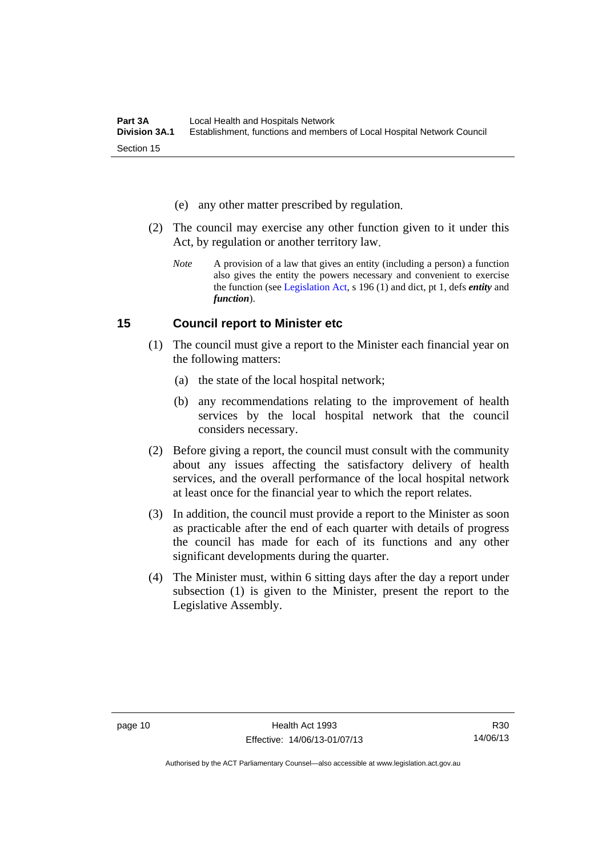- (e) any other matter prescribed by regulation.
- (2) The council may exercise any other function given to it under this Act, by regulation or another territory law.
	- *Note* A provision of a law that gives an entity (including a person) a function also gives the entity the powers necessary and convenient to exercise the function (see [Legislation Act](http://www.legislation.act.gov.au/a/2001-14), s 196 (1) and dict, pt 1, defs *entity* and *function*).

#### <span id="page-17-0"></span>**15 Council report to Minister etc**

- (1) The council must give a report to the Minister each financial year on the following matters:
	- (a) the state of the local hospital network;
	- (b) any recommendations relating to the improvement of health services by the local hospital network that the council considers necessary.
- (2) Before giving a report, the council must consult with the community about any issues affecting the satisfactory delivery of health services, and the overall performance of the local hospital network at least once for the financial year to which the report relates.
- (3) In addition, the council must provide a report to the Minister as soon as practicable after the end of each quarter with details of progress the council has made for each of its functions and any other significant developments during the quarter.
- (4) The Minister must, within 6 sitting days after the day a report under subsection (1) is given to the Minister, present the report to the Legislative Assembly.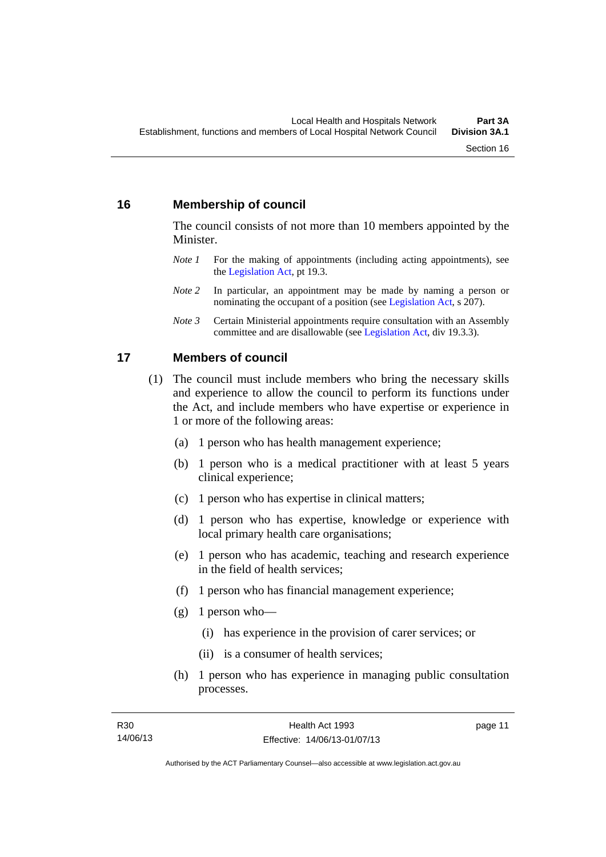#### <span id="page-18-0"></span>**16 Membership of council**

The council consists of not more than 10 members appointed by the Minister.

- *Note 1* For the making of appointments (including acting appointments), see the [Legislation Act,](http://www.legislation.act.gov.au/a/2001-14) pt 19.3.
- *Note 2* In particular, an appointment may be made by naming a person or nominating the occupant of a position (see [Legislation Act](http://www.legislation.act.gov.au/a/2001-14), s 207).
- *Note 3* Certain Ministerial appointments require consultation with an Assembly committee and are disallowable (see [Legislation Act,](http://www.legislation.act.gov.au/a/2001-14) div 19.3.3).

#### <span id="page-18-1"></span>**17 Members of council**

- (1) The council must include members who bring the necessary skills and experience to allow the council to perform its functions under the Act, and include members who have expertise or experience in 1 or more of the following areas:
	- (a) 1 person who has health management experience;
	- (b) 1 person who is a medical practitioner with at least 5 years clinical experience;
	- (c) 1 person who has expertise in clinical matters;
	- (d) 1 person who has expertise, knowledge or experience with local primary health care organisations;
	- (e) 1 person who has academic, teaching and research experience in the field of health services;
	- (f) 1 person who has financial management experience;
	- $(g)$  1 person who—
		- (i) has experience in the provision of carer services; or
		- (ii) is a consumer of health services;
	- (h) 1 person who has experience in managing public consultation processes.

page 11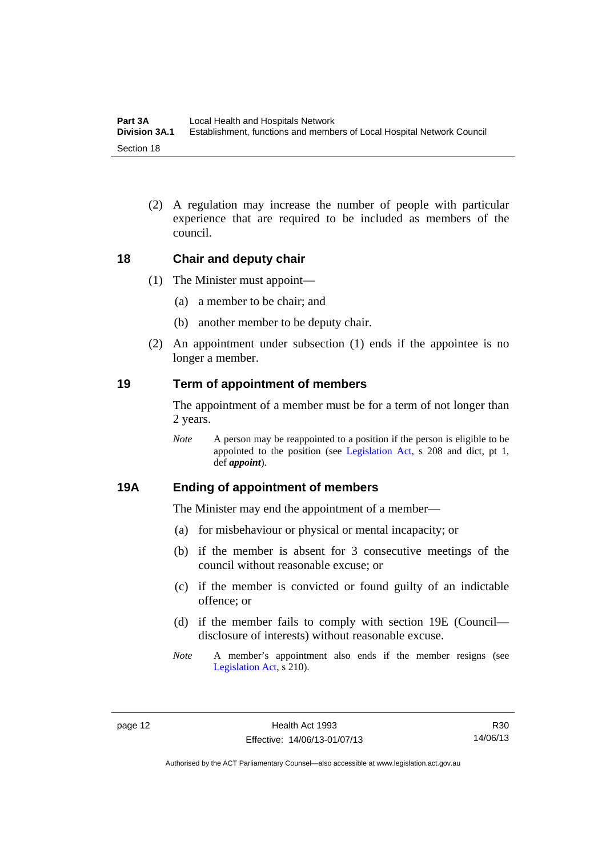(2) A regulation may increase the number of people with particular experience that are required to be included as members of the council.

#### <span id="page-19-0"></span>**18 Chair and deputy chair**

- (1) The Minister must appoint—
	- (a) a member to be chair; and
	- (b) another member to be deputy chair.
- (2) An appointment under subsection (1) ends if the appointee is no longer a member.

#### <span id="page-19-1"></span>**19 Term of appointment of members**

The appointment of a member must be for a term of not longer than 2 years.

*Note* A person may be reappointed to a position if the person is eligible to be appointed to the position (see [Legislation Act,](http://www.legislation.act.gov.au/a/2001-14) s 208 and dict, pt 1, def *appoint*).

#### <span id="page-19-2"></span>**19A Ending of appointment of members**

The Minister may end the appointment of a member—

- (a) for misbehaviour or physical or mental incapacity; or
- (b) if the member is absent for 3 consecutive meetings of the council without reasonable excuse; or
- (c) if the member is convicted or found guilty of an indictable offence; or
- (d) if the member fails to comply with section 19E (Council disclosure of interests) without reasonable excuse.
- *Note* A member's appointment also ends if the member resigns (see [Legislation Act,](http://www.legislation.act.gov.au/a/2001-14) s 210).

R30 14/06/13

Authorised by the ACT Parliamentary Counsel—also accessible at www.legislation.act.gov.au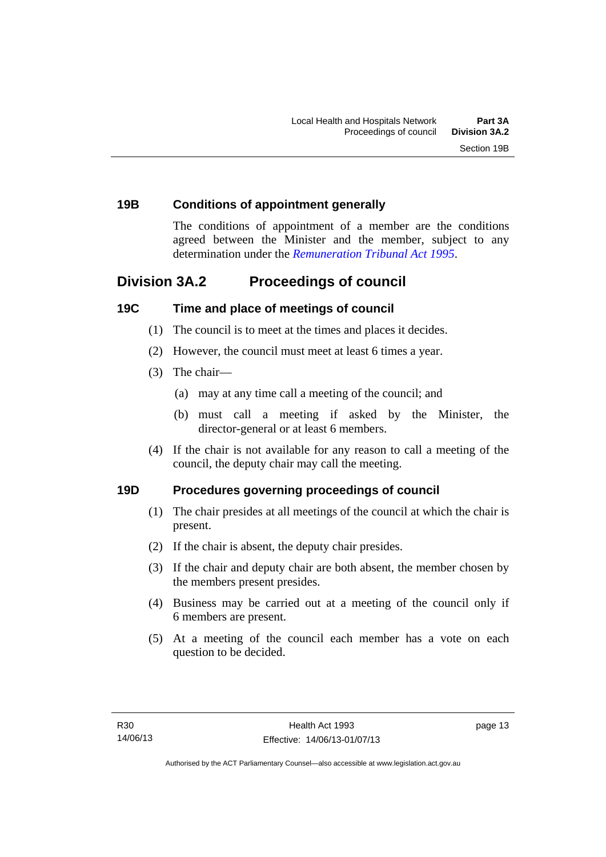#### <span id="page-20-0"></span>**19B Conditions of appointment generally**

The conditions of appointment of a member are the conditions agreed between the Minister and the member, subject to any determination under the *[Remuneration Tribunal Act 1995](http://www.legislation.act.gov.au/a/1995-55)*.

### <span id="page-20-1"></span>**Division 3A.2 Proceedings of council**

#### <span id="page-20-2"></span>**19C Time and place of meetings of council**

- (1) The council is to meet at the times and places it decides.
- (2) However, the council must meet at least 6 times a year.
- (3) The chair—
	- (a) may at any time call a meeting of the council; and
	- (b) must call a meeting if asked by the Minister, the director-general or at least 6 members.
- (4) If the chair is not available for any reason to call a meeting of the council, the deputy chair may call the meeting.

#### <span id="page-20-3"></span>**19D Procedures governing proceedings of council**

- (1) The chair presides at all meetings of the council at which the chair is present.
- (2) If the chair is absent, the deputy chair presides.
- (3) If the chair and deputy chair are both absent, the member chosen by the members present presides.
- (4) Business may be carried out at a meeting of the council only if 6 members are present.
- (5) At a meeting of the council each member has a vote on each question to be decided.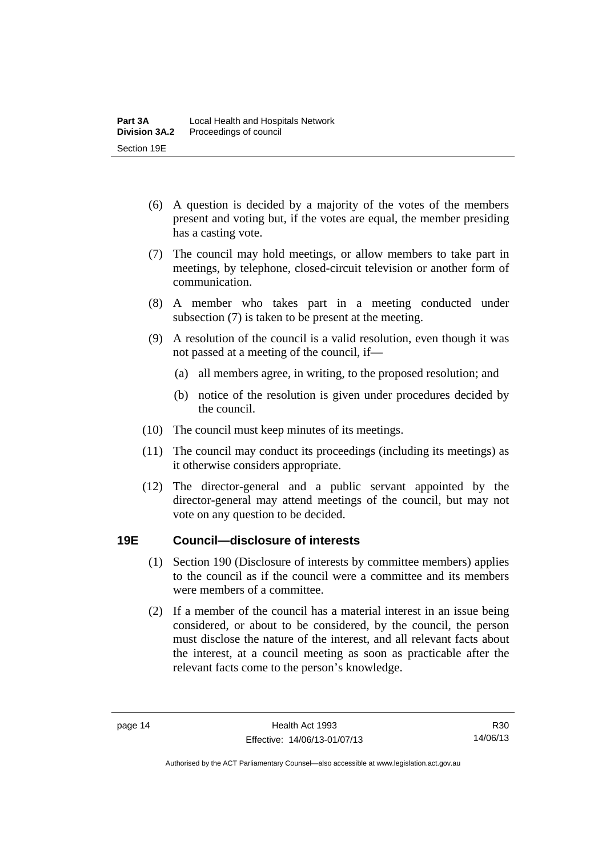- (6) A question is decided by a majority of the votes of the members present and voting but, if the votes are equal, the member presiding has a casting vote.
- (7) The council may hold meetings, or allow members to take part in meetings, by telephone, closed-circuit television or another form of communication.
- (8) A member who takes part in a meeting conducted under subsection (7) is taken to be present at the meeting.
- (9) A resolution of the council is a valid resolution, even though it was not passed at a meeting of the council, if—
	- (a) all members agree, in writing, to the proposed resolution; and
	- (b) notice of the resolution is given under procedures decided by the council.
- (10) The council must keep minutes of its meetings.
- (11) The council may conduct its proceedings (including its meetings) as it otherwise considers appropriate.
- (12) The director-general and a public servant appointed by the director-general may attend meetings of the council, but may not vote on any question to be decided.

#### <span id="page-21-0"></span>**19E Council—disclosure of interests**

- (1) Section 190 (Disclosure of interests by committee members) applies to the council as if the council were a committee and its members were members of a committee.
- (2) If a member of the council has a material interest in an issue being considered, or about to be considered, by the council, the person must disclose the nature of the interest, and all relevant facts about the interest, at a council meeting as soon as practicable after the relevant facts come to the person's knowledge.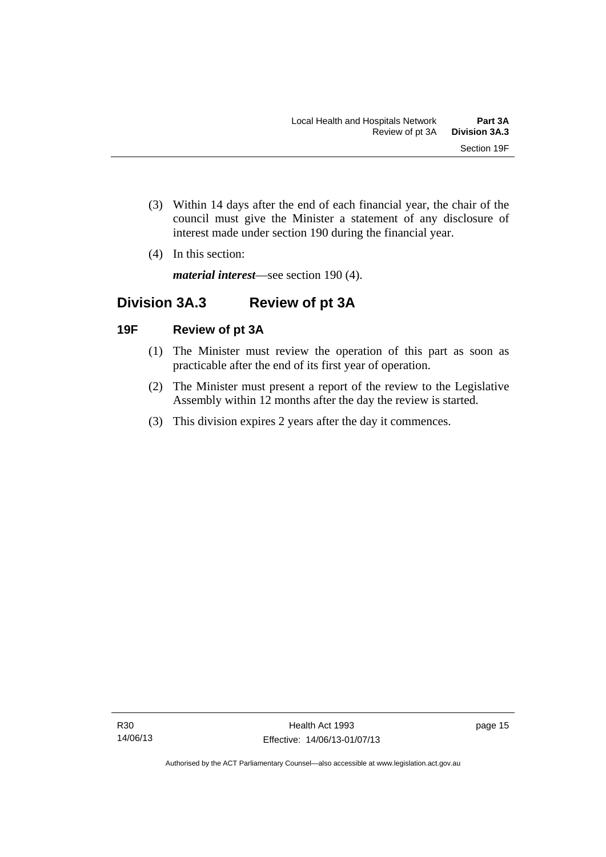- (3) Within 14 days after the end of each financial year, the chair of the council must give the Minister a statement of any disclosure of interest made under section 190 during the financial year.
- (4) In this section:

*material interest*—see section 190 (4).

### <span id="page-22-0"></span>**Division 3A.3 Review of pt 3A**

#### <span id="page-22-1"></span>**19F Review of pt 3A**

- (1) The Minister must review the operation of this part as soon as practicable after the end of its first year of operation.
- (2) The Minister must present a report of the review to the Legislative Assembly within 12 months after the day the review is started.
- (3) This division expires 2 years after the day it commences.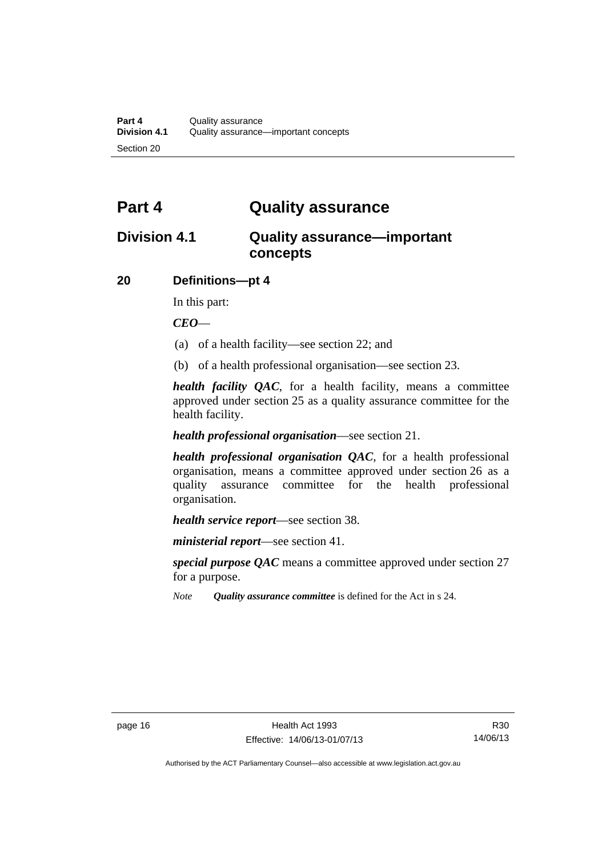### <span id="page-23-0"></span>**Part 4 Quality assurance**

### <span id="page-23-1"></span>**Division 4.1 Quality assurance—important concepts**

#### <span id="page-23-2"></span>**20 Definitions—pt 4**

In this part:

*CEO*—

- (a) of a health facility—see section 22; and
- (b) of a health professional organisation—see section 23.

*health facility QAC*, for a health facility, means a committee approved under section 25 as a quality assurance committee for the health facility.

#### *health professional organisation*—see section 21.

*health professional organisation QAC*, for a health professional organisation, means a committee approved under section 26 as a quality assurance committee for the health professional organisation.

*health service report*—see section 38.

*ministerial report*—see section 41.

*special purpose QAC* means a committee approved under section 27 for a purpose.

*Note Quality assurance committee* is defined for the Act in s 24.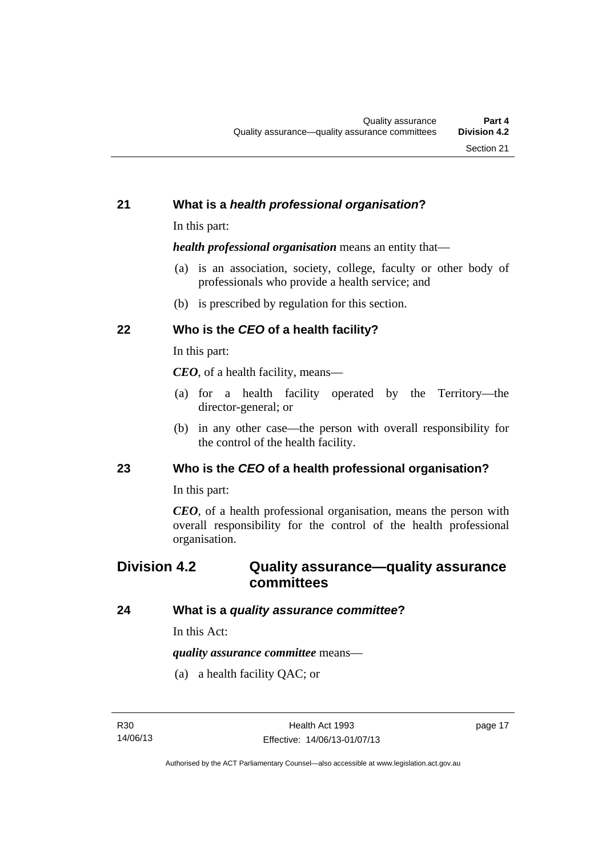#### <span id="page-24-0"></span>**21 What is a** *health professional organisation***?**

In this part:

*health professional organisation* means an entity that—

- (a) is an association, society, college, faculty or other body of professionals who provide a health service; and
- (b) is prescribed by regulation for this section.

### <span id="page-24-1"></span>**22 Who is the** *CEO* **of a health facility?**

In this part:

*CEO*, of a health facility, means—

- (a) for a health facility operated by the Territory—the director-general; or
- (b) in any other case—the person with overall responsibility for the control of the health facility.

#### <span id="page-24-2"></span>**23 Who is the** *CEO* **of a health professional organisation?**

In this part:

*CEO*, of a health professional organisation, means the person with overall responsibility for the control of the health professional organisation.

### <span id="page-24-3"></span>**Division 4.2 Quality assurance—quality assurance committees**

#### <span id="page-24-4"></span>**24 What is a** *quality assurance committee***?**

In this Act:

*quality assurance committee* means—

(a) a health facility QAC; or

page 17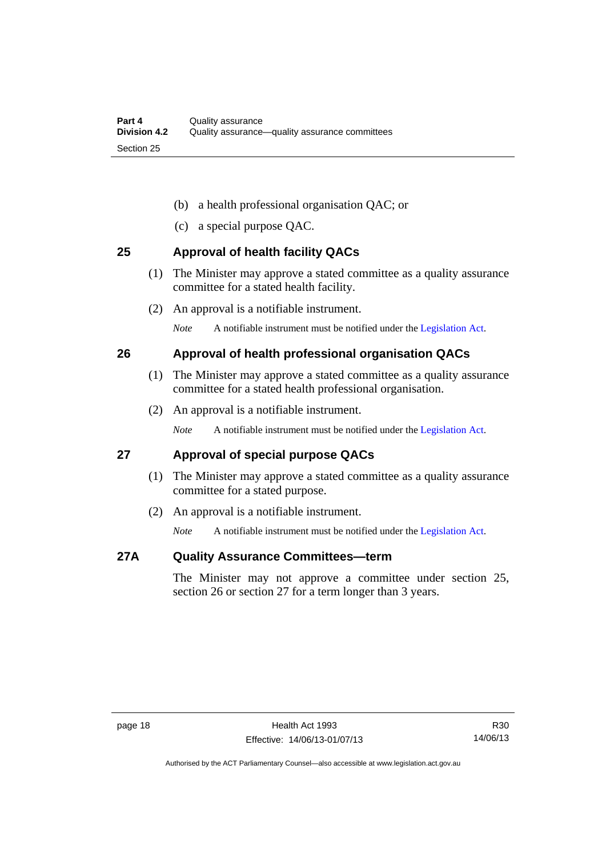- (b) a health professional organisation QAC; or
- (c) a special purpose QAC.

#### <span id="page-25-0"></span>**25 Approval of health facility QACs**

- (1) The Minister may approve a stated committee as a quality assurance committee for a stated health facility.
- (2) An approval is a notifiable instrument.

*Note* A notifiable instrument must be notified under the [Legislation Act](http://www.legislation.act.gov.au/a/2001-14).

#### <span id="page-25-1"></span>**26 Approval of health professional organisation QACs**

- (1) The Minister may approve a stated committee as a quality assurance committee for a stated health professional organisation.
- (2) An approval is a notifiable instrument.

*Note* A notifiable instrument must be notified under the [Legislation Act](http://www.legislation.act.gov.au/a/2001-14).

#### <span id="page-25-2"></span>**27 Approval of special purpose QACs**

- (1) The Minister may approve a stated committee as a quality assurance committee for a stated purpose.
- (2) An approval is a notifiable instrument.

*Note* A notifiable instrument must be notified under the [Legislation Act](http://www.legislation.act.gov.au/a/2001-14).

#### <span id="page-25-3"></span>**27A Quality Assurance Committees—term**

The Minister may not approve a committee under section 25, section 26 or section 27 for a term longer than 3 years.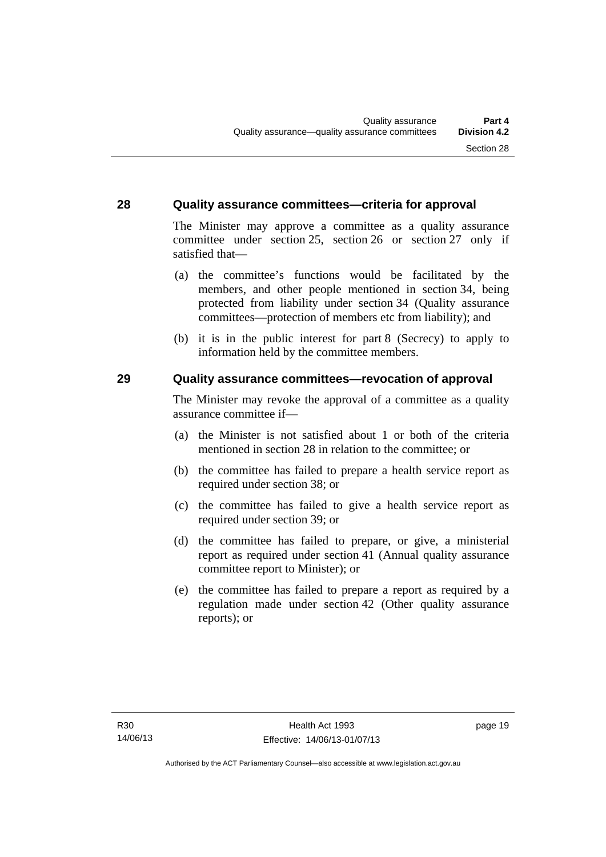#### <span id="page-26-0"></span>**28 Quality assurance committees—criteria for approval**

The Minister may approve a committee as a quality assurance committee under section 25, section 26 or section 27 only if satisfied that—

- (a) the committee's functions would be facilitated by the members, and other people mentioned in section 34, being protected from liability under section 34 (Quality assurance committees—protection of members etc from liability); and
- (b) it is in the public interest for part 8 (Secrecy) to apply to information held by the committee members.

#### <span id="page-26-1"></span>**29 Quality assurance committees—revocation of approval**

The Minister may revoke the approval of a committee as a quality assurance committee if—

- (a) the Minister is not satisfied about 1 or both of the criteria mentioned in section 28 in relation to the committee; or
- (b) the committee has failed to prepare a health service report as required under section 38; or
- (c) the committee has failed to give a health service report as required under section 39; or
- (d) the committee has failed to prepare, or give, a ministerial report as required under section 41 (Annual quality assurance committee report to Minister); or
- (e) the committee has failed to prepare a report as required by a regulation made under section 42 (Other quality assurance reports); or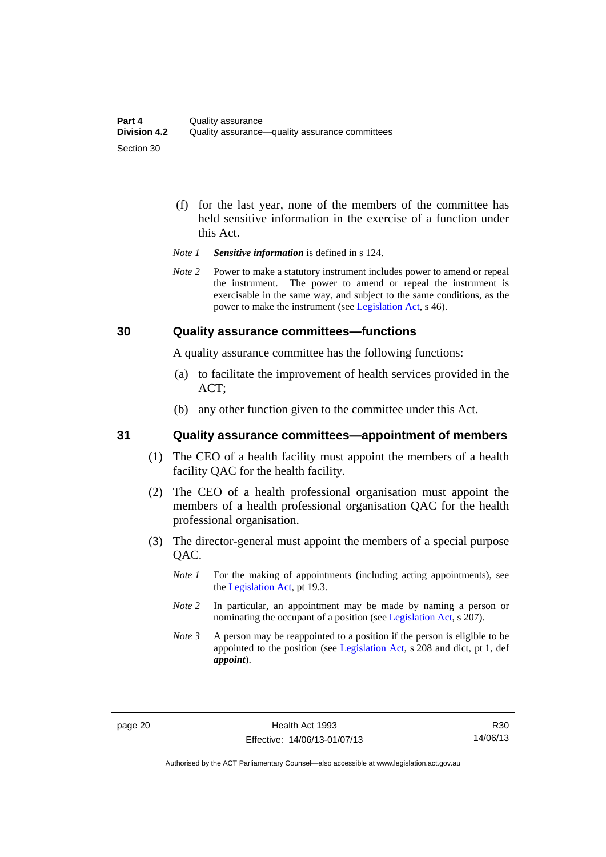- (f) for the last year, none of the members of the committee has held sensitive information in the exercise of a function under this Act.
- *Note 1 Sensitive information* is defined in s 124.
- *Note 2* Power to make a statutory instrument includes power to amend or repeal the instrument. The power to amend or repeal the instrument is exercisable in the same way, and subject to the same conditions, as the power to make the instrument (see [Legislation Act,](http://www.legislation.act.gov.au/a/2001-14) s 46).

#### <span id="page-27-0"></span>**30 Quality assurance committees—functions**

A quality assurance committee has the following functions:

- (a) to facilitate the improvement of health services provided in the ACT;
- (b) any other function given to the committee under this Act.

#### <span id="page-27-1"></span>**31 Quality assurance committees—appointment of members**

- (1) The CEO of a health facility must appoint the members of a health facility QAC for the health facility.
- (2) The CEO of a health professional organisation must appoint the members of a health professional organisation QAC for the health professional organisation.
- (3) The director-general must appoint the members of a special purpose QAC.
	- *Note 1* For the making of appointments (including acting appointments), see the [Legislation Act,](http://www.legislation.act.gov.au/a/2001-14) pt 19.3.
	- *Note 2* In particular, an appointment may be made by naming a person or nominating the occupant of a position (see [Legislation Act](http://www.legislation.act.gov.au/a/2001-14), s 207).
	- *Note 3* A person may be reappointed to a position if the person is eligible to be appointed to the position (see [Legislation Act](http://www.legislation.act.gov.au/a/2001-14), s 208 and dict, pt 1, def *appoint*).

Authorised by the ACT Parliamentary Counsel—also accessible at www.legislation.act.gov.au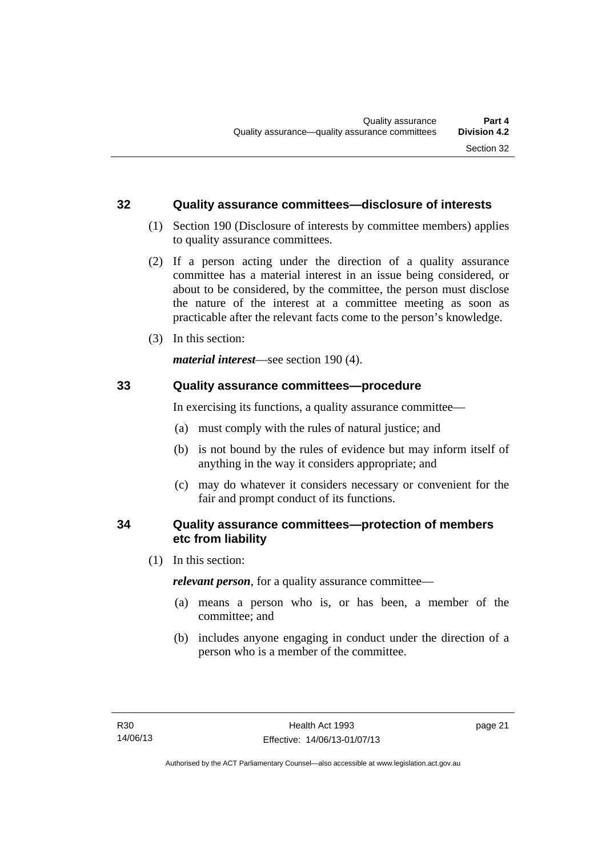#### <span id="page-28-0"></span>**32 Quality assurance committees—disclosure of interests**

- (1) Section 190 (Disclosure of interests by committee members) applies to quality assurance committees.
- (2) If a person acting under the direction of a quality assurance committee has a material interest in an issue being considered, or about to be considered, by the committee, the person must disclose the nature of the interest at a committee meeting as soon as practicable after the relevant facts come to the person's knowledge.
- (3) In this section:

*material interest*—see section 190 (4).

#### <span id="page-28-1"></span>**33 Quality assurance committees—procedure**

In exercising its functions, a quality assurance committee—

- (a) must comply with the rules of natural justice; and
- (b) is not bound by the rules of evidence but may inform itself of anything in the way it considers appropriate; and
- (c) may do whatever it considers necessary or convenient for the fair and prompt conduct of its functions.

#### <span id="page-28-2"></span>**34 Quality assurance committees—protection of members etc from liability**

(1) In this section:

*relevant person*, for a quality assurance committee—

- (a) means a person who is, or has been, a member of the committee; and
- (b) includes anyone engaging in conduct under the direction of a person who is a member of the committee.

page 21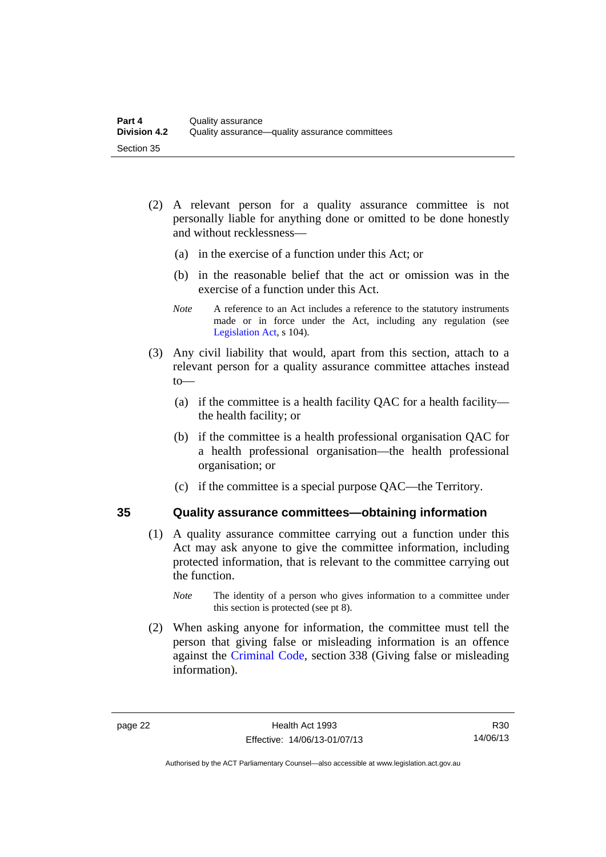- (2) A relevant person for a quality assurance committee is not personally liable for anything done or omitted to be done honestly and without recklessness—
	- (a) in the exercise of a function under this Act; or
	- (b) in the reasonable belief that the act or omission was in the exercise of a function under this Act.
	- *Note* A reference to an Act includes a reference to the statutory instruments made or in force under the Act, including any regulation (see [Legislation Act,](http://www.legislation.act.gov.au/a/2001-14) s 104).
- (3) Any civil liability that would, apart from this section, attach to a relevant person for a quality assurance committee attaches instead to—
	- (a) if the committee is a health facility QAC for a health facility the health facility; or
	- (b) if the committee is a health professional organisation QAC for a health professional organisation—the health professional organisation; or
	- (c) if the committee is a special purpose QAC—the Territory.

#### <span id="page-29-0"></span>**35 Quality assurance committees—obtaining information**

- (1) A quality assurance committee carrying out a function under this Act may ask anyone to give the committee information, including protected information, that is relevant to the committee carrying out the function.
	- *Note* The identity of a person who gives information to a committee under this section is protected (see pt 8).
- (2) When asking anyone for information, the committee must tell the person that giving false or misleading information is an offence against the [Criminal Code](http://www.legislation.act.gov.au/a/2002-51), section 338 (Giving false or misleading information).

Authorised by the ACT Parliamentary Counsel—also accessible at www.legislation.act.gov.au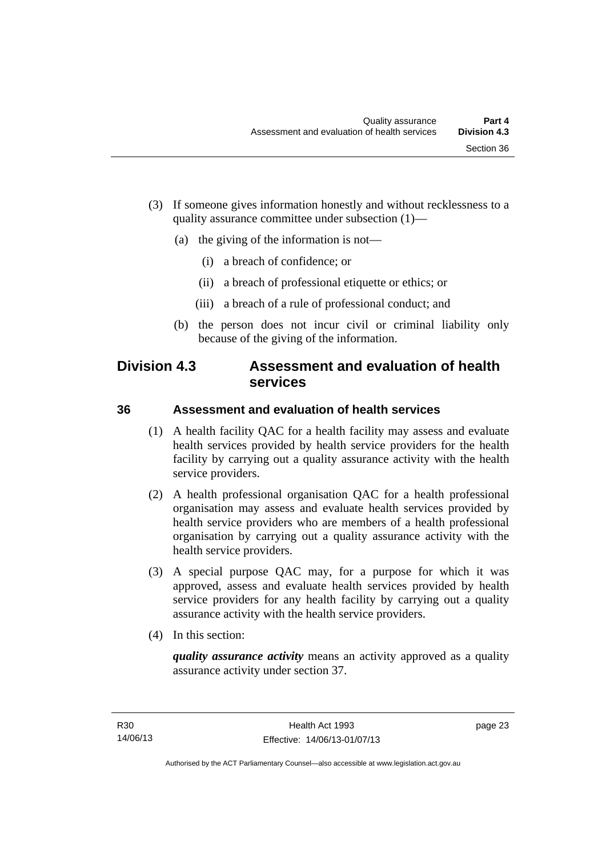- (3) If someone gives information honestly and without recklessness to a quality assurance committee under subsection (1)—
	- (a) the giving of the information is not—
		- (i) a breach of confidence; or
		- (ii) a breach of professional etiquette or ethics; or
		- (iii) a breach of a rule of professional conduct; and
	- (b) the person does not incur civil or criminal liability only because of the giving of the information.

### <span id="page-30-0"></span>**Division 4.3 Assessment and evaluation of health services**

#### <span id="page-30-1"></span>**36 Assessment and evaluation of health services**

- (1) A health facility QAC for a health facility may assess and evaluate health services provided by health service providers for the health facility by carrying out a quality assurance activity with the health service providers.
- (2) A health professional organisation QAC for a health professional organisation may assess and evaluate health services provided by health service providers who are members of a health professional organisation by carrying out a quality assurance activity with the health service providers.
- (3) A special purpose QAC may, for a purpose for which it was approved, assess and evaluate health services provided by health service providers for any health facility by carrying out a quality assurance activity with the health service providers.
- (4) In this section:

*quality assurance activity* means an activity approved as a quality assurance activity under section 37.

page 23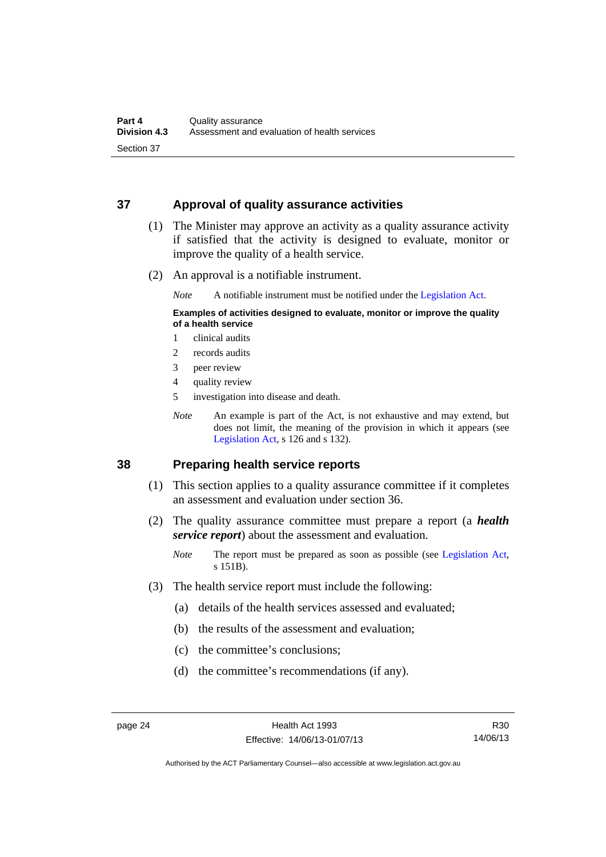#### <span id="page-31-0"></span>**37 Approval of quality assurance activities**

- (1) The Minister may approve an activity as a quality assurance activity if satisfied that the activity is designed to evaluate, monitor or improve the quality of a health service.
- (2) An approval is a notifiable instrument.

*Note* A notifiable instrument must be notified under the [Legislation Act](http://www.legislation.act.gov.au/a/2001-14).

#### **Examples of activities designed to evaluate, monitor or improve the quality of a health service**

- 1 clinical audits
- 2 records audits
- 3 peer review
- 4 quality review
- 5 investigation into disease and death.
- *Note* An example is part of the Act, is not exhaustive and may extend, but does not limit, the meaning of the provision in which it appears (see [Legislation Act,](http://www.legislation.act.gov.au/a/2001-14) s 126 and s 132).

#### <span id="page-31-1"></span>**38 Preparing health service reports**

- (1) This section applies to a quality assurance committee if it completes an assessment and evaluation under section 36.
- (2) The quality assurance committee must prepare a report (a *health service report*) about the assessment and evaluation.
	- *Note* The report must be prepared as soon as possible (see [Legislation Act,](http://www.legislation.act.gov.au/a/2001-14) s 151B).
- (3) The health service report must include the following:
	- (a) details of the health services assessed and evaluated;
	- (b) the results of the assessment and evaluation;
	- (c) the committee's conclusions;
	- (d) the committee's recommendations (if any).

Authorised by the ACT Parliamentary Counsel—also accessible at www.legislation.act.gov.au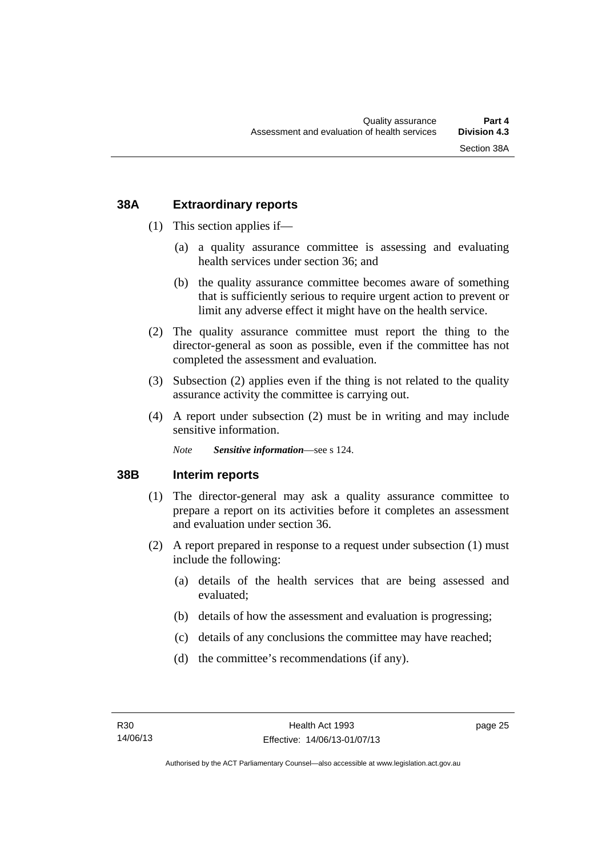#### <span id="page-32-0"></span>**38A Extraordinary reports**

- (1) This section applies if—
	- (a) a quality assurance committee is assessing and evaluating health services under section 36; and
	- (b) the quality assurance committee becomes aware of something that is sufficiently serious to require urgent action to prevent or limit any adverse effect it might have on the health service.
- (2) The quality assurance committee must report the thing to the director-general as soon as possible, even if the committee has not completed the assessment and evaluation.
- (3) Subsection (2) applies even if the thing is not related to the quality assurance activity the committee is carrying out.
- (4) A report under subsection (2) must be in writing and may include sensitive information.

*Note Sensitive information*—see s 124.

#### <span id="page-32-1"></span>**38B Interim reports**

- (1) The director-general may ask a quality assurance committee to prepare a report on its activities before it completes an assessment and evaluation under section 36.
- (2) A report prepared in response to a request under subsection (1) must include the following:
	- (a) details of the health services that are being assessed and evaluated;
	- (b) details of how the assessment and evaluation is progressing;
	- (c) details of any conclusions the committee may have reached;
	- (d) the committee's recommendations (if any).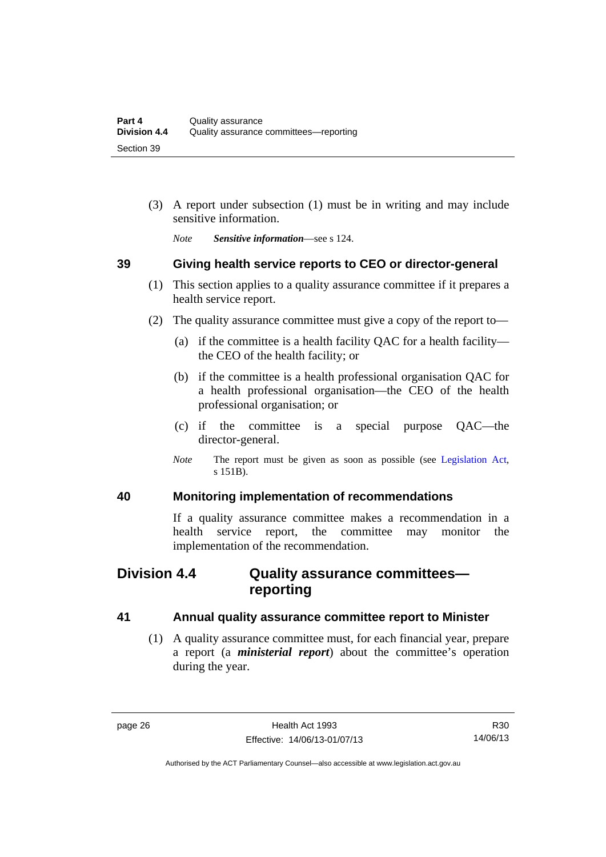(3) A report under subsection (1) must be in writing and may include sensitive information.

*Note Sensitive information*—see s 124.

#### <span id="page-33-0"></span>**39 Giving health service reports to CEO or director-general**

- (1) This section applies to a quality assurance committee if it prepares a health service report.
- (2) The quality assurance committee must give a copy of the report to—
	- (a) if the committee is a health facility QAC for a health facility the CEO of the health facility; or
	- (b) if the committee is a health professional organisation QAC for a health professional organisation—the CEO of the health professional organisation; or
	- (c) if the committee is a special purpose QAC—the director-general.
	- *Note* The report must be given as soon as possible (see [Legislation Act,](http://www.legislation.act.gov.au/a/2001-14) s 151B).

#### <span id="page-33-1"></span>**40 Monitoring implementation of recommendations**

If a quality assurance committee makes a recommendation in a health service report, the committee may monitor the implementation of the recommendation.

### <span id="page-33-2"></span>**Division 4.4 Quality assurance committees reporting**

#### <span id="page-33-3"></span>**41 Annual quality assurance committee report to Minister**

 (1) A quality assurance committee must, for each financial year, prepare a report (a *ministerial report*) about the committee's operation during the year.

Authorised by the ACT Parliamentary Counsel—also accessible at www.legislation.act.gov.au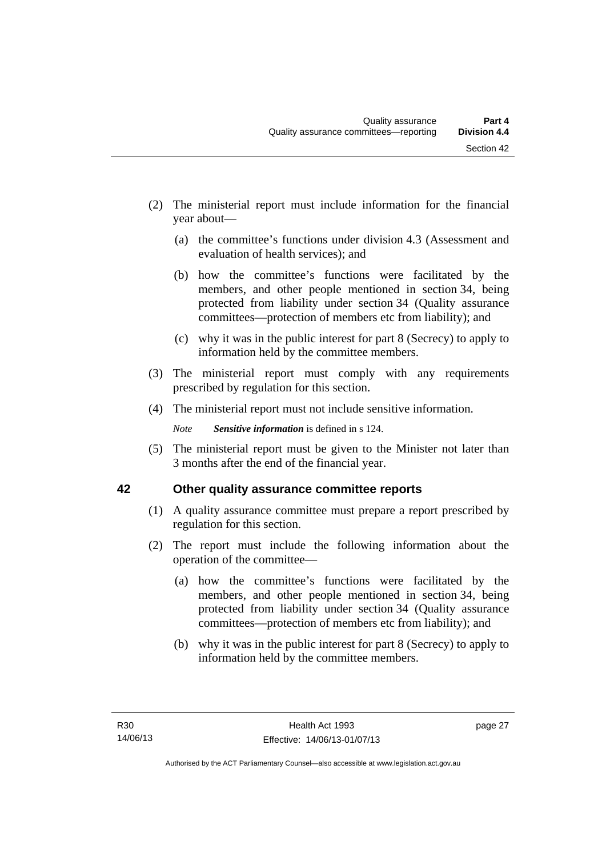- (2) The ministerial report must include information for the financial year about—
	- (a) the committee's functions under division 4.3 (Assessment and evaluation of health services); and
	- (b) how the committee's functions were facilitated by the members, and other people mentioned in section 34, being protected from liability under section 34 (Quality assurance committees—protection of members etc from liability); and
	- (c) why it was in the public interest for part 8 (Secrecy) to apply to information held by the committee members.
- (3) The ministerial report must comply with any requirements prescribed by regulation for this section.
- (4) The ministerial report must not include sensitive information.

*Note Sensitive information* is defined in s 124.

 (5) The ministerial report must be given to the Minister not later than 3 months after the end of the financial year.

### <span id="page-34-0"></span>**42 Other quality assurance committee reports**

- (1) A quality assurance committee must prepare a report prescribed by regulation for this section.
- (2) The report must include the following information about the operation of the committee—
	- (a) how the committee's functions were facilitated by the members, and other people mentioned in section 34, being protected from liability under section 34 (Quality assurance committees—protection of members etc from liability); and
	- (b) why it was in the public interest for part 8 (Secrecy) to apply to information held by the committee members.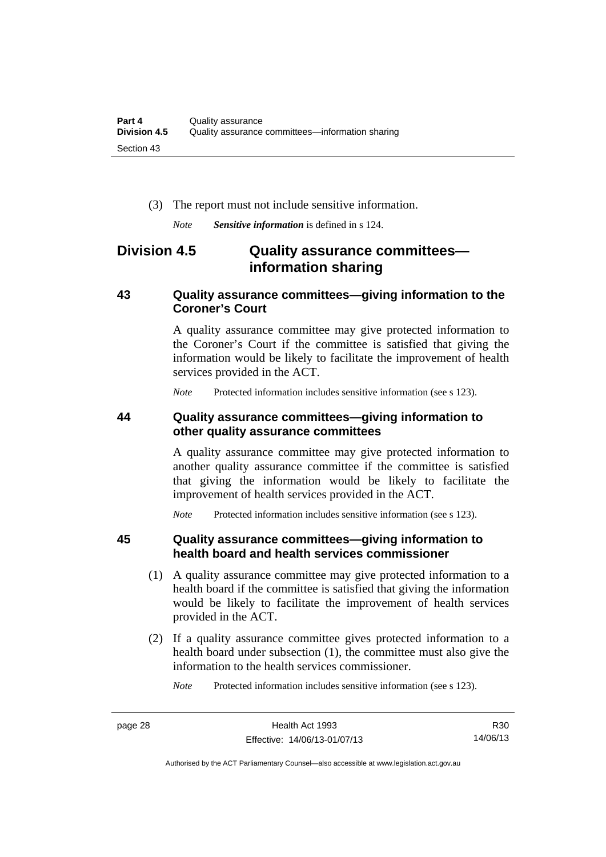(3) The report must not include sensitive information.

*Note Sensitive information* is defined in s 124.

### <span id="page-35-0"></span>**Division 4.5 Quality assurance committees information sharing**

#### <span id="page-35-1"></span>**43 Quality assurance committees—giving information to the Coroner's Court**

A quality assurance committee may give protected information to the Coroner's Court if the committee is satisfied that giving the information would be likely to facilitate the improvement of health services provided in the ACT.

*Note* Protected information includes sensitive information (see s 123).

#### <span id="page-35-2"></span>**44 Quality assurance committees—giving information to other quality assurance committees**

A quality assurance committee may give protected information to another quality assurance committee if the committee is satisfied that giving the information would be likely to facilitate the improvement of health services provided in the ACT.

*Note* Protected information includes sensitive information (see s 123).

#### <span id="page-35-3"></span>**45 Quality assurance committees—giving information to health board and health services commissioner**

- (1) A quality assurance committee may give protected information to a health board if the committee is satisfied that giving the information would be likely to facilitate the improvement of health services provided in the ACT.
- (2) If a quality assurance committee gives protected information to a health board under subsection (1), the committee must also give the information to the health services commissioner.

*Note* Protected information includes sensitive information (see s 123).

R30 14/06/13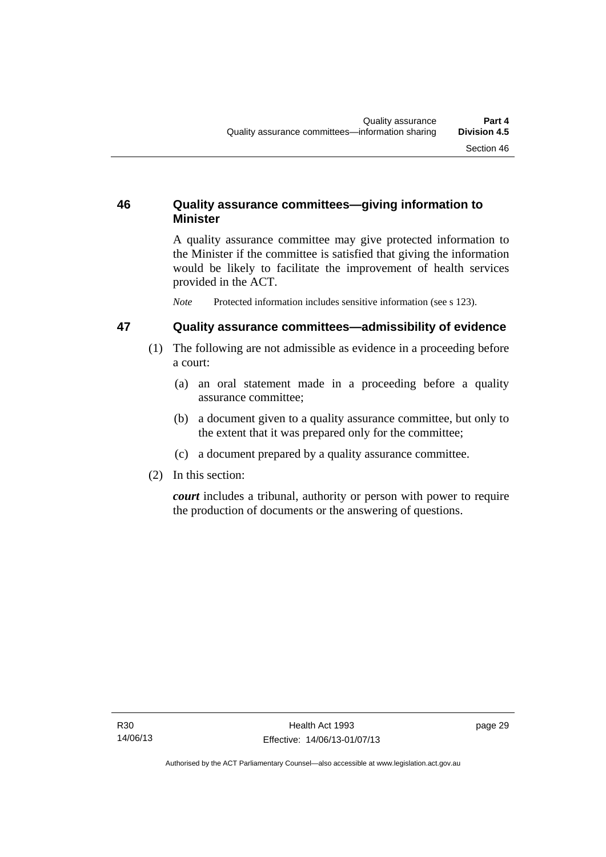## **46 Quality assurance committees—giving information to Minister**

A quality assurance committee may give protected information to the Minister if the committee is satisfied that giving the information would be likely to facilitate the improvement of health services provided in the ACT.

*Note* Protected information includes sensitive information (see s 123).

#### **47 Quality assurance committees—admissibility of evidence**

- (1) The following are not admissible as evidence in a proceeding before a court:
	- (a) an oral statement made in a proceeding before a quality assurance committee;
	- (b) a document given to a quality assurance committee, but only to the extent that it was prepared only for the committee;
	- (c) a document prepared by a quality assurance committee.
- (2) In this section:

*court* includes a tribunal, authority or person with power to require the production of documents or the answering of questions.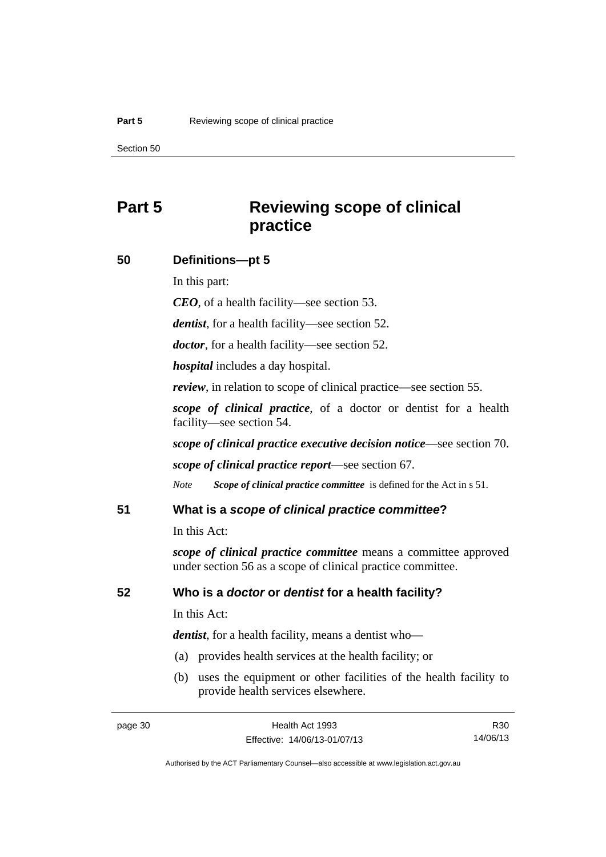# **Part 5 Reviewing scope of clinical practice**

#### **50 Definitions—pt 5**

In this part:

*CEO*, of a health facility—see section 53.

*dentist*, for a health facility—see section 52.

*doctor*, for a health facility—see section 52.

*hospital* includes a day hospital.

*review*, in relation to scope of clinical practice—see section 55.

*scope of clinical practice*, of a doctor or dentist for a health facility—see section 54.

*scope of clinical practice executive decision notice*—see section 70.

*scope of clinical practice report*—see section 67.

*Note Scope of clinical practice committee* is defined for the Act in s 51.

#### **51 What is a** *scope of clinical practice committee***?**

In this Act:

*scope of clinical practice committee* means a committee approved under section 56 as a scope of clinical practice committee.

#### **52 Who is a** *doctor* **or** *dentist* **for a health facility?**

In this Act:

*dentist*, for a health facility, means a dentist who—

- (a) provides health services at the health facility; or
- (b) uses the equipment or other facilities of the health facility to provide health services elsewhere.

R30 14/06/13

Authorised by the ACT Parliamentary Counsel—also accessible at www.legislation.act.gov.au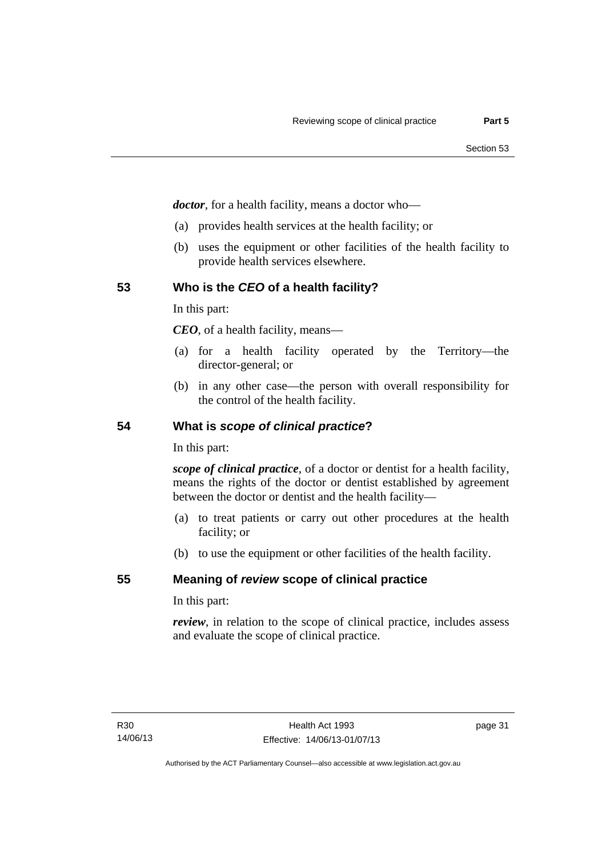*doctor*, for a health facility, means a doctor who—

- (a) provides health services at the health facility; or
- (b) uses the equipment or other facilities of the health facility to provide health services elsewhere.

#### **53 Who is the** *CEO* **of a health facility?**

In this part:

*CEO*, of a health facility, means—

- (a) for a health facility operated by the Territory—the director-general; or
- (b) in any other case—the person with overall responsibility for the control of the health facility.

#### **54 What is** *scope of clinical practice***?**

In this part:

*scope of clinical practice*, of a doctor or dentist for a health facility, means the rights of the doctor or dentist established by agreement between the doctor or dentist and the health facility—

- (a) to treat patients or carry out other procedures at the health facility; or
- (b) to use the equipment or other facilities of the health facility.

#### **55 Meaning of** *review* **scope of clinical practice**

In this part:

*review*, in relation to the scope of clinical practice, includes assess and evaluate the scope of clinical practice.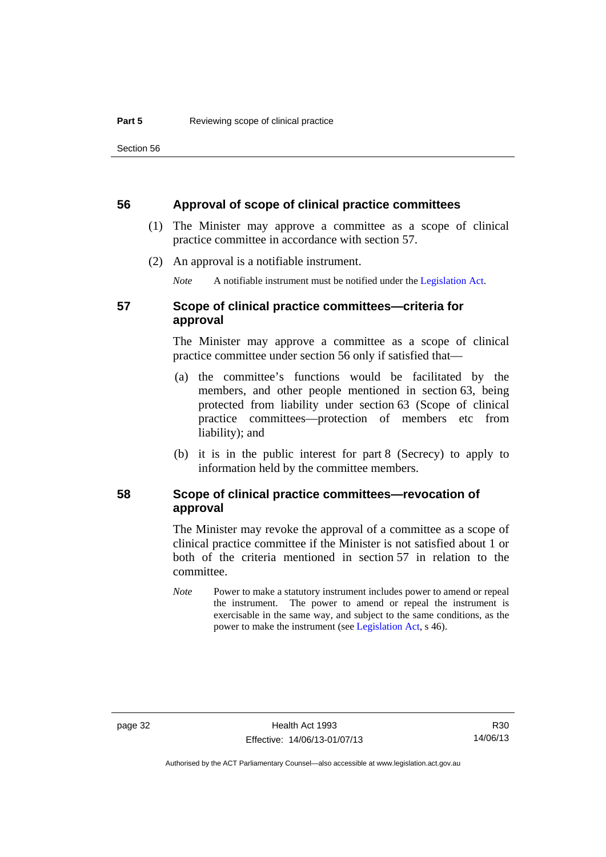#### **56 Approval of scope of clinical practice committees**

- (1) The Minister may approve a committee as a scope of clinical practice committee in accordance with section 57.
- (2) An approval is a notifiable instrument.

*Note* A notifiable instrument must be notified under the [Legislation Act](http://www.legislation.act.gov.au/a/2001-14).

### **57 Scope of clinical practice committees—criteria for approval**

The Minister may approve a committee as a scope of clinical practice committee under section 56 only if satisfied that—

- (a) the committee's functions would be facilitated by the members, and other people mentioned in section 63, being protected from liability under section 63 (Scope of clinical practice committees—protection of members etc from liability); and
- (b) it is in the public interest for part 8 (Secrecy) to apply to information held by the committee members.

#### **58 Scope of clinical practice committees—revocation of approval**

The Minister may revoke the approval of a committee as a scope of clinical practice committee if the Minister is not satisfied about 1 or both of the criteria mentioned in section 57 in relation to the committee.

*Note* Power to make a statutory instrument includes power to amend or repeal the instrument. The power to amend or repeal the instrument is exercisable in the same way, and subject to the same conditions, as the power to make the instrument (see [Legislation Act,](http://www.legislation.act.gov.au/a/2001-14) s 46).

Authorised by the ACT Parliamentary Counsel—also accessible at www.legislation.act.gov.au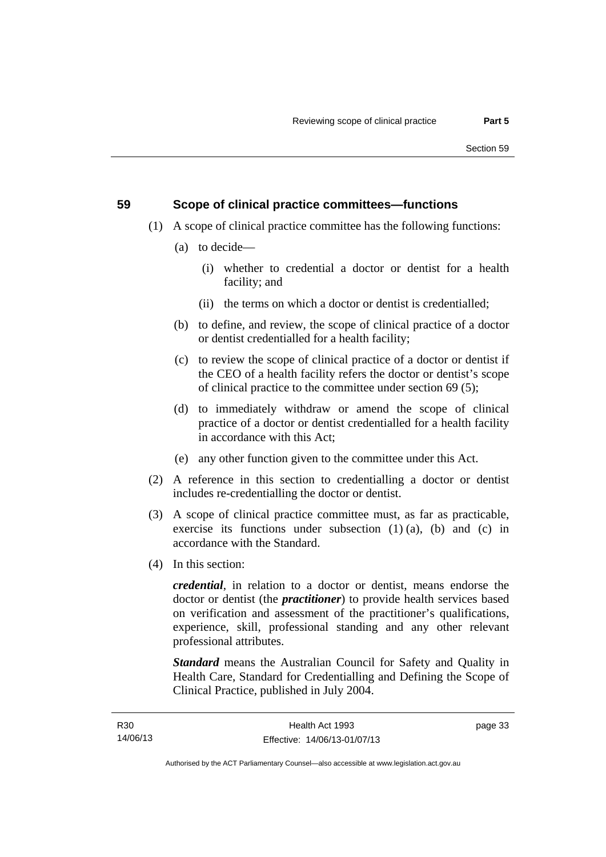## **59 Scope of clinical practice committees—functions**

- (1) A scope of clinical practice committee has the following functions:
	- (a) to decide—
		- (i) whether to credential a doctor or dentist for a health facility; and
		- (ii) the terms on which a doctor or dentist is credentialled;
	- (b) to define, and review, the scope of clinical practice of a doctor or dentist credentialled for a health facility;
	- (c) to review the scope of clinical practice of a doctor or dentist if the CEO of a health facility refers the doctor or dentist's scope of clinical practice to the committee under section 69 (5);
	- (d) to immediately withdraw or amend the scope of clinical practice of a doctor or dentist credentialled for a health facility in accordance with this Act;
	- (e) any other function given to the committee under this Act.
- (2) A reference in this section to credentialling a doctor or dentist includes re-credentialling the doctor or dentist.
- (3) A scope of clinical practice committee must, as far as practicable, exercise its functions under subsection  $(1)$   $(a)$ ,  $(b)$  and  $(c)$  in accordance with the Standard.
- (4) In this section:

*credential*, in relation to a doctor or dentist, means endorse the doctor or dentist (the *practitioner*) to provide health services based on verification and assessment of the practitioner's qualifications, experience, skill, professional standing and any other relevant professional attributes.

*Standard* means the Australian Council for Safety and Quality in Health Care, Standard for Credentialling and Defining the Scope of Clinical Practice, published in July 2004.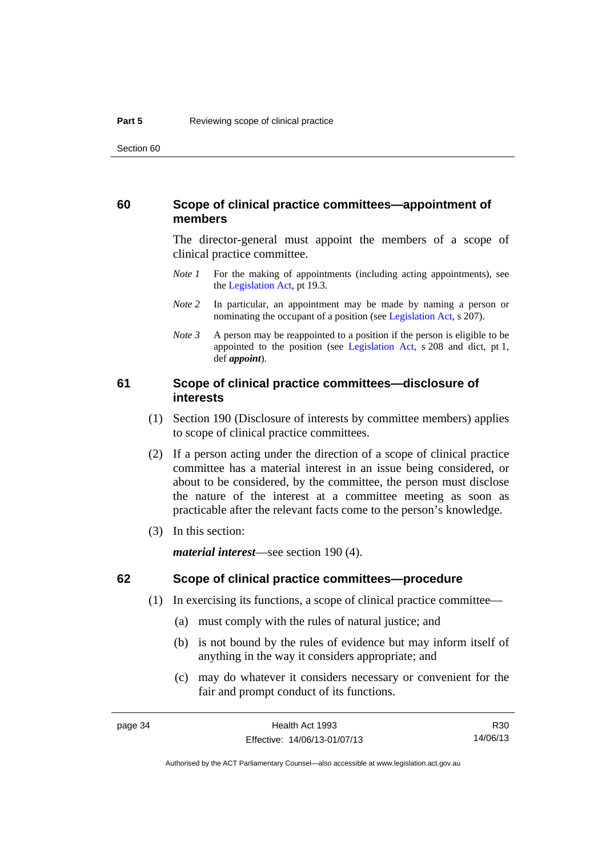#### **60 Scope of clinical practice committees—appointment of members**

The director-general must appoint the members of a scope of clinical practice committee.

- *Note 1* For the making of appointments (including acting appointments), see the [Legislation Act,](http://www.legislation.act.gov.au/a/2001-14) pt 19.3.
- *Note* 2 In particular, an appointment may be made by naming a person or nominating the occupant of a position (see [Legislation Act](http://www.legislation.act.gov.au/a/2001-14), s 207).
- *Note 3* A person may be reappointed to a position if the person is eligible to be appointed to the position (see [Legislation Act,](http://www.legislation.act.gov.au/a/2001-14) s 208 and dict, pt 1, def *appoint*).

#### **61 Scope of clinical practice committees—disclosure of interests**

- (1) Section 190 (Disclosure of interests by committee members) applies to scope of clinical practice committees.
- (2) If a person acting under the direction of a scope of clinical practice committee has a material interest in an issue being considered, or about to be considered, by the committee, the person must disclose the nature of the interest at a committee meeting as soon as practicable after the relevant facts come to the person's knowledge.
- (3) In this section:

*material interest*—see section 190 (4).

#### **62 Scope of clinical practice committees—procedure**

- (1) In exercising its functions, a scope of clinical practice committee—
	- (a) must comply with the rules of natural justice; and
	- (b) is not bound by the rules of evidence but may inform itself of anything in the way it considers appropriate; and
	- (c) may do whatever it considers necessary or convenient for the fair and prompt conduct of its functions.

Authorised by the ACT Parliamentary Counsel—also accessible at www.legislation.act.gov.au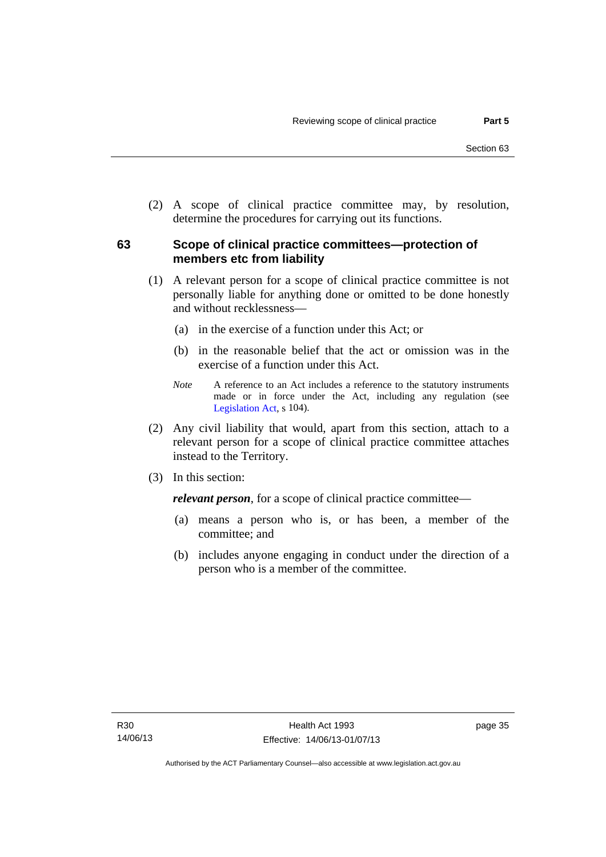(2) A scope of clinical practice committee may, by resolution, determine the procedures for carrying out its functions.

# **63 Scope of clinical practice committees—protection of members etc from liability**

- (1) A relevant person for a scope of clinical practice committee is not personally liable for anything done or omitted to be done honestly and without recklessness—
	- (a) in the exercise of a function under this Act; or
	- (b) in the reasonable belief that the act or omission was in the exercise of a function under this Act.
	- *Note* A reference to an Act includes a reference to the statutory instruments made or in force under the Act, including any regulation (see [Legislation Act,](http://www.legislation.act.gov.au/a/2001-14) s 104).
- (2) Any civil liability that would, apart from this section, attach to a relevant person for a scope of clinical practice committee attaches instead to the Territory.
- (3) In this section:

*relevant person*, for a scope of clinical practice committee—

- (a) means a person who is, or has been, a member of the committee; and
- (b) includes anyone engaging in conduct under the direction of a person who is a member of the committee.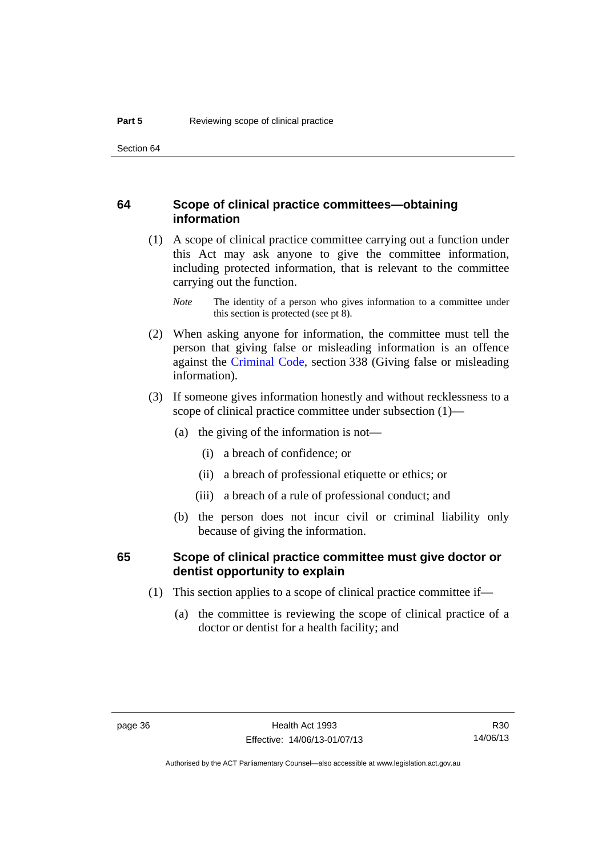#### **64 Scope of clinical practice committees—obtaining information**

 (1) A scope of clinical practice committee carrying out a function under this Act may ask anyone to give the committee information, including protected information, that is relevant to the committee carrying out the function.

- (2) When asking anyone for information, the committee must tell the person that giving false or misleading information is an offence against the [Criminal Code](http://www.legislation.act.gov.au/a/2002-51), section 338 (Giving false or misleading information).
- (3) If someone gives information honestly and without recklessness to a scope of clinical practice committee under subsection (1)—
	- (a) the giving of the information is not—
		- (i) a breach of confidence; or
		- (ii) a breach of professional etiquette or ethics; or
		- (iii) a breach of a rule of professional conduct; and
	- (b) the person does not incur civil or criminal liability only because of giving the information.

#### **65 Scope of clinical practice committee must give doctor or dentist opportunity to explain**

- (1) This section applies to a scope of clinical practice committee if—
	- (a) the committee is reviewing the scope of clinical practice of a doctor or dentist for a health facility; and

*Note* The identity of a person who gives information to a committee under this section is protected (see pt 8).

R30 14/06/13

Authorised by the ACT Parliamentary Counsel—also accessible at www.legislation.act.gov.au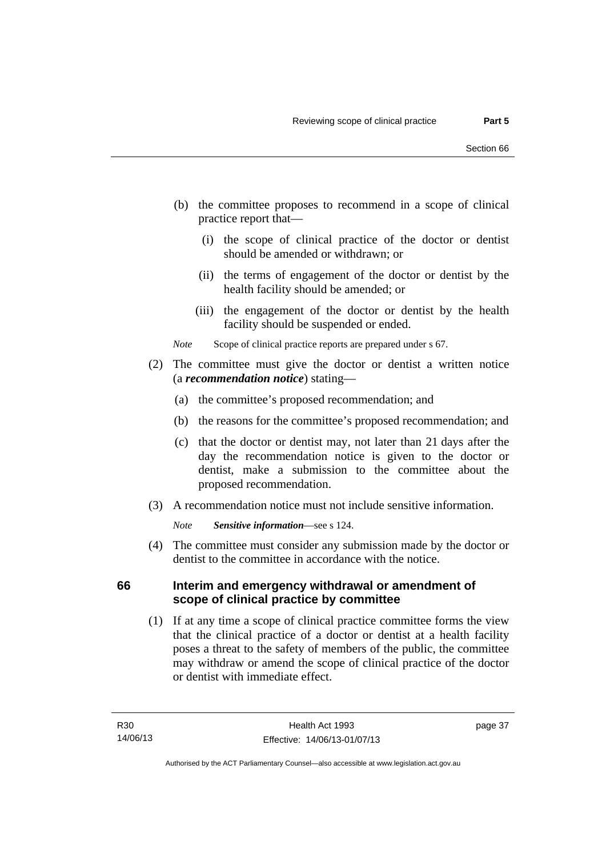- (b) the committee proposes to recommend in a scope of clinical practice report that—
	- (i) the scope of clinical practice of the doctor or dentist should be amended or withdrawn; or
	- (ii) the terms of engagement of the doctor or dentist by the health facility should be amended; or
	- (iii) the engagement of the doctor or dentist by the health facility should be suspended or ended.

*Note* Scope of clinical practice reports are prepared under s 67.

- (2) The committee must give the doctor or dentist a written notice (a *recommendation notice*) stating—
	- (a) the committee's proposed recommendation; and
	- (b) the reasons for the committee's proposed recommendation; and
	- (c) that the doctor or dentist may, not later than 21 days after the day the recommendation notice is given to the doctor or dentist, make a submission to the committee about the proposed recommendation.
- (3) A recommendation notice must not include sensitive information.

*Note Sensitive information*—see s 124.

 (4) The committee must consider any submission made by the doctor or dentist to the committee in accordance with the notice.

### **66 Interim and emergency withdrawal or amendment of scope of clinical practice by committee**

 (1) If at any time a scope of clinical practice committee forms the view that the clinical practice of a doctor or dentist at a health facility poses a threat to the safety of members of the public, the committee may withdraw or amend the scope of clinical practice of the doctor or dentist with immediate effect.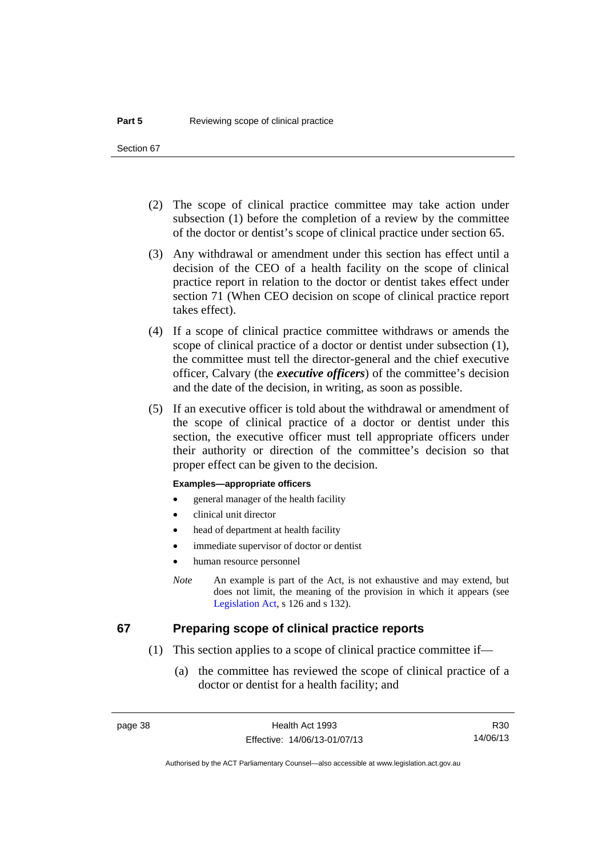- (2) The scope of clinical practice committee may take action under subsection (1) before the completion of a review by the committee of the doctor or dentist's scope of clinical practice under section 65.
- (3) Any withdrawal or amendment under this section has effect until a decision of the CEO of a health facility on the scope of clinical practice report in relation to the doctor or dentist takes effect under section 71 (When CEO decision on scope of clinical practice report takes effect).
- (4) If a scope of clinical practice committee withdraws or amends the scope of clinical practice of a doctor or dentist under subsection (1), the committee must tell the director-general and the chief executive officer, Calvary (the *executive officers*) of the committee's decision and the date of the decision, in writing, as soon as possible.
- (5) If an executive officer is told about the withdrawal or amendment of the scope of clinical practice of a doctor or dentist under this section, the executive officer must tell appropriate officers under their authority or direction of the committee's decision so that proper effect can be given to the decision.

#### **Examples—appropriate officers**

- general manager of the health facility
- clinical unit director
- head of department at health facility
- immediate supervisor of doctor or dentist
- human resource personnel
- *Note* An example is part of the Act, is not exhaustive and may extend, but does not limit, the meaning of the provision in which it appears (see [Legislation Act,](http://www.legislation.act.gov.au/a/2001-14) s 126 and s 132).

#### **67 Preparing scope of clinical practice reports**

- (1) This section applies to a scope of clinical practice committee if—
	- (a) the committee has reviewed the scope of clinical practice of a doctor or dentist for a health facility; and

R30 14/06/13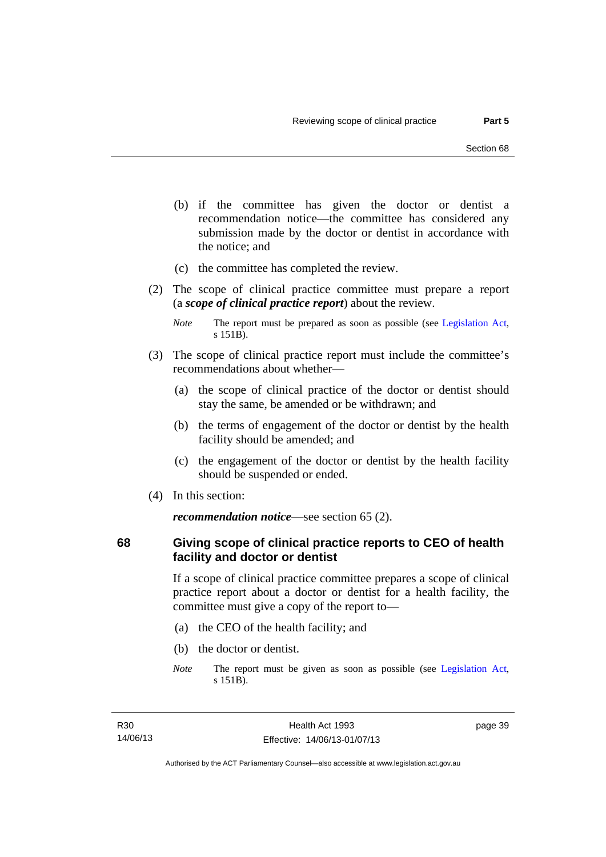- (b) if the committee has given the doctor or dentist a recommendation notice—the committee has considered any submission made by the doctor or dentist in accordance with the notice; and
- (c) the committee has completed the review.
- (2) The scope of clinical practice committee must prepare a report (a *scope of clinical practice report*) about the review.

- (3) The scope of clinical practice report must include the committee's recommendations about whether—
	- (a) the scope of clinical practice of the doctor or dentist should stay the same, be amended or be withdrawn; and
	- (b) the terms of engagement of the doctor or dentist by the health facility should be amended; and
	- (c) the engagement of the doctor or dentist by the health facility should be suspended or ended.
- (4) In this section:

*recommendation notice*—see section 65 (2).

### **68 Giving scope of clinical practice reports to CEO of health facility and doctor or dentist**

If a scope of clinical practice committee prepares a scope of clinical practice report about a doctor or dentist for a health facility, the committee must give a copy of the report to—

- (a) the CEO of the health facility; and
- (b) the doctor or dentist.
- *Note* The report must be given as soon as possible (see [Legislation Act,](http://www.legislation.act.gov.au/a/2001-14) s 151B).

*Note* The report must be prepared as soon as possible (see [Legislation Act,](http://www.legislation.act.gov.au/a/2001-14) s 151B).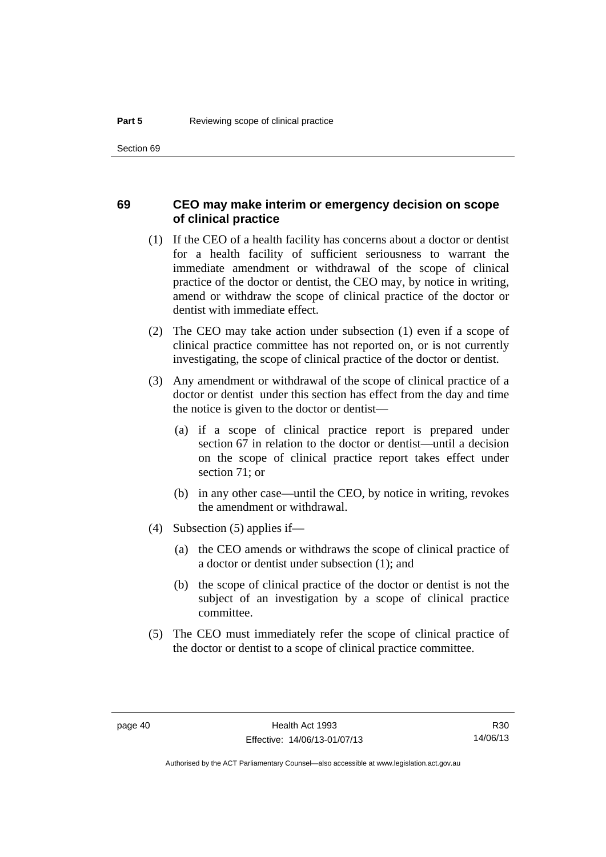#### **69 CEO may make interim or emergency decision on scope of clinical practice**

- (1) If the CEO of a health facility has concerns about a doctor or dentist for a health facility of sufficient seriousness to warrant the immediate amendment or withdrawal of the scope of clinical practice of the doctor or dentist, the CEO may, by notice in writing, amend or withdraw the scope of clinical practice of the doctor or dentist with immediate effect.
- (2) The CEO may take action under subsection (1) even if a scope of clinical practice committee has not reported on, or is not currently investigating, the scope of clinical practice of the doctor or dentist.
- (3) Any amendment or withdrawal of the scope of clinical practice of a doctor or dentist under this section has effect from the day and time the notice is given to the doctor or dentist—
	- (a) if a scope of clinical practice report is prepared under section 67 in relation to the doctor or dentist—until a decision on the scope of clinical practice report takes effect under section 71; or
	- (b) in any other case—until the CEO, by notice in writing, revokes the amendment or withdrawal.
- (4) Subsection (5) applies if—
	- (a) the CEO amends or withdraws the scope of clinical practice of a doctor or dentist under subsection (1); and
	- (b) the scope of clinical practice of the doctor or dentist is not the subject of an investigation by a scope of clinical practice committee.
- (5) The CEO must immediately refer the scope of clinical practice of the doctor or dentist to a scope of clinical practice committee.

R30 14/06/13

Authorised by the ACT Parliamentary Counsel—also accessible at www.legislation.act.gov.au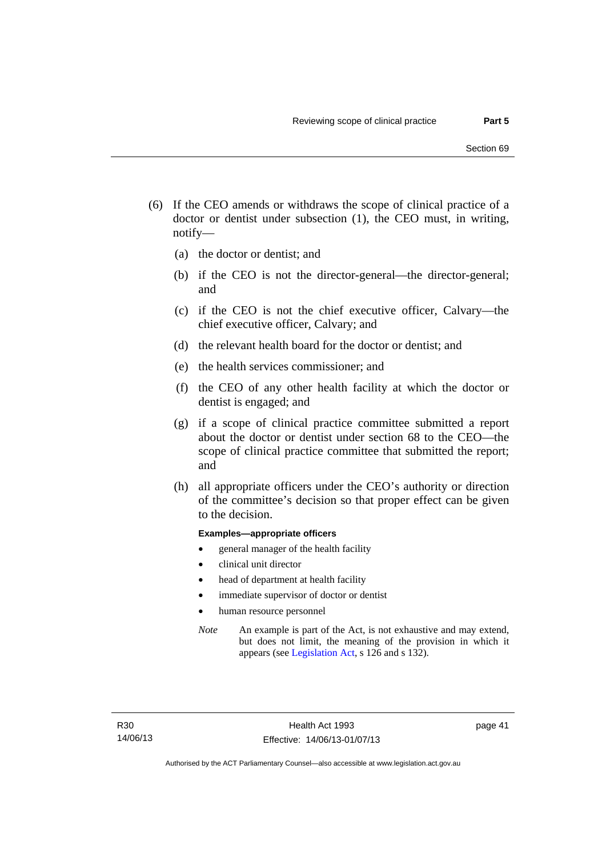- (6) If the CEO amends or withdraws the scope of clinical practice of a doctor or dentist under subsection (1), the CEO must, in writing, notify—
	- (a) the doctor or dentist; and
	- (b) if the CEO is not the director-general—the director-general; and
	- (c) if the CEO is not the chief executive officer, Calvary—the chief executive officer, Calvary; and
	- (d) the relevant health board for the doctor or dentist; and
	- (e) the health services commissioner; and
	- (f) the CEO of any other health facility at which the doctor or dentist is engaged; and
	- (g) if a scope of clinical practice committee submitted a report about the doctor or dentist under section 68 to the CEO—the scope of clinical practice committee that submitted the report; and
	- (h) all appropriate officers under the CEO's authority or direction of the committee's decision so that proper effect can be given to the decision.

#### **Examples—appropriate officers**

- general manager of the health facility
- clinical unit director
- head of department at health facility
- immediate supervisor of doctor or dentist
- human resource personnel
- *Note* An example is part of the Act, is not exhaustive and may extend, but does not limit, the meaning of the provision in which it appears (see [Legislation Act,](http://www.legislation.act.gov.au/a/2001-14) s 126 and s 132).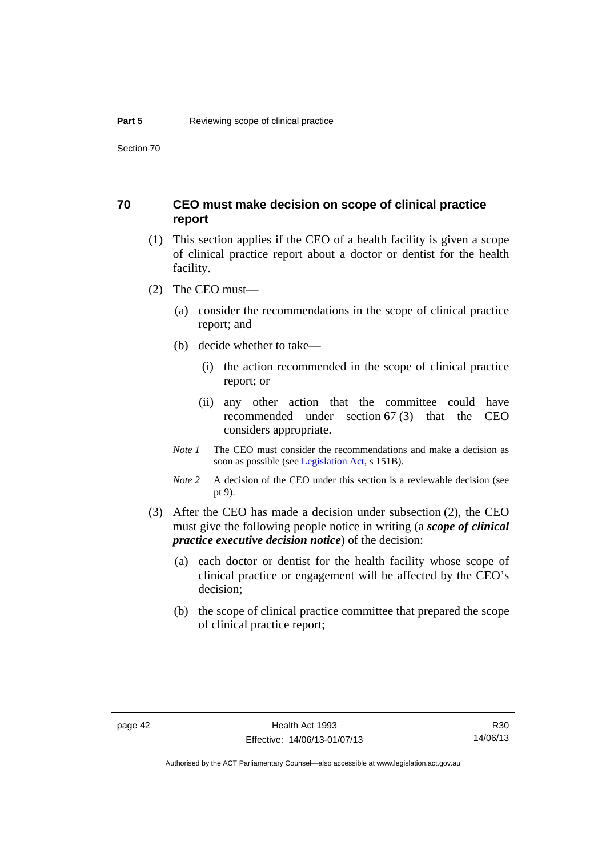### **70 CEO must make decision on scope of clinical practice report**

- (1) This section applies if the CEO of a health facility is given a scope of clinical practice report about a doctor or dentist for the health facility.
- (2) The CEO must—
	- (a) consider the recommendations in the scope of clinical practice report; and
	- (b) decide whether to take—
		- (i) the action recommended in the scope of clinical practice report; or
		- (ii) any other action that the committee could have recommended under section 67 (3) that the CEO considers appropriate.
	- *Note 1* The CEO must consider the recommendations and make a decision as soon as possible (see [Legislation Act](http://www.legislation.act.gov.au/a/2001-14), s 151B).
	- *Note* 2 A decision of the CEO under this section is a reviewable decision (see pt 9).
- (3) After the CEO has made a decision under subsection (2), the CEO must give the following people notice in writing (a *scope of clinical practice executive decision notice*) of the decision:
	- (a) each doctor or dentist for the health facility whose scope of clinical practice or engagement will be affected by the CEO's decision;
	- (b) the scope of clinical practice committee that prepared the scope of clinical practice report;

R30 14/06/13

Authorised by the ACT Parliamentary Counsel—also accessible at www.legislation.act.gov.au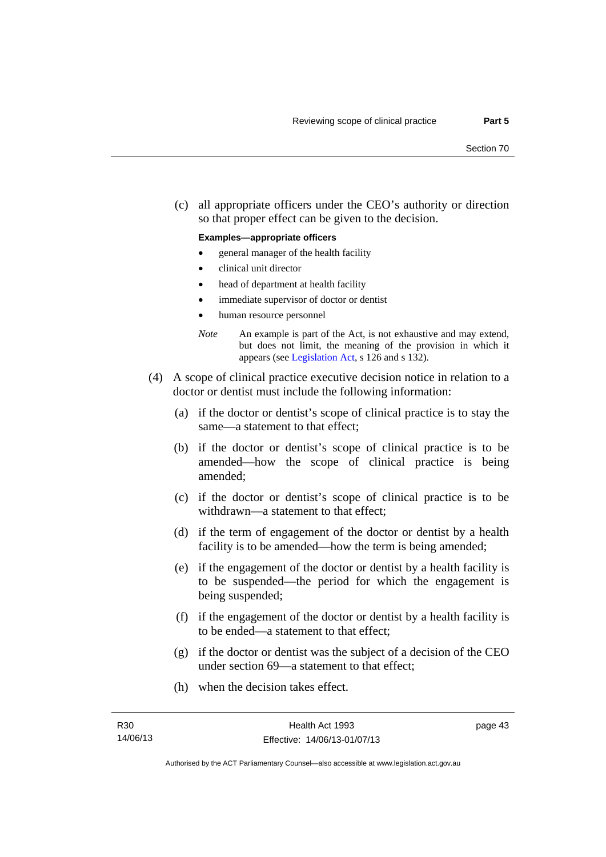(c) all appropriate officers under the CEO's authority or direction so that proper effect can be given to the decision.

#### **Examples—appropriate officers**

- general manager of the health facility
- clinical unit director
- head of department at health facility
- immediate supervisor of doctor or dentist
- human resource personnel
- *Note* An example is part of the Act, is not exhaustive and may extend, but does not limit, the meaning of the provision in which it appears (see [Legislation Act,](http://www.legislation.act.gov.au/a/2001-14) s 126 and s 132).
- (4) A scope of clinical practice executive decision notice in relation to a doctor or dentist must include the following information:
	- (a) if the doctor or dentist's scope of clinical practice is to stay the same—a statement to that effect;
	- (b) if the doctor or dentist's scope of clinical practice is to be amended—how the scope of clinical practice is being amended;
	- (c) if the doctor or dentist's scope of clinical practice is to be withdrawn—a statement to that effect;
	- (d) if the term of engagement of the doctor or dentist by a health facility is to be amended—how the term is being amended;
	- (e) if the engagement of the doctor or dentist by a health facility is to be suspended—the period for which the engagement is being suspended;
	- (f) if the engagement of the doctor or dentist by a health facility is to be ended—a statement to that effect;
	- (g) if the doctor or dentist was the subject of a decision of the CEO under section 69—a statement to that effect;
	- (h) when the decision takes effect.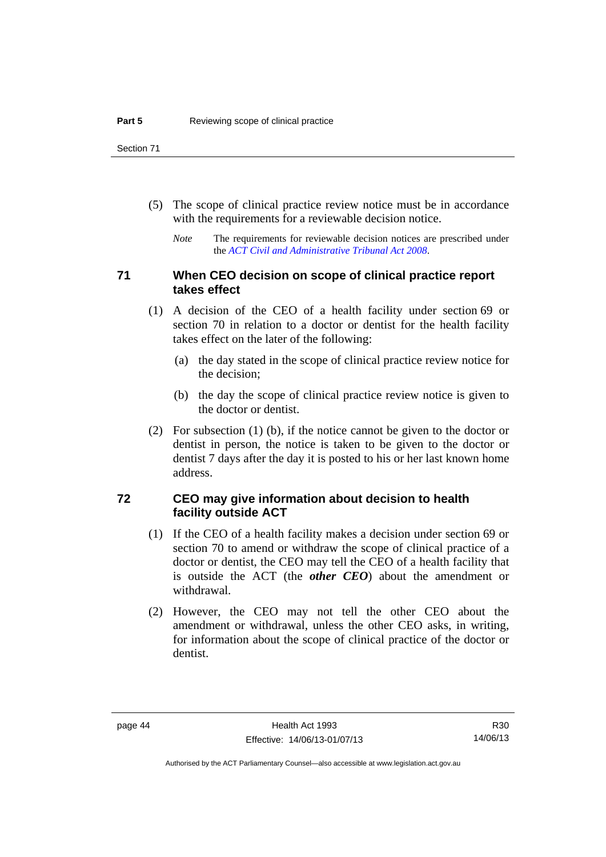- (5) The scope of clinical practice review notice must be in accordance with the requirements for a reviewable decision notice.
	- *Note* The requirements for reviewable decision notices are prescribed under the *[ACT Civil and Administrative Tribunal Act 2008](http://www.legislation.act.gov.au/a/2008-35)*.

### **71 When CEO decision on scope of clinical practice report takes effect**

- (1) A decision of the CEO of a health facility under section 69 or section 70 in relation to a doctor or dentist for the health facility takes effect on the later of the following:
	- (a) the day stated in the scope of clinical practice review notice for the decision;
	- (b) the day the scope of clinical practice review notice is given to the doctor or dentist.
- (2) For subsection (1) (b), if the notice cannot be given to the doctor or dentist in person, the notice is taken to be given to the doctor or dentist 7 days after the day it is posted to his or her last known home address.

#### **72 CEO may give information about decision to health facility outside ACT**

- (1) If the CEO of a health facility makes a decision under section 69 or section 70 to amend or withdraw the scope of clinical practice of a doctor or dentist, the CEO may tell the CEO of a health facility that is outside the ACT (the *other CEO*) about the amendment or withdrawal.
- (2) However, the CEO may not tell the other CEO about the amendment or withdrawal, unless the other CEO asks, in writing, for information about the scope of clinical practice of the doctor or dentist.

Authorised by the ACT Parliamentary Counsel—also accessible at www.legislation.act.gov.au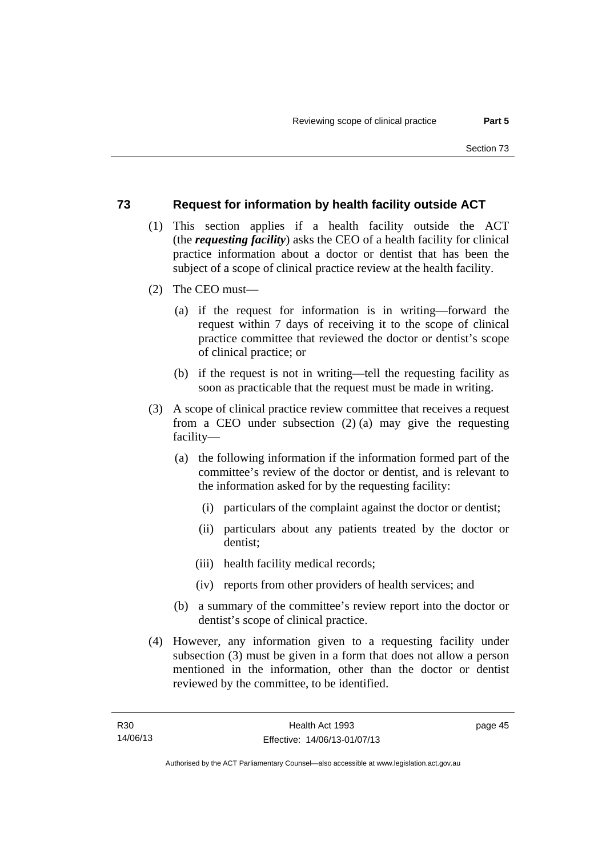#### **73 Request for information by health facility outside ACT**

- (1) This section applies if a health facility outside the ACT (the *requesting facility*) asks the CEO of a health facility for clinical practice information about a doctor or dentist that has been the subject of a scope of clinical practice review at the health facility.
- (2) The CEO must—
	- (a) if the request for information is in writing—forward the request within 7 days of receiving it to the scope of clinical practice committee that reviewed the doctor or dentist's scope of clinical practice; or
	- (b) if the request is not in writing—tell the requesting facility as soon as practicable that the request must be made in writing.
- (3) A scope of clinical practice review committee that receives a request from a CEO under subsection (2) (a) may give the requesting facility—
	- (a) the following information if the information formed part of the committee's review of the doctor or dentist, and is relevant to the information asked for by the requesting facility:
		- (i) particulars of the complaint against the doctor or dentist;
		- (ii) particulars about any patients treated by the doctor or dentist;
		- (iii) health facility medical records;
		- (iv) reports from other providers of health services; and
	- (b) a summary of the committee's review report into the doctor or dentist's scope of clinical practice.
- (4) However, any information given to a requesting facility under subsection (3) must be given in a form that does not allow a person mentioned in the information, other than the doctor or dentist reviewed by the committee, to be identified.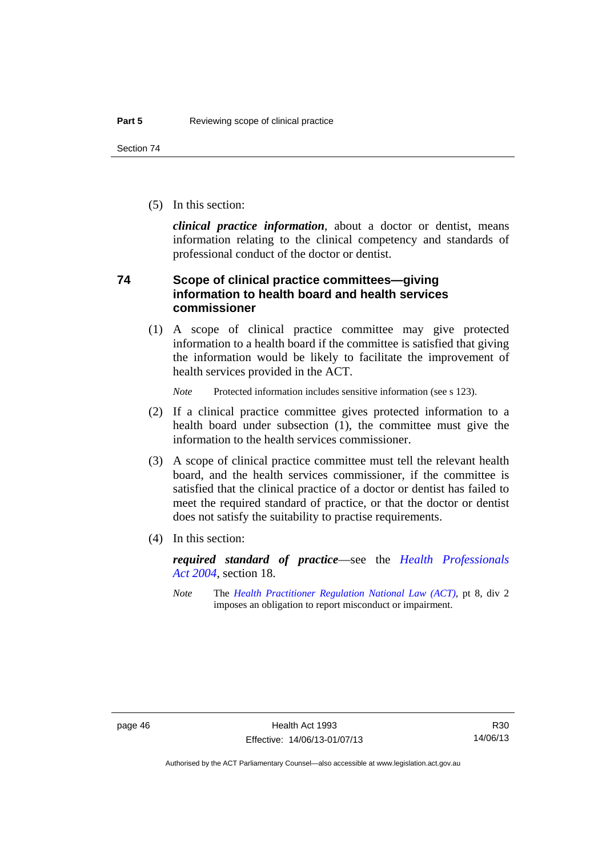(5) In this section:

*clinical practice information*, about a doctor or dentist, means information relating to the clinical competency and standards of professional conduct of the doctor or dentist.

### **74 Scope of clinical practice committees—giving information to health board and health services commissioner**

(1) A scope of clinical practice committee may give protected information to a health board if the committee is satisfied that giving the information would be likely to facilitate the improvement of health services provided in the ACT.

*Note* Protected information includes sensitive information (see s 123).

- (2) If a clinical practice committee gives protected information to a health board under subsection (1), the committee must give the information to the health services commissioner.
- (3) A scope of clinical practice committee must tell the relevant health board, and the health services commissioner, if the committee is satisfied that the clinical practice of a doctor or dentist has failed to meet the required standard of practice, or that the doctor or dentist does not satisfy the suitability to practise requirements.
- (4) In this section:

*required standard of practice*—see the *[Health Professionals](http://www.legislation.act.gov.au/a/2004-38)  [Act 2004](http://www.legislation.act.gov.au/a/2004-38)*, section 18.

*Note* The *[Health Practitioner Regulation National Law \(ACT\)](http://www.legislation.act.gov.au/a/db_39269/default.asp)*, pt 8, div 2 imposes an obligation to report misconduct or impairment.

R30 14/06/13

Authorised by the ACT Parliamentary Counsel—also accessible at www.legislation.act.gov.au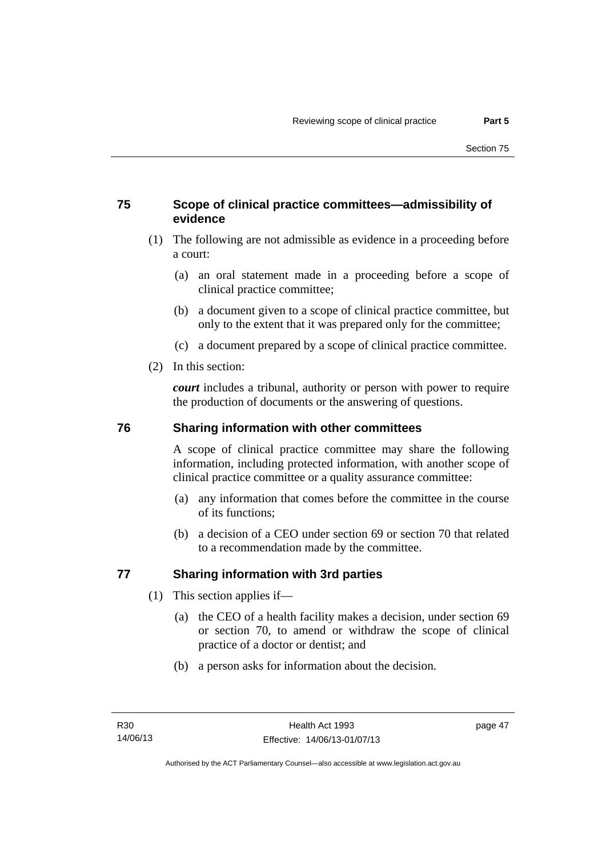# **75 Scope of clinical practice committees—admissibility of evidence**

- (1) The following are not admissible as evidence in a proceeding before a court:
	- (a) an oral statement made in a proceeding before a scope of clinical practice committee;
	- (b) a document given to a scope of clinical practice committee, but only to the extent that it was prepared only for the committee;
	- (c) a document prepared by a scope of clinical practice committee.
- (2) In this section:

*court* includes a tribunal, authority or person with power to require the production of documents or the answering of questions.

## **76 Sharing information with other committees**

A scope of clinical practice committee may share the following information, including protected information, with another scope of clinical practice committee or a quality assurance committee:

- (a) any information that comes before the committee in the course of its functions;
- (b) a decision of a CEO under section 69 or section 70 that related to a recommendation made by the committee.

# **77 Sharing information with 3rd parties**

- (1) This section applies if—
	- (a) the CEO of a health facility makes a decision, under section 69 or section 70, to amend or withdraw the scope of clinical practice of a doctor or dentist; and
	- (b) a person asks for information about the decision.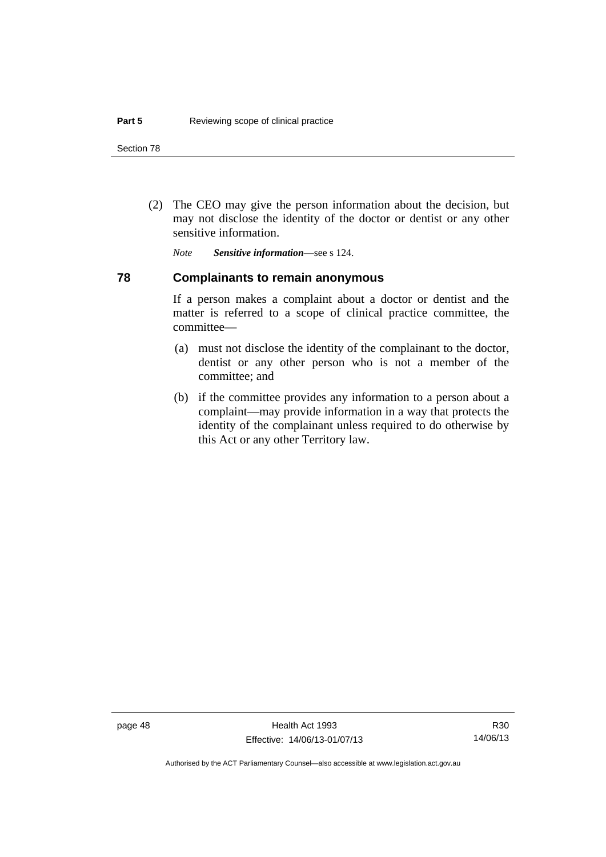(2) The CEO may give the person information about the decision, but may not disclose the identity of the doctor or dentist or any other sensitive information.

*Note Sensitive information*—see s 124.

#### **78 Complainants to remain anonymous**

If a person makes a complaint about a doctor or dentist and the matter is referred to a scope of clinical practice committee, the committee—

- (a) must not disclose the identity of the complainant to the doctor, dentist or any other person who is not a member of the committee; and
- (b) if the committee provides any information to a person about a complaint—may provide information in a way that protects the identity of the complainant unless required to do otherwise by this Act or any other Territory law.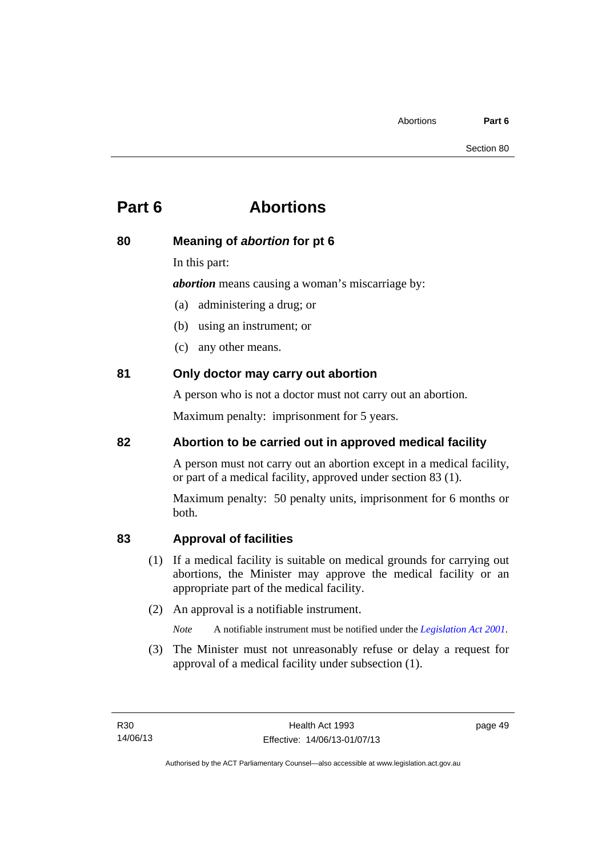# **Part 6 Abortions**

# **80 Meaning of** *abortion* **for pt 6**

In this part:

*abortion* means causing a woman's miscarriage by:

(a) administering a drug; or

- (b) using an instrument; or
- (c) any other means.

# **81 Only doctor may carry out abortion**

A person who is not a doctor must not carry out an abortion.

Maximum penalty: imprisonment for 5 years.

# **82 Abortion to be carried out in approved medical facility**

A person must not carry out an abortion except in a medical facility, or part of a medical facility, approved under section 83 (1).

Maximum penalty: 50 penalty units, imprisonment for 6 months or both.

# **83 Approval of facilities**

- (1) If a medical facility is suitable on medical grounds for carrying out abortions, the Minister may approve the medical facility or an appropriate part of the medical facility.
- (2) An approval is a notifiable instrument.

*Note* A notifiable instrument must be notified under the *[Legislation Act 2001](http://www.legislation.act.gov.au/a/2001-14)*.

 (3) The Minister must not unreasonably refuse or delay a request for approval of a medical facility under subsection (1).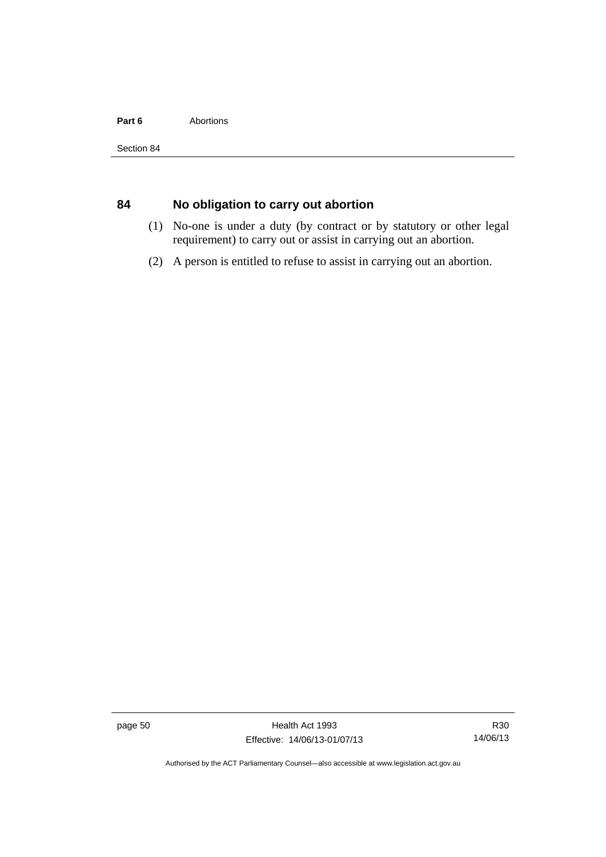#### Part 6 **Abortions**

# **84 No obligation to carry out abortion**

- (1) No-one is under a duty (by contract or by statutory or other legal requirement) to carry out or assist in carrying out an abortion.
- (2) A person is entitled to refuse to assist in carrying out an abortion.

page 50 Health Act 1993 Effective: 14/06/13-01/07/13

R30 14/06/13

Authorised by the ACT Parliamentary Counsel—also accessible at www.legislation.act.gov.au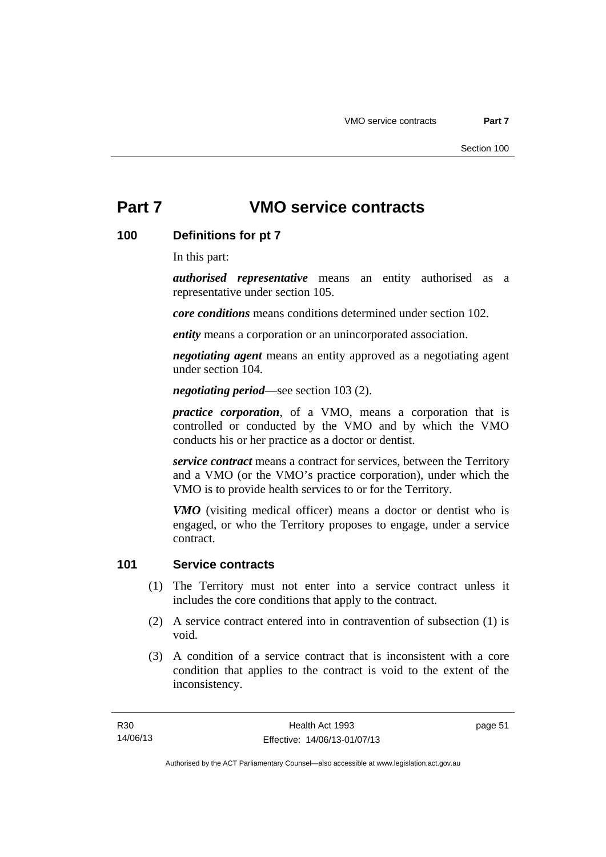### **100 Definitions for pt 7**

In this part:

*authorised representative* means an entity authorised as a representative under section 105.

*core conditions* means conditions determined under section 102.

*entity* means a corporation or an unincorporated association.

*negotiating agent* means an entity approved as a negotiating agent under section 104.

*negotiating period*—see section 103 (2).

*practice corporation*, of a VMO, means a corporation that is controlled or conducted by the VMO and by which the VMO conducts his or her practice as a doctor or dentist.

*service contract* means a contract for services, between the Territory and a VMO (or the VMO's practice corporation), under which the VMO is to provide health services to or for the Territory.

*VMO* (visiting medical officer) means a doctor or dentist who is engaged, or who the Territory proposes to engage, under a service contract.

### **101 Service contracts**

- (1) The Territory must not enter into a service contract unless it includes the core conditions that apply to the contract.
- (2) A service contract entered into in contravention of subsection (1) is void.
- (3) A condition of a service contract that is inconsistent with a core condition that applies to the contract is void to the extent of the inconsistency.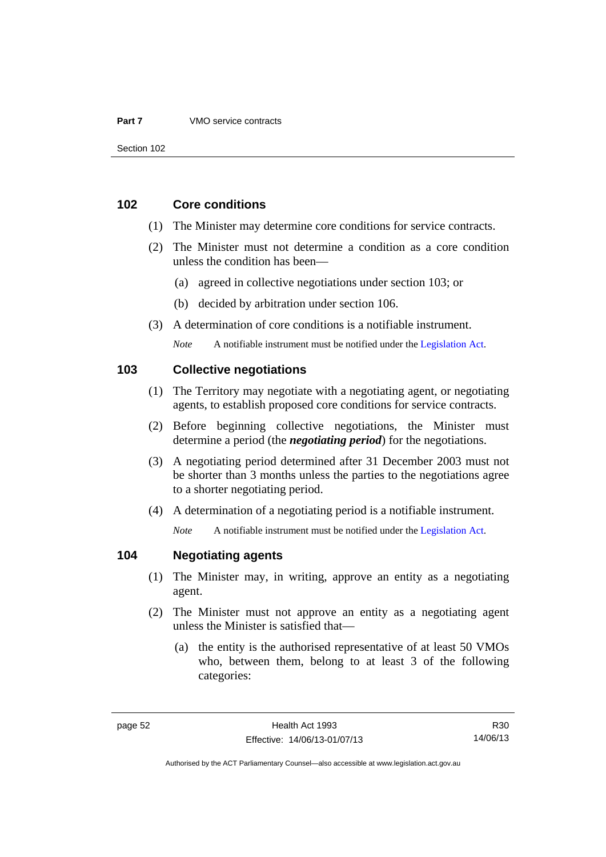#### **102 Core conditions**

- (1) The Minister may determine core conditions for service contracts.
- (2) The Minister must not determine a condition as a core condition unless the condition has been—
	- (a) agreed in collective negotiations under section 103; or
	- (b) decided by arbitration under section 106.
- (3) A determination of core conditions is a notifiable instrument.

*Note* A notifiable instrument must be notified under the [Legislation Act](http://www.legislation.act.gov.au/a/2001-14).

#### **103 Collective negotiations**

- (1) The Territory may negotiate with a negotiating agent, or negotiating agents, to establish proposed core conditions for service contracts.
- (2) Before beginning collective negotiations, the Minister must determine a period (the *negotiating period*) for the negotiations.
- (3) A negotiating period determined after 31 December 2003 must not be shorter than 3 months unless the parties to the negotiations agree to a shorter negotiating period.
- (4) A determination of a negotiating period is a notifiable instrument.

*Note* A notifiable instrument must be notified under the [Legislation Act](http://www.legislation.act.gov.au/a/2001-14).

#### **104 Negotiating agents**

- (1) The Minister may, in writing, approve an entity as a negotiating agent.
- (2) The Minister must not approve an entity as a negotiating agent unless the Minister is satisfied that—
	- (a) the entity is the authorised representative of at least 50 VMOs who, between them, belong to at least 3 of the following categories:

R30 14/06/13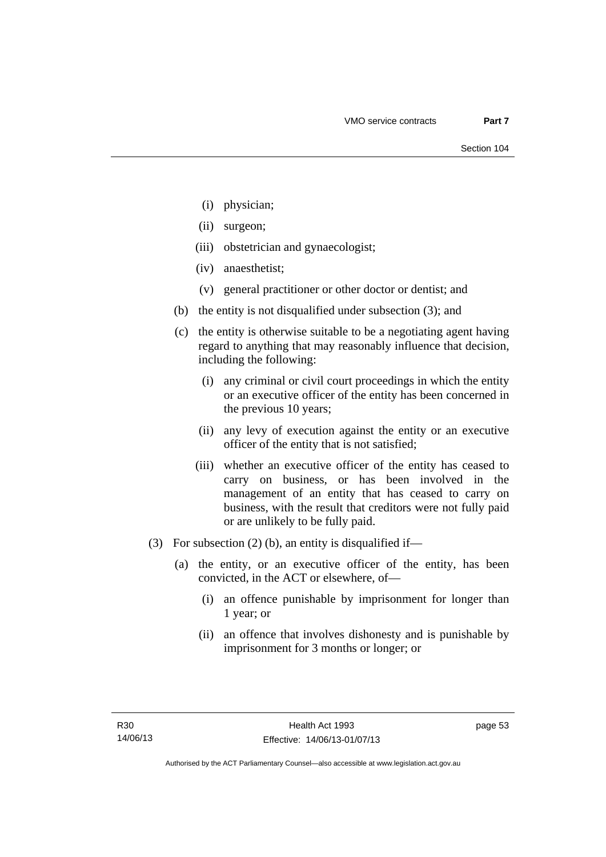- (i) physician;
- (ii) surgeon;
- (iii) obstetrician and gynaecologist;
- (iv) anaesthetist;
- (v) general practitioner or other doctor or dentist; and
- (b) the entity is not disqualified under subsection (3); and
- (c) the entity is otherwise suitable to be a negotiating agent having regard to anything that may reasonably influence that decision, including the following:
	- (i) any criminal or civil court proceedings in which the entity or an executive officer of the entity has been concerned in the previous 10 years;
	- (ii) any levy of execution against the entity or an executive officer of the entity that is not satisfied;
	- (iii) whether an executive officer of the entity has ceased to carry on business, or has been involved in the management of an entity that has ceased to carry on business, with the result that creditors were not fully paid or are unlikely to be fully paid.
- (3) For subsection (2) (b), an entity is disqualified if—
	- (a) the entity, or an executive officer of the entity, has been convicted, in the ACT or elsewhere, of—
		- (i) an offence punishable by imprisonment for longer than 1 year; or
		- (ii) an offence that involves dishonesty and is punishable by imprisonment for 3 months or longer; or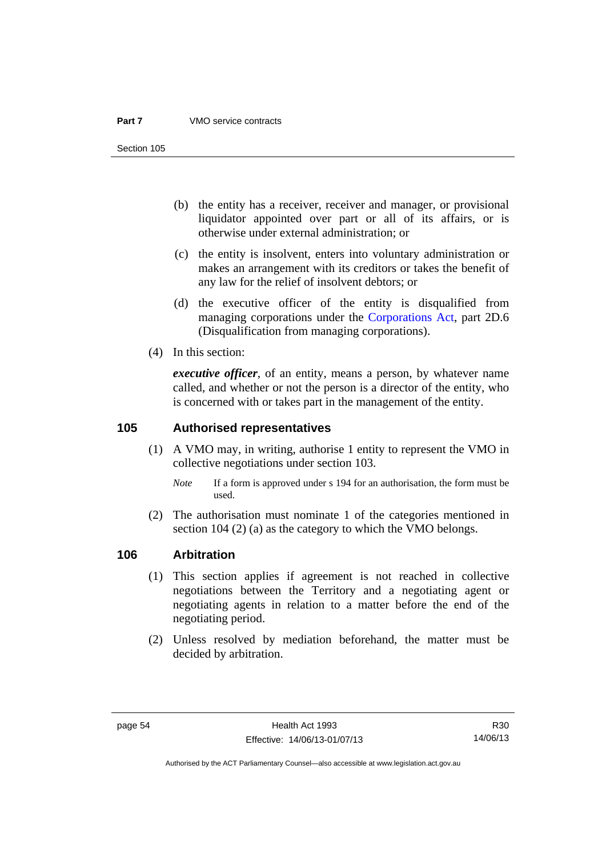Section 105

- (b) the entity has a receiver, receiver and manager, or provisional liquidator appointed over part or all of its affairs, or is otherwise under external administration; or
- (c) the entity is insolvent, enters into voluntary administration or makes an arrangement with its creditors or takes the benefit of any law for the relief of insolvent debtors; or
- (d) the executive officer of the entity is disqualified from managing corporations under the [Corporations Act](http://www.comlaw.gov.au/Series/C2004A00818), part 2D.6 (Disqualification from managing corporations).
- (4) In this section:

*executive officer*, of an entity, means a person, by whatever name called, and whether or not the person is a director of the entity, who is concerned with or takes part in the management of the entity.

#### **105 Authorised representatives**

- (1) A VMO may, in writing, authorise 1 entity to represent the VMO in collective negotiations under section 103.
	- *Note* If a form is approved under s 194 for an authorisation, the form must be used.
- (2) The authorisation must nominate 1 of the categories mentioned in section 104 (2) (a) as the category to which the VMO belongs.

#### **106 Arbitration**

- (1) This section applies if agreement is not reached in collective negotiations between the Territory and a negotiating agent or negotiating agents in relation to a matter before the end of the negotiating period.
- (2) Unless resolved by mediation beforehand, the matter must be decided by arbitration.

Authorised by the ACT Parliamentary Counsel—also accessible at www.legislation.act.gov.au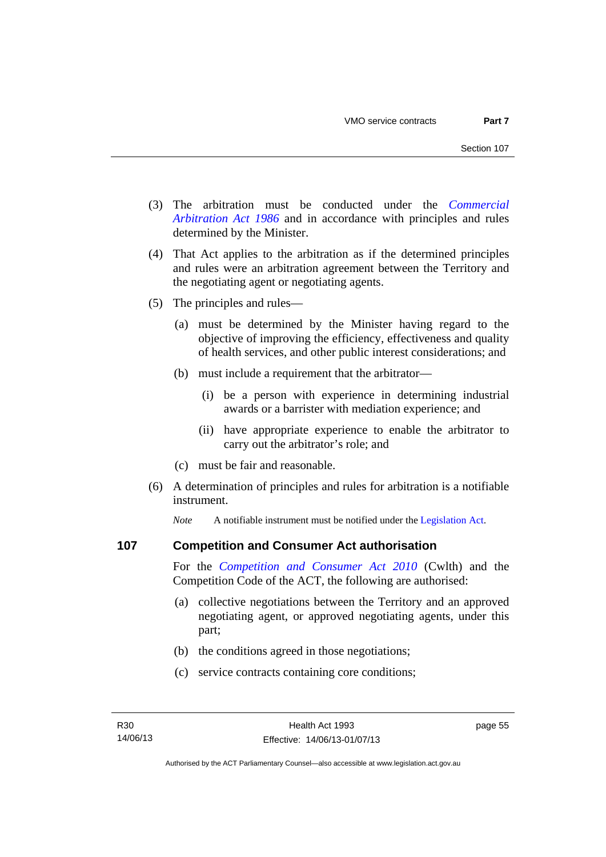- (3) The arbitration must be conducted under the *[Commercial](http://www.legislation.act.gov.au/a/1986-84)  [Arbitration Act 1986](http://www.legislation.act.gov.au/a/1986-84)* and in accordance with principles and rules determined by the Minister.
- (4) That Act applies to the arbitration as if the determined principles and rules were an arbitration agreement between the Territory and the negotiating agent or negotiating agents.
- (5) The principles and rules—
	- (a) must be determined by the Minister having regard to the objective of improving the efficiency, effectiveness and quality of health services, and other public interest considerations; and
	- (b) must include a requirement that the arbitrator—
		- (i) be a person with experience in determining industrial awards or a barrister with mediation experience; and
		- (ii) have appropriate experience to enable the arbitrator to carry out the arbitrator's role; and
	- (c) must be fair and reasonable.
- (6) A determination of principles and rules for arbitration is a notifiable instrument.

*Note* A notifiable instrument must be notified under the [Legislation Act](http://www.legislation.act.gov.au/a/2001-14).

#### **107 Competition and Consumer Act authorisation**

For the *[Competition and Consumer Act 2010](http://www.comlaw.gov.au/Details/C2013C00004)* (Cwlth) and the Competition Code of the ACT, the following are authorised:

- (a) collective negotiations between the Territory and an approved negotiating agent, or approved negotiating agents, under this part;
- (b) the conditions agreed in those negotiations;
- (c) service contracts containing core conditions;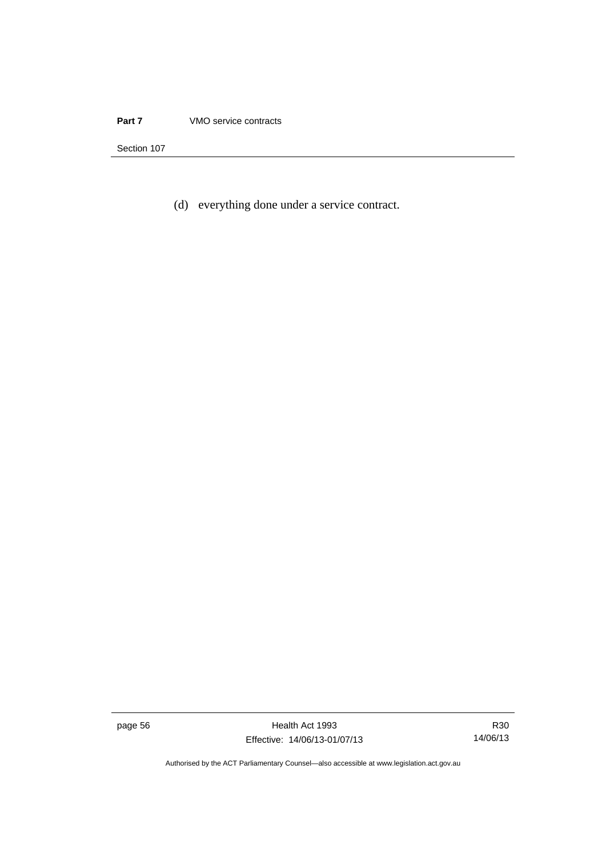(d) everything done under a service contract.

page 56 Health Act 1993 Effective: 14/06/13-01/07/13

R30 14/06/13

Authorised by the ACT Parliamentary Counsel—also accessible at www.legislation.act.gov.au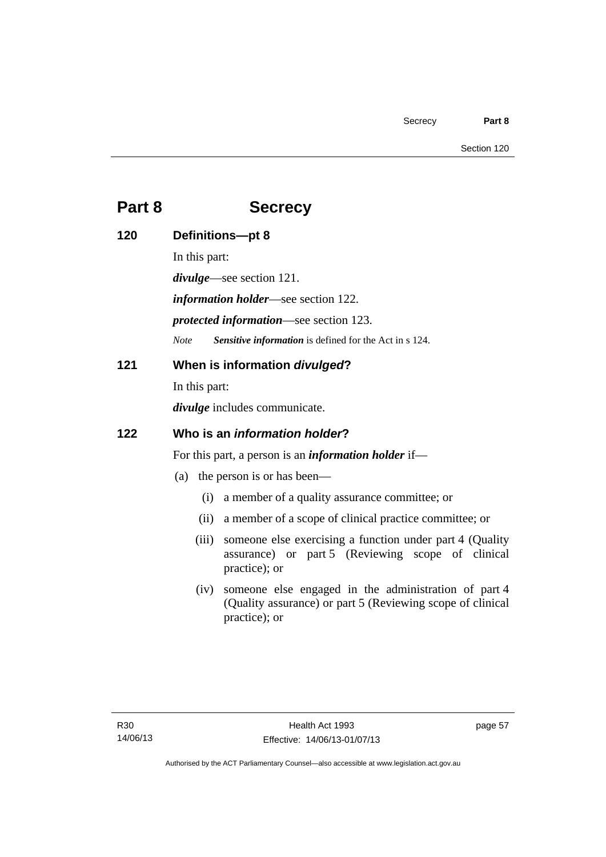# **Part 8 Secrecy**

| 120 | Definitions-pt 8                                            |                                                                                                                                     |
|-----|-------------------------------------------------------------|-------------------------------------------------------------------------------------------------------------------------------------|
|     | In this part:                                               |                                                                                                                                     |
|     | <i>divulge</i> —see section 121.                            |                                                                                                                                     |
|     | <i>information holder</i> —see section 122.                 |                                                                                                                                     |
|     | <i>protected information—see section 123.</i>               |                                                                                                                                     |
|     | <b>Note</b>                                                 | Sensitive information is defined for the Act in s 124.                                                                              |
| 121 | When is information divulged?                               |                                                                                                                                     |
|     | In this part:                                               |                                                                                                                                     |
|     | <i>divulge</i> includes communicate.                        |                                                                                                                                     |
| 122 | Who is an <i>information holder</i> ?                       |                                                                                                                                     |
|     | For this part, a person is an <i>information holder</i> if— |                                                                                                                                     |
|     | the person is or has been—<br>(a)                           |                                                                                                                                     |
|     | (i)                                                         | a member of a quality assurance committee; or                                                                                       |
|     | (ii)                                                        | a member of a scope of clinical practice committee; or                                                                              |
|     | (iii)                                                       | someone else exercising a function under part 4 (Quality<br>assurance) or part 5 (Reviewing scope of clinical<br>practice); or      |
|     | (iv)                                                        | someone else engaged in the administration of part 4<br>(Quality assurance) or part 5 (Reviewing scope of clinical<br>practice); or |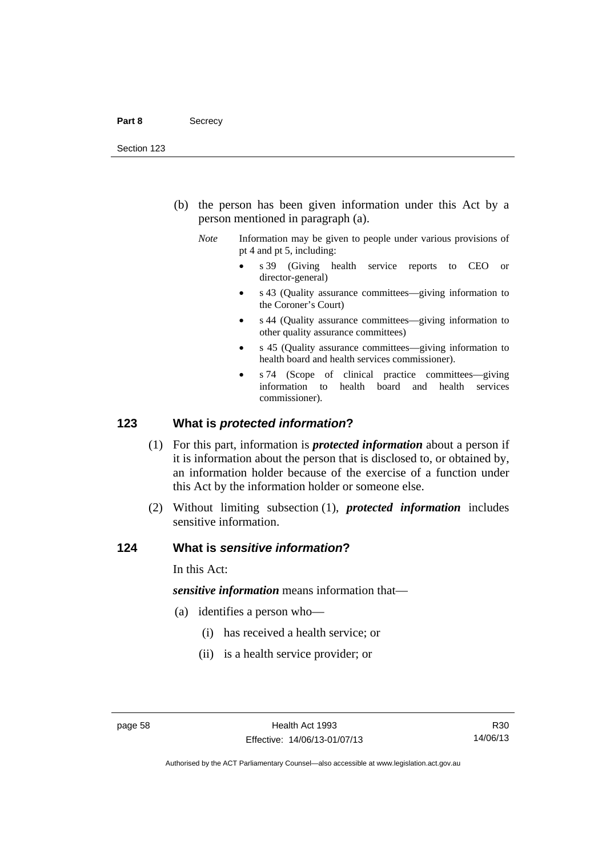- (b) the person has been given information under this Act by a person mentioned in paragraph (a).
	- *Note* Information may be given to people under various provisions of pt 4 and pt 5, including:
		- s 39 (Giving health service reports to CEO or director-general)
		- s 43 (Quality assurance committees—giving information to the Coroner's Court)
		- s 44 (Quality assurance committees—giving information to other quality assurance committees)
		- s 45 (Quality assurance committees—giving information to health board and health services commissioner).
		- s 74 (Scope of clinical practice committees—giving information to health board and health services commissioner).

#### **123 What is** *protected information***?**

- (1) For this part, information is *protected information* about a person if it is information about the person that is disclosed to, or obtained by, an information holder because of the exercise of a function under this Act by the information holder or someone else.
- (2) Without limiting subsection (1), *protected information* includes sensitive information.

#### **124 What is** *sensitive information***?**

In this Act:

*sensitive information* means information that—

- (a) identifies a person who—
	- (i) has received a health service; or
	- (ii) is a health service provider; or

R30 14/06/13

Authorised by the ACT Parliamentary Counsel—also accessible at www.legislation.act.gov.au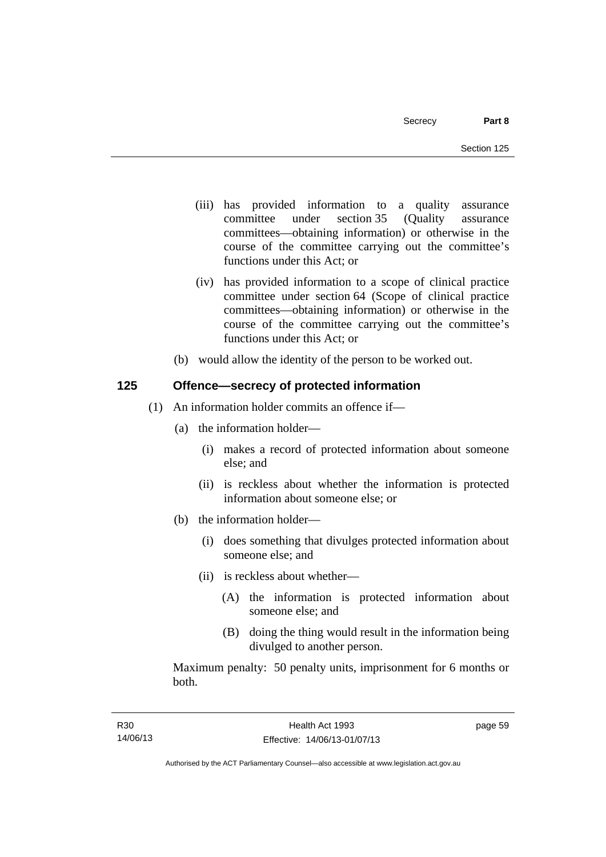- (iii) has provided information to a quality assurance committee under section 35 (Quality assurance committees—obtaining information) or otherwise in the course of the committee carrying out the committee's functions under this Act; or
- (iv) has provided information to a scope of clinical practice committee under section 64 (Scope of clinical practice committees—obtaining information) or otherwise in the course of the committee carrying out the committee's functions under this Act; or
- (b) would allow the identity of the person to be worked out.

# **125 Offence—secrecy of protected information**

- (1) An information holder commits an offence if—
	- (a) the information holder—
		- (i) makes a record of protected information about someone else; and
		- (ii) is reckless about whether the information is protected information about someone else; or
	- (b) the information holder—
		- (i) does something that divulges protected information about someone else; and
		- (ii) is reckless about whether—
			- (A) the information is protected information about someone else; and
			- (B) doing the thing would result in the information being divulged to another person.

Maximum penalty: 50 penalty units, imprisonment for 6 months or both.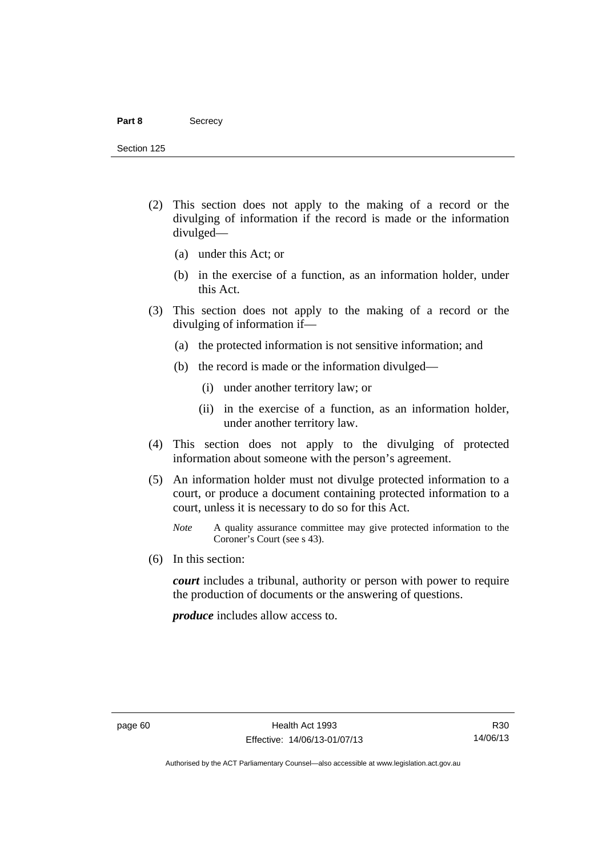#### Part 8 **Secrecy**

Section 125

- (2) This section does not apply to the making of a record or the divulging of information if the record is made or the information divulged—
	- (a) under this Act; or
	- (b) in the exercise of a function, as an information holder, under this Act.
- (3) This section does not apply to the making of a record or the divulging of information if—
	- (a) the protected information is not sensitive information; and
	- (b) the record is made or the information divulged—
		- (i) under another territory law; or
		- (ii) in the exercise of a function, as an information holder, under another territory law.
- (4) This section does not apply to the divulging of protected information about someone with the person's agreement.
- (5) An information holder must not divulge protected information to a court, or produce a document containing protected information to a court, unless it is necessary to do so for this Act.
	- *Note* A quality assurance committee may give protected information to the Coroner's Court (see s 43).
- (6) In this section:

*court* includes a tribunal, authority or person with power to require the production of documents or the answering of questions.

*produce* includes allow access to.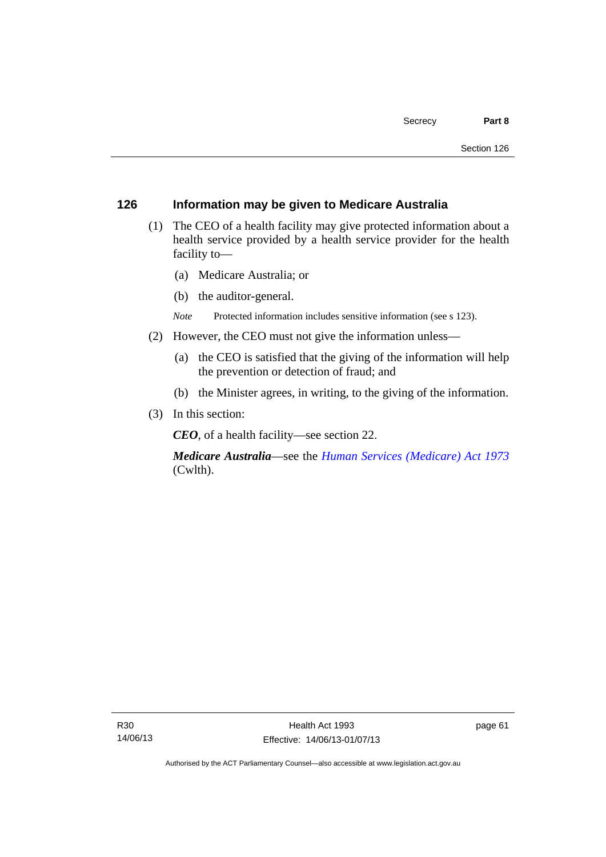#### **126 Information may be given to Medicare Australia**

- (1) The CEO of a health facility may give protected information about a health service provided by a health service provider for the health facility to—
	- (a) Medicare Australia; or
	- (b) the auditor-general.
	- *Note* Protected information includes sensitive information (see s 123).
- (2) However, the CEO must not give the information unless—
	- (a) the CEO is satisfied that the giving of the information will help the prevention or detection of fraud; and
	- (b) the Minister agrees, in writing, to the giving of the information.
- (3) In this section:

*CEO*, of a health facility—see section 22.

*Medicare Australia*—see the *[Human Services \(Medicare\) Act 1973](http://www.comlaw.gov.au/Details/C2012C00755)*  (Cwlth).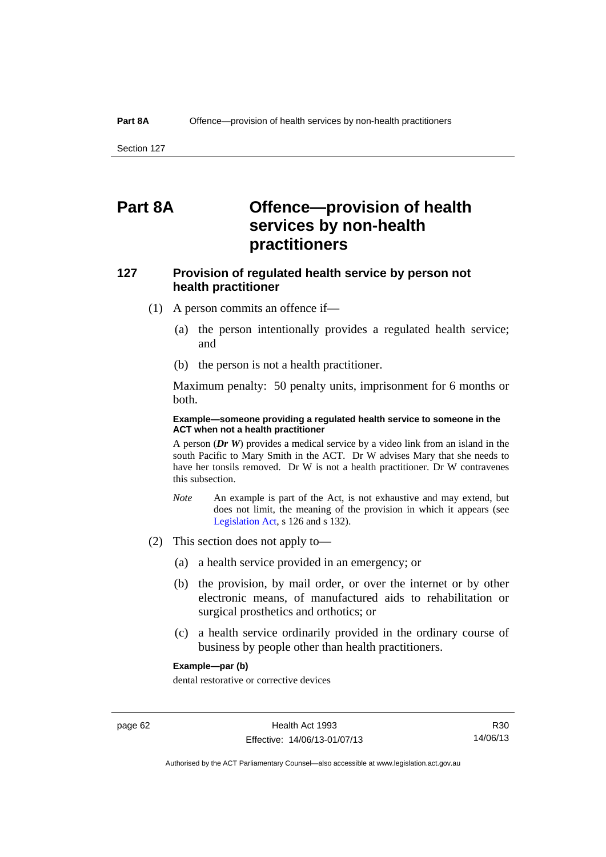# **Part 8A Offence—provision of health services by non-health practitioners**

# **127 Provision of regulated health service by person not health practitioner**

- (1) A person commits an offence if—
	- (a) the person intentionally provides a regulated health service; and
	- (b) the person is not a health practitioner.

Maximum penalty: 50 penalty units, imprisonment for 6 months or both.

#### **Example—someone providing a regulated health service to someone in the ACT when not a health practitioner**

A person (*Dr W*) provides a medical service by a video link from an island in the south Pacific to Mary Smith in the ACT. Dr W advises Mary that she needs to have her tonsils removed. Dr W is not a health practitioner. Dr W contravenes this subsection.

- *Note* An example is part of the Act, is not exhaustive and may extend, but does not limit, the meaning of the provision in which it appears (see [Legislation Act,](http://www.legislation.act.gov.au/a/2001-14) s 126 and s 132).
- (2) This section does not apply to—
	- (a) a health service provided in an emergency; or
	- (b) the provision, by mail order, or over the internet or by other electronic means, of manufactured aids to rehabilitation or surgical prosthetics and orthotics; or
	- (c) a health service ordinarily provided in the ordinary course of business by people other than health practitioners.

#### **Example—par (b)**

dental restorative or corrective devices

Authorised by the ACT Parliamentary Counsel—also accessible at www.legislation.act.gov.au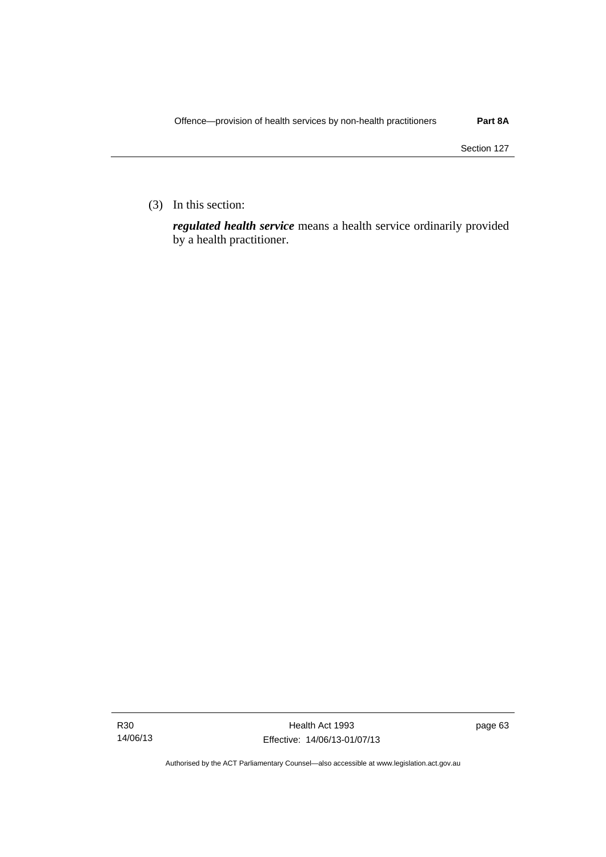(3) In this section:

*regulated health service* means a health service ordinarily provided by a health practitioner.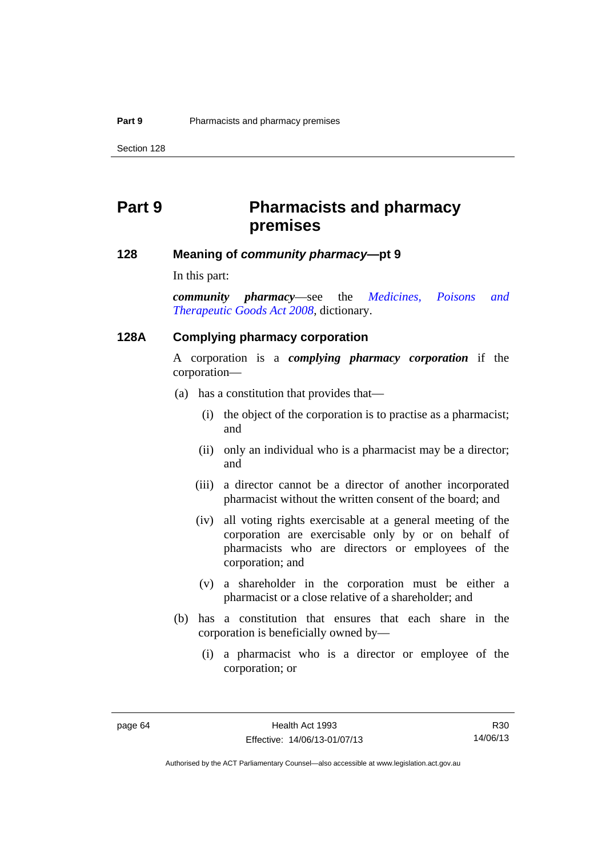# **Part 9 Pharmacists and pharmacy premises**

#### **128 Meaning of** *community pharmacy***—pt 9**

In this part:

*community pharmacy*—see the *[Medicines, Poisons and](http://www.legislation.act.gov.au/a/2008-26)  [Therapeutic Goods Act 2008](http://www.legislation.act.gov.au/a/2008-26)*, dictionary.

#### **128A Complying pharmacy corporation**

A corporation is a *complying pharmacy corporation* if the corporation—

- (a) has a constitution that provides that—
	- (i) the object of the corporation is to practise as a pharmacist; and
	- (ii) only an individual who is a pharmacist may be a director; and
	- (iii) a director cannot be a director of another incorporated pharmacist without the written consent of the board; and
	- (iv) all voting rights exercisable at a general meeting of the corporation are exercisable only by or on behalf of pharmacists who are directors or employees of the corporation; and
	- (v) a shareholder in the corporation must be either a pharmacist or a close relative of a shareholder; and
- (b) has a constitution that ensures that each share in the corporation is beneficially owned by—
	- (i) a pharmacist who is a director or employee of the corporation; or

R30 14/06/13

Authorised by the ACT Parliamentary Counsel—also accessible at www.legislation.act.gov.au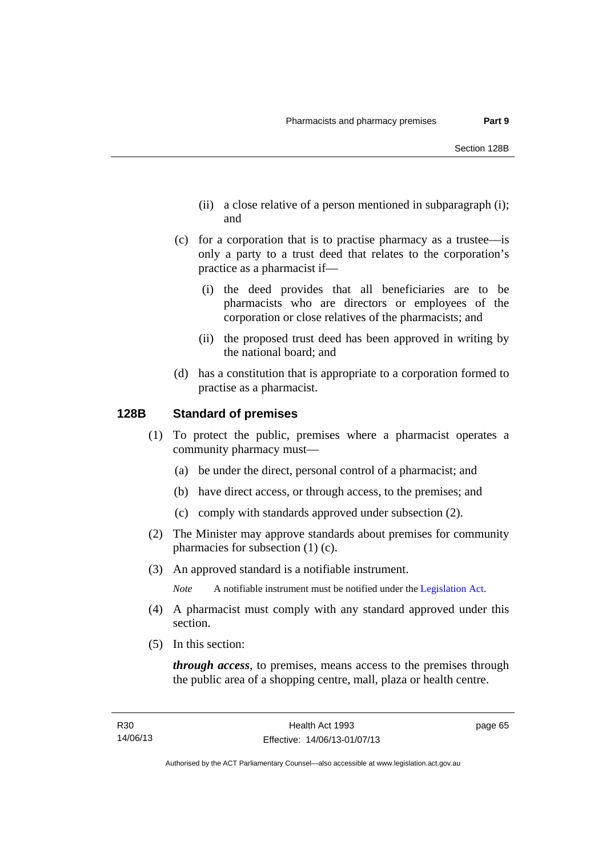- (ii) a close relative of a person mentioned in subparagraph (i); and
- (c) for a corporation that is to practise pharmacy as a trustee—is only a party to a trust deed that relates to the corporation's practice as a pharmacist if—
	- (i) the deed provides that all beneficiaries are to be pharmacists who are directors or employees of the corporation or close relatives of the pharmacists; and
	- (ii) the proposed trust deed has been approved in writing by the national board; and
- (d) has a constitution that is appropriate to a corporation formed to practise as a pharmacist.

# **128B Standard of premises**

- (1) To protect the public, premises where a pharmacist operates a community pharmacy must—
	- (a) be under the direct, personal control of a pharmacist; and
	- (b) have direct access, or through access, to the premises; and
	- (c) comply with standards approved under subsection (2).
- (2) The Minister may approve standards about premises for community pharmacies for subsection (1) (c).
- (3) An approved standard is a notifiable instrument.

*Note* A notifiable instrument must be notified under the [Legislation Act](http://www.legislation.act.gov.au/a/2001-14).

- (4) A pharmacist must comply with any standard approved under this section.
- (5) In this section:

*through access*, to premises, means access to the premises through the public area of a shopping centre, mall, plaza or health centre.

page 65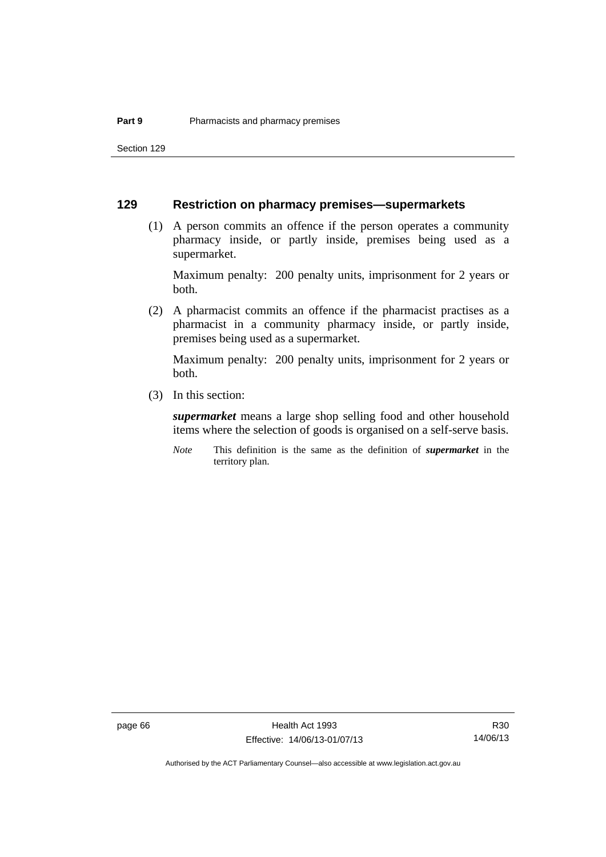Section 129

# **129 Restriction on pharmacy premises—supermarkets**

 (1) A person commits an offence if the person operates a community pharmacy inside, or partly inside, premises being used as a supermarket.

Maximum penalty: 200 penalty units, imprisonment for 2 years or both.

 (2) A pharmacist commits an offence if the pharmacist practises as a pharmacist in a community pharmacy inside, or partly inside, premises being used as a supermarket.

Maximum penalty: 200 penalty units, imprisonment for 2 years or both.

(3) In this section:

*supermarket* means a large shop selling food and other household items where the selection of goods is organised on a self-serve basis.

*Note* This definition is the same as the definition of *supermarket* in the territory plan.

R30 14/06/13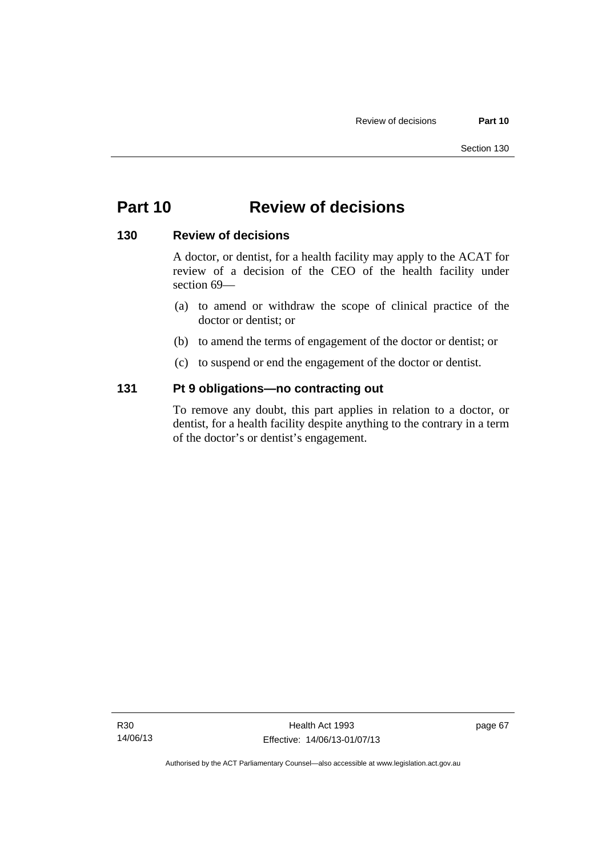# **Part 10 Review of decisions**

# **130 Review of decisions**

A doctor, or dentist, for a health facility may apply to the ACAT for review of a decision of the CEO of the health facility under section 69—

- (a) to amend or withdraw the scope of clinical practice of the doctor or dentist; or
- (b) to amend the terms of engagement of the doctor or dentist; or
- (c) to suspend or end the engagement of the doctor or dentist.

# **131 Pt 9 obligations—no contracting out**

To remove any doubt, this part applies in relation to a doctor, or dentist, for a health facility despite anything to the contrary in a term of the doctor's or dentist's engagement.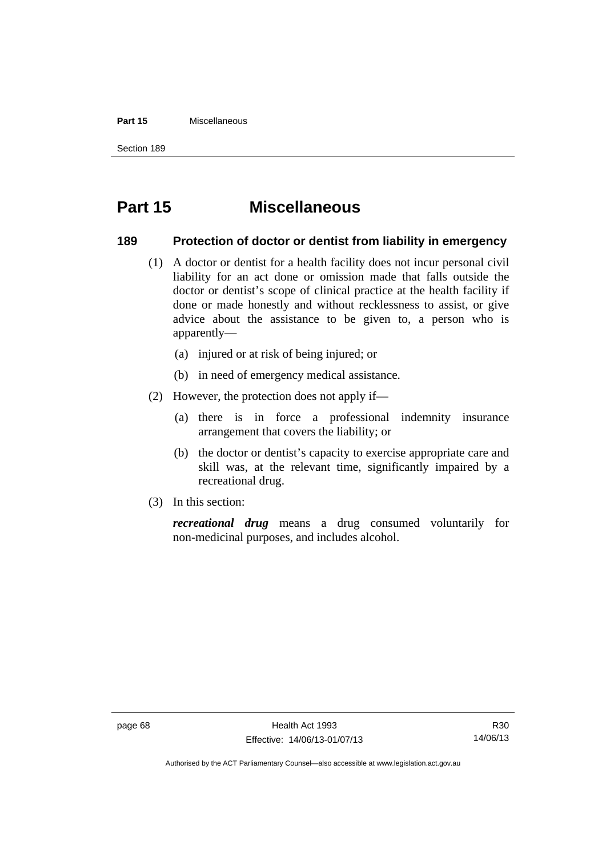#### **Part 15** Miscellaneous

Section 189

# **Part 15 Miscellaneous**

# **189 Protection of doctor or dentist from liability in emergency**

- (1) A doctor or dentist for a health facility does not incur personal civil liability for an act done or omission made that falls outside the doctor or dentist's scope of clinical practice at the health facility if done or made honestly and without recklessness to assist, or give advice about the assistance to be given to, a person who is apparently—
	- (a) injured or at risk of being injured; or
	- (b) in need of emergency medical assistance.
- (2) However, the protection does not apply if—
	- (a) there is in force a professional indemnity insurance arrangement that covers the liability; or
	- (b) the doctor or dentist's capacity to exercise appropriate care and skill was, at the relevant time, significantly impaired by a recreational drug.
- (3) In this section:

*recreational drug* means a drug consumed voluntarily for non-medicinal purposes, and includes alcohol.

Authorised by the ACT Parliamentary Counsel—also accessible at www.legislation.act.gov.au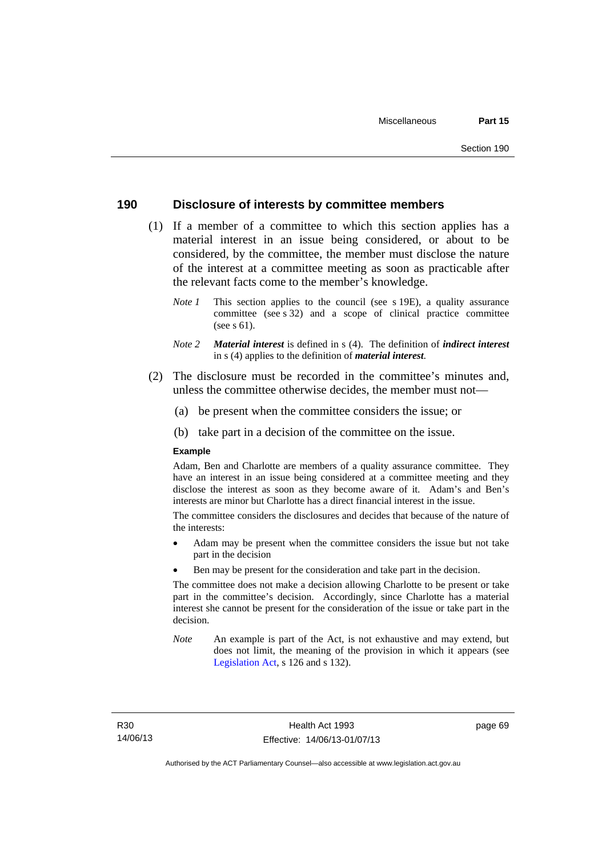# **190 Disclosure of interests by committee members**

- (1) If a member of a committee to which this section applies has a material interest in an issue being considered, or about to be considered, by the committee, the member must disclose the nature of the interest at a committee meeting as soon as practicable after the relevant facts come to the member's knowledge.
	- *Note 1* This section applies to the council (see s 19E), a quality assurance committee (see s 32) and a scope of clinical practice committee (see s 61).
	- *Note 2 Material interest* is defined in s (4). The definition of *indirect interest* in s (4) applies to the definition of *material interest*.
- (2) The disclosure must be recorded in the committee's minutes and, unless the committee otherwise decides, the member must not—
	- (a) be present when the committee considers the issue; or
	- (b) take part in a decision of the committee on the issue.

#### **Example**

Adam, Ben and Charlotte are members of a quality assurance committee. They have an interest in an issue being considered at a committee meeting and they disclose the interest as soon as they become aware of it. Adam's and Ben's interests are minor but Charlotte has a direct financial interest in the issue.

The committee considers the disclosures and decides that because of the nature of the interests:

- Adam may be present when the committee considers the issue but not take part in the decision
- Ben may be present for the consideration and take part in the decision.

The committee does not make a decision allowing Charlotte to be present or take part in the committee's decision. Accordingly, since Charlotte has a material interest she cannot be present for the consideration of the issue or take part in the decision.

*Note* An example is part of the Act, is not exhaustive and may extend, but does not limit, the meaning of the provision in which it appears (see [Legislation Act,](http://www.legislation.act.gov.au/a/2001-14) s 126 and s 132).

page 69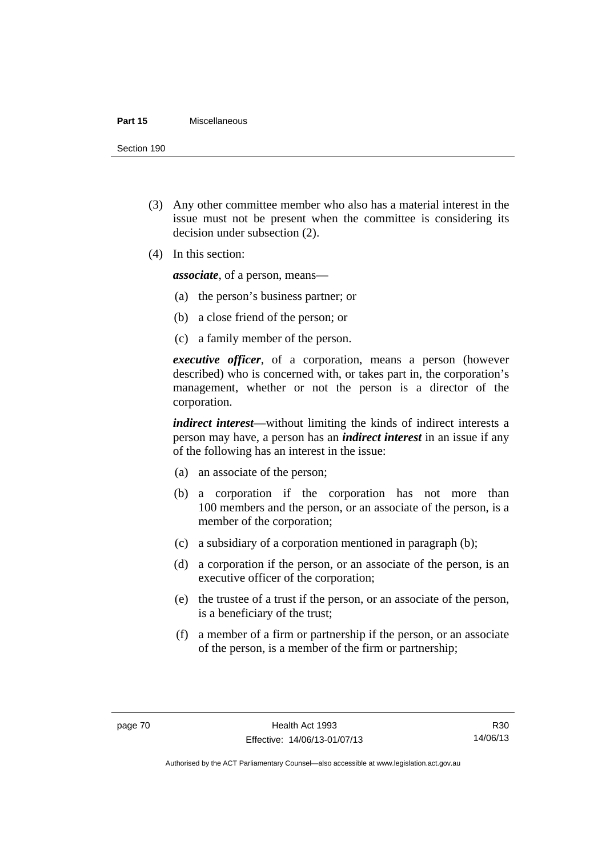#### **Part 15** Miscellaneous

Section 190

- (3) Any other committee member who also has a material interest in the issue must not be present when the committee is considering its decision under subsection (2).
- (4) In this section:

*associate*, of a person, means—

- (a) the person's business partner; or
- (b) a close friend of the person; or
- (c) a family member of the person.

*executive officer*, of a corporation, means a person (however described) who is concerned with, or takes part in, the corporation's management, whether or not the person is a director of the corporation.

*indirect interest*—without limiting the kinds of indirect interests a person may have, a person has an *indirect interest* in an issue if any of the following has an interest in the issue:

- (a) an associate of the person;
- (b) a corporation if the corporation has not more than 100 members and the person, or an associate of the person, is a member of the corporation;
- (c) a subsidiary of a corporation mentioned in paragraph (b);
- (d) a corporation if the person, or an associate of the person, is an executive officer of the corporation;
- (e) the trustee of a trust if the person, or an associate of the person, is a beneficiary of the trust;
- (f) a member of a firm or partnership if the person, or an associate of the person, is a member of the firm or partnership;

R30 14/06/13

Authorised by the ACT Parliamentary Counsel—also accessible at www.legislation.act.gov.au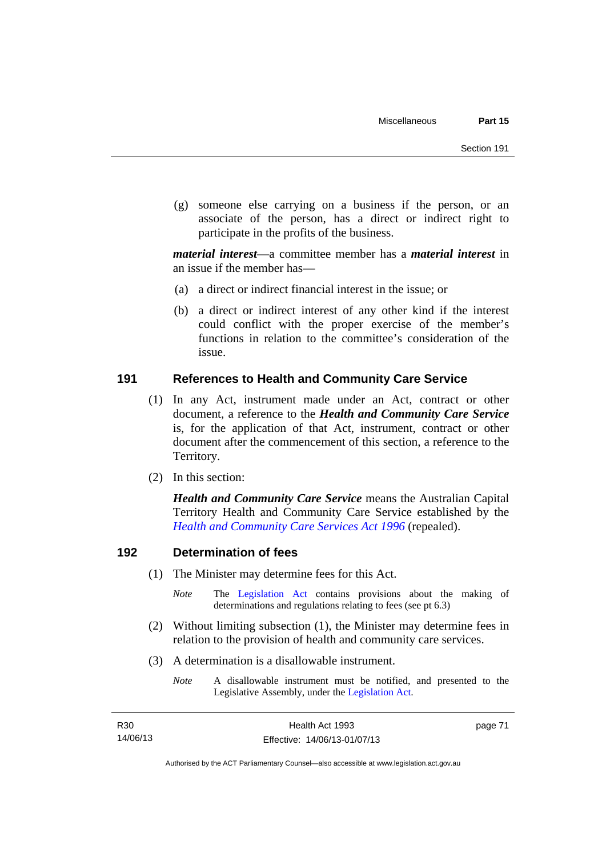(g) someone else carrying on a business if the person, or an associate of the person, has a direct or indirect right to participate in the profits of the business.

*material interest*—a committee member has a *material interest* in an issue if the member has—

- (a) a direct or indirect financial interest in the issue; or
- (b) a direct or indirect interest of any other kind if the interest could conflict with the proper exercise of the member's functions in relation to the committee's consideration of the issue.

# **191 References to Health and Community Care Service**

- (1) In any Act, instrument made under an Act, contract or other document, a reference to the *Health and Community Care Service* is, for the application of that Act, instrument, contract or other document after the commencement of this section, a reference to the Territory.
- (2) In this section:

*Health and Community Care Service* means the Australian Capital Territory Health and Community Care Service established by the *[Health and Community Care Services Act 1996](http://www.legislation.act.gov.au/a/1996-34)* (repealed).

# **192 Determination of fees**

- (1) The Minister may determine fees for this Act.
	- *Note* The [Legislation Act](http://www.legislation.act.gov.au/a/2001-14) contains provisions about the making of determinations and regulations relating to fees (see pt 6.3)
- (2) Without limiting subsection (1), the Minister may determine fees in relation to the provision of health and community care services.
- (3) A determination is a disallowable instrument.
	- *Note* A disallowable instrument must be notified, and presented to the Legislative Assembly, under the [Legislation Act.](http://www.legislation.act.gov.au/a/2001-14)

page 71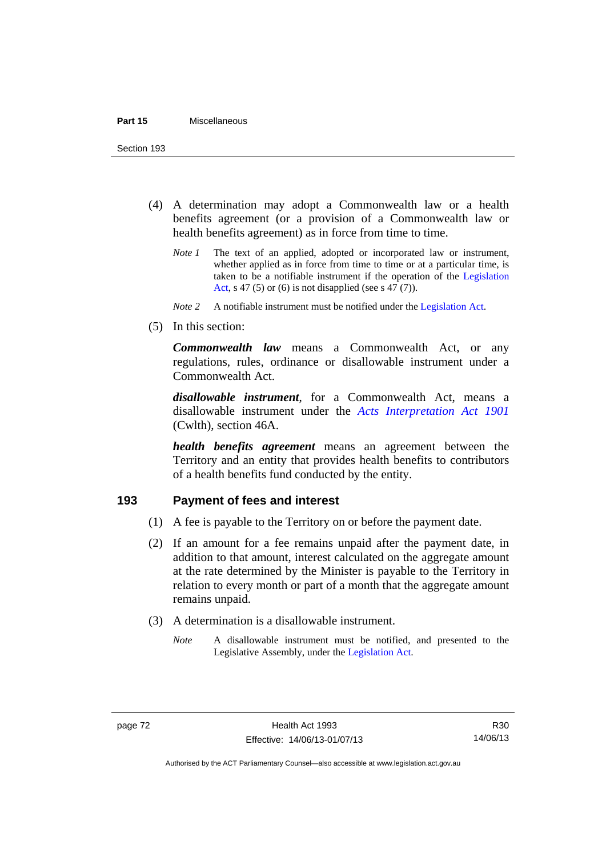Section 193

- (4) A determination may adopt a Commonwealth law or a health benefits agreement (or a provision of a Commonwealth law or health benefits agreement) as in force from time to time.
	- *Note 1* The text of an applied, adopted or incorporated law or instrument, whether applied as in force from time to time or at a particular time, is taken to be a notifiable instrument if the operation of the [Legislation](http://www.legislation.act.gov.au/a/2001-14)  [Act](http://www.legislation.act.gov.au/a/2001-14), s 47 (5) or (6) is not disapplied (see s 47 (7)).
	- *Note 2* A notifiable instrument must be notified under the [Legislation Act](http://www.legislation.act.gov.au/a/2001-14).
- (5) In this section:

*Commonwealth law* means a Commonwealth Act, or any regulations, rules, ordinance or disallowable instrument under a Commonwealth Act.

*disallowable instrument*, for a Commonwealth Act, means a disallowable instrument under the *[Acts Interpretation Act 1901](http://www.comlaw.gov.au/Details/C2012C00001)* (Cwlth), section 46A.

*health benefits agreement* means an agreement between the Territory and an entity that provides health benefits to contributors of a health benefits fund conducted by the entity.

# **193 Payment of fees and interest**

- (1) A fee is payable to the Territory on or before the payment date.
- (2) If an amount for a fee remains unpaid after the payment date, in addition to that amount, interest calculated on the aggregate amount at the rate determined by the Minister is payable to the Territory in relation to every month or part of a month that the aggregate amount remains unpaid.
- (3) A determination is a disallowable instrument.
	- *Note* A disallowable instrument must be notified, and presented to the Legislative Assembly, under the [Legislation Act.](http://www.legislation.act.gov.au/a/2001-14)

R30 14/06/13

Authorised by the ACT Parliamentary Counsel—also accessible at www.legislation.act.gov.au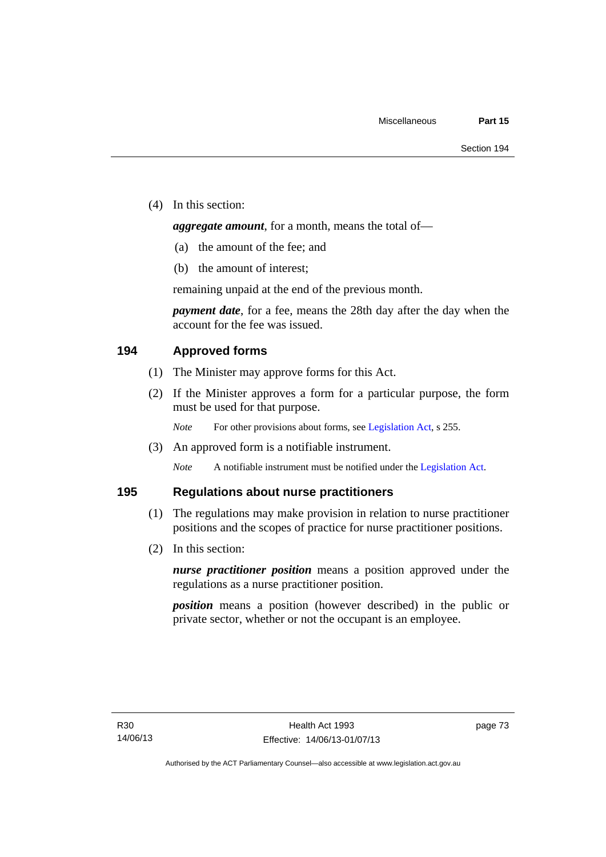(4) In this section:

*aggregate amount*, for a month, means the total of—

- (a) the amount of the fee; and
- (b) the amount of interest;

remaining unpaid at the end of the previous month.

*payment date*, for a fee, means the 28th day after the day when the account for the fee was issued.

# **194 Approved forms**

- (1) The Minister may approve forms for this Act.
- (2) If the Minister approves a form for a particular purpose, the form must be used for that purpose.

*Note* For other provisions about forms, see [Legislation Act,](http://www.legislation.act.gov.au/a/2001-14) s 255.

(3) An approved form is a notifiable instrument.

*Note* A notifiable instrument must be notified under the [Legislation Act](http://www.legislation.act.gov.au/a/2001-14).

# **195 Regulations about nurse practitioners**

- (1) The regulations may make provision in relation to nurse practitioner positions and the scopes of practice for nurse practitioner positions.
- (2) In this section:

*nurse practitioner position* means a position approved under the regulations as a nurse practitioner position.

*position* means a position (however described) in the public or private sector, whether or not the occupant is an employee.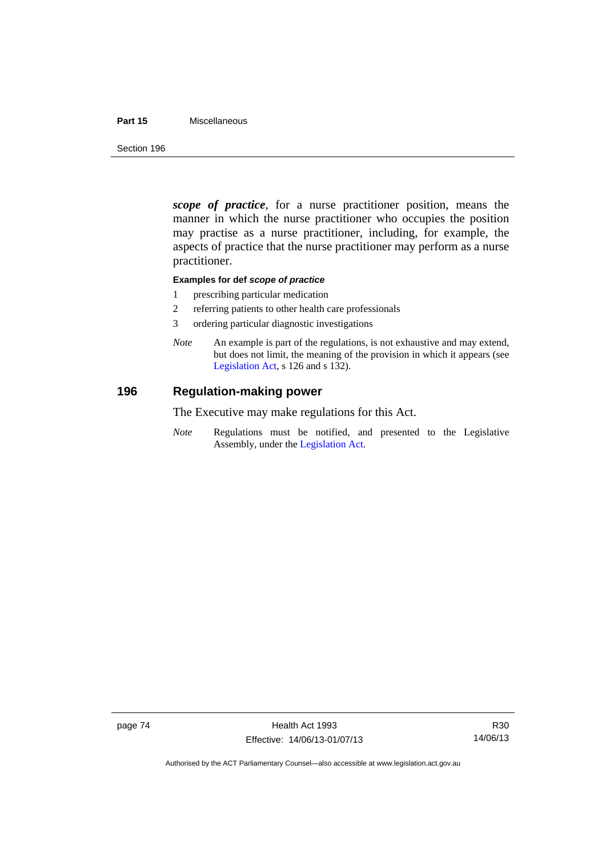## **Part 15** Miscellaneous

Section 196

*scope of practice*, for a nurse practitioner position, means the manner in which the nurse practitioner who occupies the position may practise as a nurse practitioner, including, for example, the aspects of practice that the nurse practitioner may perform as a nurse practitioner.

## **Examples for def** *scope of practice*

- 1 prescribing particular medication
- 2 referring patients to other health care professionals
- 3 ordering particular diagnostic investigations
- *Note* An example is part of the regulations, is not exhaustive and may extend, but does not limit, the meaning of the provision in which it appears (see [Legislation Act,](http://www.legislation.act.gov.au/a/2001-14) s 126 and s 132).

# **196 Regulation-making power**

The Executive may make regulations for this Act.

*Note* Regulations must be notified, and presented to the Legislative Assembly, under the [Legislation Act](http://www.legislation.act.gov.au/a/2001-14).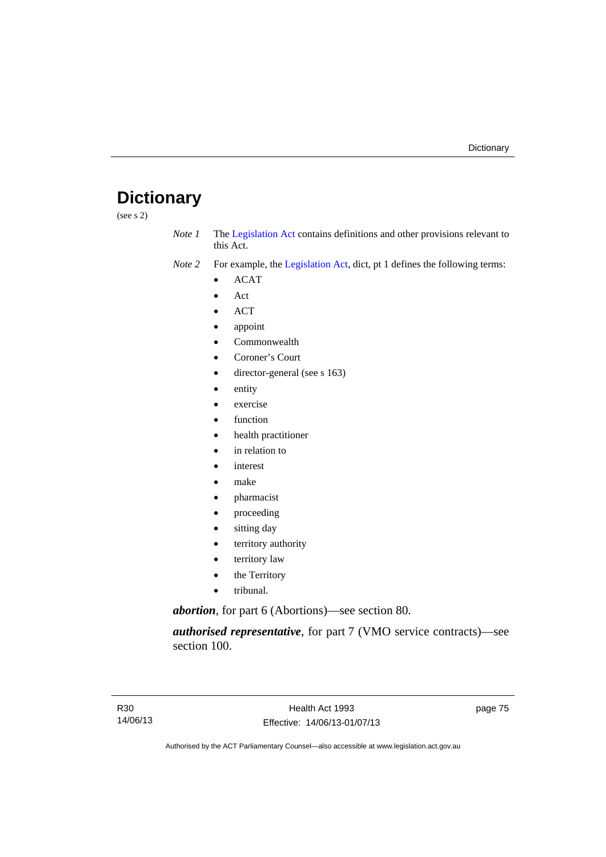# **Dictionary**

(see s 2)

- *Note 1* The [Legislation Act](http://www.legislation.act.gov.au/a/2001-14) contains definitions and other provisions relevant to this Act.
- *Note 2* For example, the [Legislation Act,](http://www.legislation.act.gov.au/a/2001-14) dict, pt 1 defines the following terms:
	- ACAT
	- Act
	- ACT
	- appoint
	- Commonwealth
	- Coroner's Court
	- director-general (see s 163)
	- entity
	- exercise
	- function
	- health practitioner
	- in relation to
	- interest
	- make
	- pharmacist
	- proceeding
	- sitting day
	- territory authority
	- territory law
	- the Territory
	- tribunal.

*abortion*, for part 6 (Abortions)—see section 80.

*authorised representative*, for part 7 (VMO service contracts)—see section 100.

page 75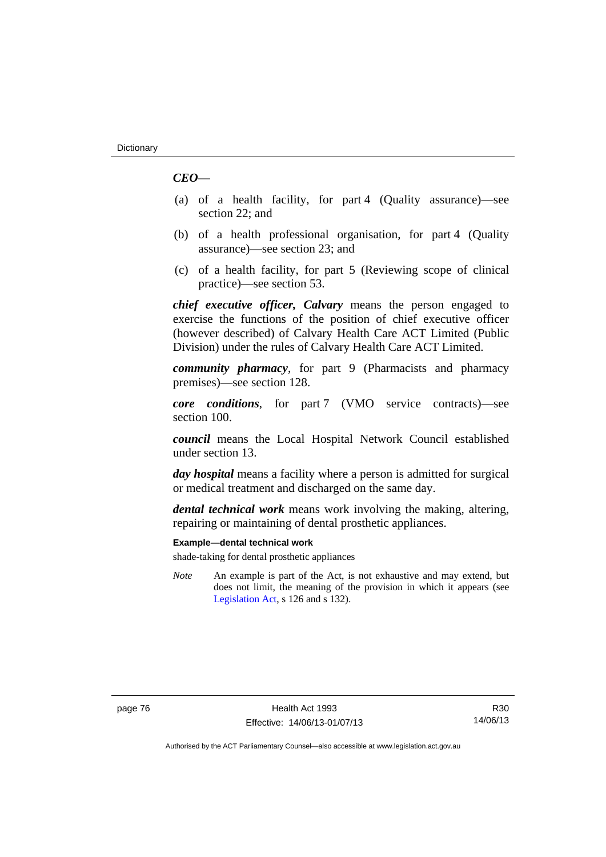# *CEO*—

- (a) of a health facility, for part 4 (Quality assurance)—see section 22; and
- (b) of a health professional organisation, for part 4 (Quality assurance)—see section 23; and
- (c) of a health facility, for part 5 (Reviewing scope of clinical practice)—see section 53.

*chief executive officer, Calvary* means the person engaged to exercise the functions of the position of chief executive officer (however described) of Calvary Health Care ACT Limited (Public Division) under the rules of Calvary Health Care ACT Limited.

*community pharmacy*, for part 9 (Pharmacists and pharmacy premises)—see section 128.

*core conditions*, for part 7 (VMO service contracts)—see section 100.

*council* means the Local Hospital Network Council established under section 13.

*day hospital* means a facility where a person is admitted for surgical or medical treatment and discharged on the same day.

*dental technical work* means work involving the making, altering, repairing or maintaining of dental prosthetic appliances.

## **Example—dental technical work**

shade-taking for dental prosthetic appliances

*Note* An example is part of the Act, is not exhaustive and may extend, but does not limit, the meaning of the provision in which it appears (see [Legislation Act,](http://www.legislation.act.gov.au/a/2001-14) s 126 and s 132).

R30 14/06/13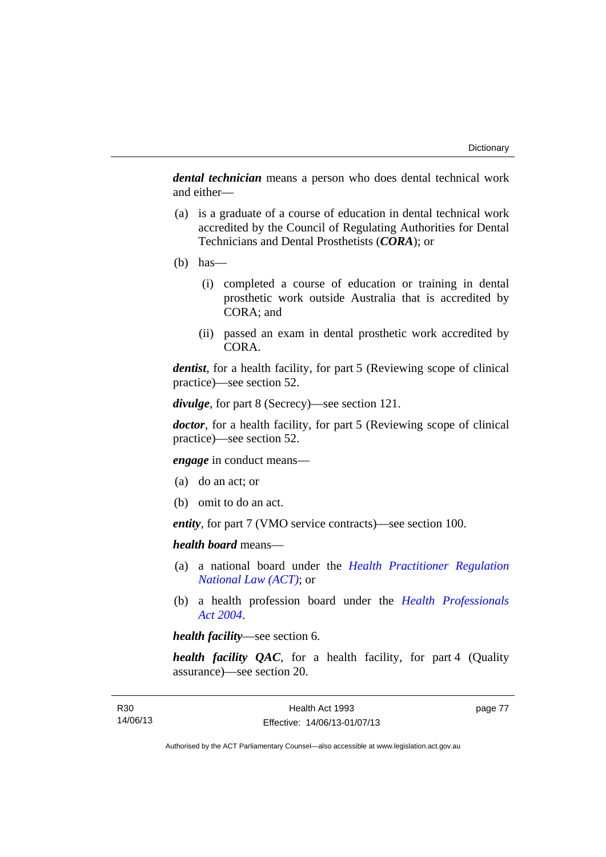*dental technician* means a person who does dental technical work and either—

- (a) is a graduate of a course of education in dental technical work accredited by the Council of Regulating Authorities for Dental Technicians and Dental Prosthetists (*CORA*); or
- $(b)$  has—
	- (i) completed a course of education or training in dental prosthetic work outside Australia that is accredited by CORA; and
	- (ii) passed an exam in dental prosthetic work accredited by CORA.

*dentist*, for a health facility, for part 5 (Reviewing scope of clinical practice)—see section 52.

*divulge*, for part 8 (Secrecy)—see section 121.

*doctor*, for a health facility, for part 5 (Reviewing scope of clinical practice)—see section 52.

*engage* in conduct means—

- (a) do an act; or
- (b) omit to do an act.

*entity*, for part 7 (VMO service contracts)—see section 100.

*health board* means—

- (a) a national board under the *[Health Practitioner Regulation](http://www.legislation.act.gov.au/a/db_39269/default.asp)  [National Law \(ACT\)](http://www.legislation.act.gov.au/a/db_39269/default.asp)*; or
- (b) a health profession board under the *[Health Professionals](http://www.legislation.act.gov.au/a/2004-38)  [Act 2004](http://www.legislation.act.gov.au/a/2004-38)*.

*health facility*—see section 6.

*health facility QAC*, for a health facility, for part 4 (Quality assurance)—see section 20.

page 77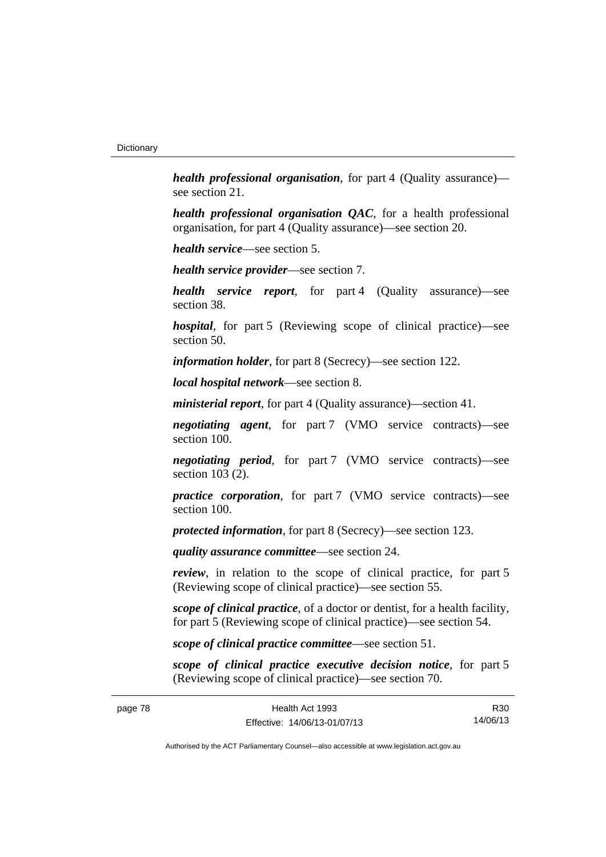*health professional organisation*, for part 4 (Quality assurance) see section 21.

*health professional organisation QAC*, for a health professional organisation, for part 4 (Quality assurance)—see section 20.

*health service*—see section 5.

*health service provider*—see section 7.

*health service report*, for part 4 (Quality assurance)—see section 38.

*hospital*, for part 5 (Reviewing scope of clinical practice)—see section 50.

*information holder*, for part 8 (Secrecy)—see section 122.

*local hospital network*—see section 8.

*ministerial report*, for part 4 (Quality assurance)—section 41.

*negotiating agent*, for part 7 (VMO service contracts)—see section 100.

*negotiating period*, for part 7 (VMO service contracts)—see section 103 (2).

*practice corporation*, for part 7 (VMO service contracts)—see section 100.

*protected information*, for part 8 (Secrecy)—see section 123.

*quality assurance committee*—see section 24.

*review*, in relation to the scope of clinical practice, for part 5 (Reviewing scope of clinical practice)—see section 55.

*scope of clinical practice*, of a doctor or dentist, for a health facility, for part 5 (Reviewing scope of clinical practice)—see section 54.

*scope of clinical practice committee*—see section 51.

*scope of clinical practice executive decision notice*, for part 5 (Reviewing scope of clinical practice)—see section 70.

R30 14/06/13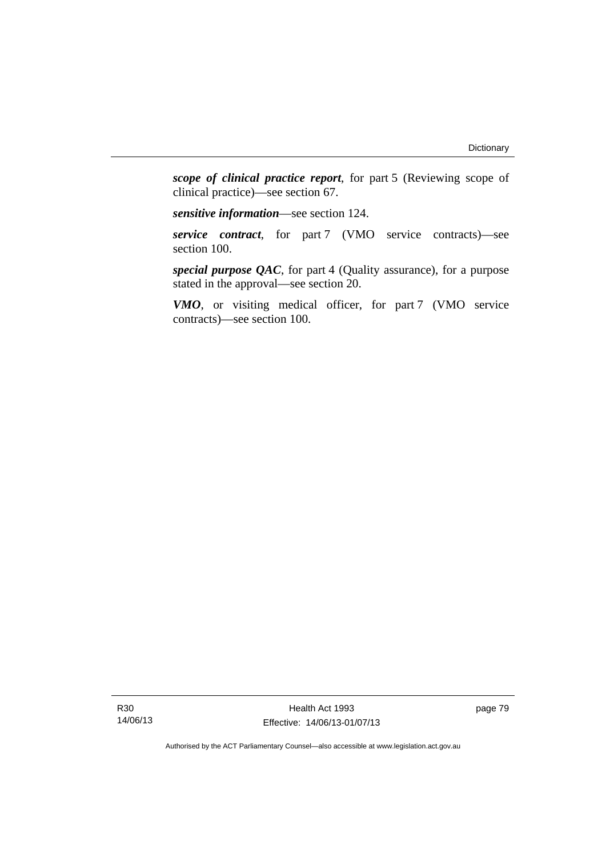*scope of clinical practice report*, for part 5 (Reviewing scope of clinical practice)—see section 67.

*sensitive information*—see section 124.

*service contract*, for part 7 (VMO service contracts)—see section 100.

*special purpose QAC*, for part 4 (Quality assurance), for a purpose stated in the approval—see section 20.

*VMO*, or visiting medical officer, for part 7 (VMO service contracts)—see section 100.

Health Act 1993 Effective: 14/06/13-01/07/13 page 79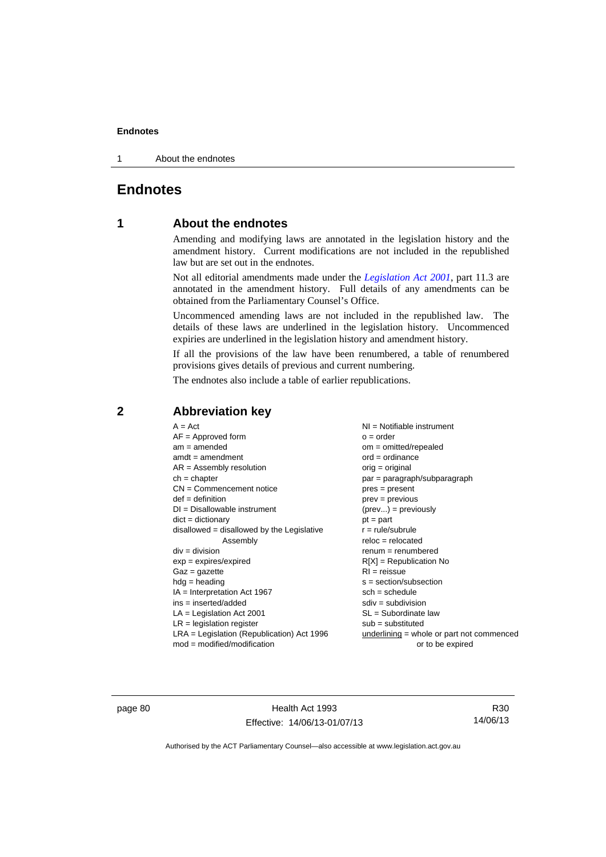1 About the endnotes

# **Endnotes**

# **1 About the endnotes**

Amending and modifying laws are annotated in the legislation history and the amendment history. Current modifications are not included in the republished law but are set out in the endnotes.

Not all editorial amendments made under the *[Legislation Act 2001](http://www.legislation.act.gov.au/a/2001-14)*, part 11.3 are annotated in the amendment history. Full details of any amendments can be obtained from the Parliamentary Counsel's Office.

Uncommenced amending laws are not included in the republished law. The details of these laws are underlined in the legislation history. Uncommenced expiries are underlined in the legislation history and amendment history.

If all the provisions of the law have been renumbered, a table of renumbered provisions gives details of previous and current numbering.

The endnotes also include a table of earlier republications.

| $A = Act$                                    | NI = Notifiable instrument                  |
|----------------------------------------------|---------------------------------------------|
| $AF =$ Approved form                         | $o = order$                                 |
| $am = amended$                               | $om = omitted/repealed$                     |
| $amdt = amendment$                           | $ord = ordinance$                           |
| $AR = Assembly$ resolution                   | $orig = original$                           |
| $ch = chapter$                               | $par = paragraph/subparagraph$              |
| $CN =$ Commencement notice                   | $pres = present$                            |
| $def = definition$                           | $prev = previous$                           |
| $DI = Disallowable instrument$               | $(\text{prev}) = \text{previously}$         |
| $dict = dictionary$                          | $pt = part$                                 |
| $disallowed = disallowed by the Legislative$ | $r = rule/subrule$                          |
| Assembly                                     | $reloc = relocated$                         |
| $div = division$                             | $renum = renumbered$                        |
| $exp = expires/expired$                      | $R[X]$ = Republication No                   |
| $Gaz = gazette$                              | $RI = reissue$                              |
| $hdg = heading$                              | $s = section/subsection$                    |
| $IA = Interpretation Act 1967$               | $sch = schedule$                            |
| $ins = inserted/added$                       | $sdiv = subdivision$                        |
| $LA =$ Legislation Act 2001                  | $SL = Subordinate$ law                      |
| $LR =$ legislation register                  | $sub =$ substituted                         |
| LRA = Legislation (Republication) Act 1996   | underlining $=$ whole or part not commenced |
| $mod = modified/modification$                | or to be expired                            |

# **2 Abbreviation key**

page 80 Health Act 1993 Effective: 14/06/13-01/07/13

R30 14/06/13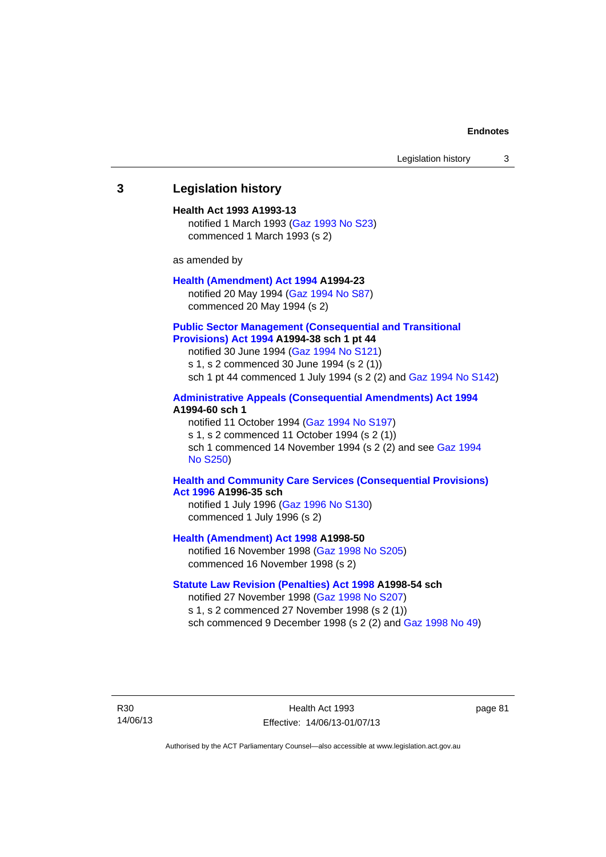## **3 Legislation history**

#### **Health Act 1993 A1993-13**

notified 1 March 1993 [\(Gaz 1993 No S23\)](http://www.legislation.act.gov.au/gaz/1993-S23/default.asp) commenced 1 March 1993 (s 2)

as amended by

### **[Health \(Amendment\) Act 1994](http://www.legislation.act.gov.au/a/1994-23) A1994-23**

notified 20 May 1994 ([Gaz 1994 No S87](http://www.legislation.act.gov.au/gaz/1994-S87/default.asp)) commenced 20 May 1994 (s 2)

### **[Public Sector Management \(Consequential and Transitional](http://www.legislation.act.gov.au/a/1994-38)  [Provisions\) Act 1994](http://www.legislation.act.gov.au/a/1994-38) A1994-38 sch 1 pt 44**

notified 30 June 1994 ([Gaz 1994 No S121\)](http://www.legislation.act.gov.au/gaz/1994-S121/default.asp)

s 1, s 2 commenced 30 June 1994 (s 2 (1))

sch 1 pt 44 commenced 1 July 1994 (s 2 (2) and [Gaz 1994 No S142\)](http://www.legislation.act.gov.au/gaz/1994-S142/default.asp)

## **[Administrative Appeals \(Consequential Amendments\) Act 1994](http://www.legislation.act.gov.au/a/1994-60) A1994-60 sch 1**

notified 11 October 1994 ([Gaz 1994 No S197\)](http://www.legislation.act.gov.au/gaz/1994-S197/default.asp) s 1, s 2 commenced 11 October 1994 (s 2 (1)) sch 1 commenced 14 November 1994 (s 2 (2) and see [Gaz 1994](http://www.legislation.act.gov.au/gaz/1994-S250/default.asp)  [No S250\)](http://www.legislation.act.gov.au/gaz/1994-S250/default.asp)

## **[Health and Community Care Services \(Consequential Provisions\)](http://www.legislation.act.gov.au/a/1996-35)  [Act 1996](http://www.legislation.act.gov.au/a/1996-35) A1996-35 sch**

notified 1 July 1996 [\(Gaz 1996 No S130](http://www.legislation.act.gov.au/gaz/1996-S130/default.asp)) commenced 1 July 1996 (s 2)

**[Health \(Amendment\) Act 1998](http://www.legislation.act.gov.au/a/1998-50) A1998-50** 

notified 16 November 1998 [\(Gaz 1998 No S205](http://www.legislation.act.gov.au/gaz/1998-S205/default.asp)) commenced 16 November 1998 (s 2)

## **[Statute Law Revision \(Penalties\) Act 1998](http://www.legislation.act.gov.au/a/1998-54) A1998-54 sch**

notified 27 November 1998 [\(Gaz 1998 No S207](http://www.legislation.act.gov.au/gaz/1998-S207/default.asp)) s 1, s 2 commenced 27 November 1998 (s 2 (1)) sch commenced 9 December 1998 (s 2 (2) and [Gaz 1998 No 49\)](http://www.legislation.act.gov.au/gaz/1998-49/default.asp)

R30 14/06/13

Health Act 1993 Effective: 14/06/13-01/07/13 page 81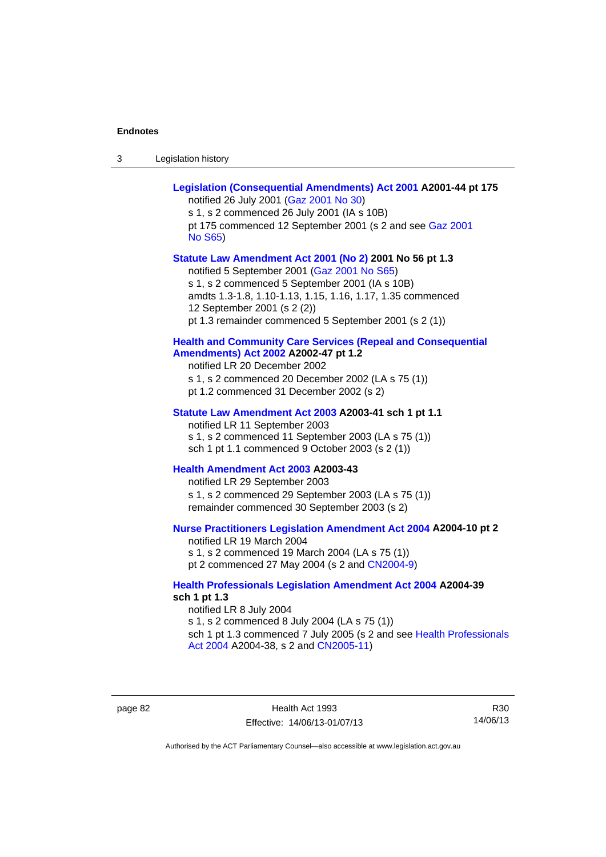| -3 | Legislation history |  |
|----|---------------------|--|
|----|---------------------|--|

| Legislation (Consequential Amendments) Act 2001 A2001-44 pt 175<br>notified 26 July 2001 (Gaz 2001 No 30)<br>s 1, s 2 commenced 26 July 2001 (IA s 10B)<br>pt 175 commenced 12 September 2001 (s 2 and see Gaz 2001<br><b>No S65)</b>                                                                          |
|----------------------------------------------------------------------------------------------------------------------------------------------------------------------------------------------------------------------------------------------------------------------------------------------------------------|
| Statute Law Amendment Act 2001 (No 2) 2001 No 56 pt 1.3<br>notified 5 September 2001 (Gaz 2001 No S65)<br>s 1, s 2 commenced 5 September 2001 (IA s 10B)<br>amdts 1.3-1.8, 1.10-1.13, 1.15, 1.16, 1.17, 1.35 commenced<br>12 September 2001 (s 2 (2))<br>pt 1.3 remainder commenced 5 September 2001 (s 2 (1)) |
| <b>Health and Community Care Services (Repeal and Consequential</b><br>Amendments) Act 2002 A2002-47 pt 1.2<br>notified LR 20 December 2002<br>s 1, s 2 commenced 20 December 2002 (LA s 75 (1))<br>pt 1.2 commenced 31 December 2002 (s 2)                                                                    |
| Statute Law Amendment Act 2003 A2003-41 sch 1 pt 1.1<br>notified LR 11 September 2003<br>s 1, s 2 commenced 11 September 2003 (LA s 75 (1))<br>sch 1 pt 1.1 commenced 9 October 2003 (s 2 (1))                                                                                                                 |
| Health Amendment Act 2003 A2003-43<br>notified LR 29 September 2003<br>s 1, s 2 commenced 29 September 2003 (LA s 75 (1))<br>remainder commenced 30 September 2003 (s 2)                                                                                                                                       |
| Nurse Practitioners Legislation Amendment Act 2004 A2004-10 pt 2<br>notified LR 19 March 2004<br>s 1, s 2 commenced 19 March 2004 (LA s 75 (1))<br>pt 2 commenced 27 May 2004 (s 2 and CN2004-9)                                                                                                               |
| <b>Health Professionals Legislation Amendment Act 2004 A2004-39</b><br>sch 1 pt 1.3<br>notified LR 8 July 2004<br>s 1, s 2 commenced 8 July 2004 (LA s 75 (1))<br>sch 1 pt 1.3 commenced 7 July 2005 (s 2 and see Health Professionals<br>Act 2004 A2004-38, s 2 and CN2005-11)                                |

page 82 Health Act 1993 Effective: 14/06/13-01/07/13

R30 14/06/13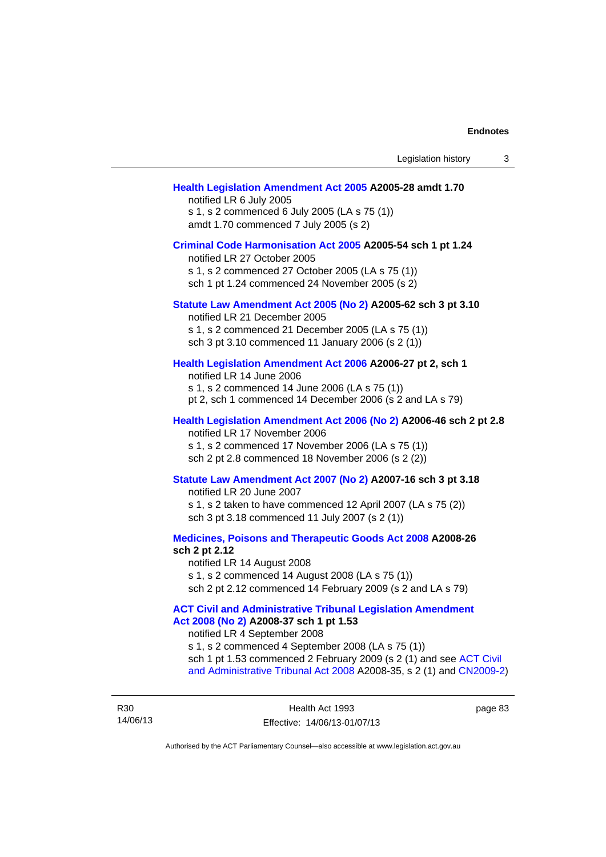#### **[Health Legislation Amendment Act 2005](http://www.legislation.act.gov.au/a/2005-28) A2005-28 amdt 1.70**

notified LR 6 July 2005 s 1, s 2 commenced 6 July 2005 (LA s 75 (1)) amdt 1.70 commenced 7 July 2005 (s 2)

#### **[Criminal Code Harmonisation Act 2005](http://www.legislation.act.gov.au/a/2005-54) A2005-54 sch 1 pt 1.24**

notified LR 27 October 2005 s 1, s 2 commenced 27 October 2005 (LA s 75 (1)) sch 1 pt 1.24 commenced 24 November 2005 (s 2)

## **[Statute Law Amendment Act 2005 \(No 2\)](http://www.legislation.act.gov.au/a/2005-62) A2005-62 sch 3 pt 3.10**

notified LR 21 December 2005 s 1, s 2 commenced 21 December 2005 (LA s 75 (1)) sch 3 pt 3.10 commenced 11 January 2006 (s 2 (1))

#### **[Health Legislation Amendment Act 2006](http://www.legislation.act.gov.au/a/2006-27) A2006-27 pt 2, sch 1**

notified LR 14 June 2006 s 1, s 2 commenced 14 June 2006 (LA s 75 (1)) pt 2, sch 1 commenced 14 December 2006 (s 2 and LA s 79)

## **[Health Legislation Amendment Act 2006 \(No 2\)](http://www.legislation.act.gov.au/a/2006-46) A2006-46 sch 2 pt 2.8**  notified LR 17 November 2006

s 1, s 2 commenced 17 November 2006 (LA s 75 (1)) sch 2 pt 2.8 commenced 18 November 2006 (s 2 (2))

### **[Statute Law Amendment Act 2007 \(No 2\)](http://www.legislation.act.gov.au/a/2007-16) A2007-16 sch 3 pt 3.18**

notified LR 20 June 2007 s 1, s 2 taken to have commenced 12 April 2007 (LA s 75 (2)) sch 3 pt 3.18 commenced 11 July 2007 (s 2 (1))

### **[Medicines, Poisons and Therapeutic Goods Act 2008](http://www.legislation.act.gov.au/a/2008-26) A2008-26 sch 2 pt 2.12**

notified LR 14 August 2008 s 1, s 2 commenced 14 August 2008 (LA s 75 (1)) sch 2 pt 2.12 commenced 14 February 2009 (s 2 and LA s 79)

## **[ACT Civil and Administrative Tribunal Legislation Amendment](http://www.legislation.act.gov.au/a/2008-37)  [Act 2008 \(No 2\)](http://www.legislation.act.gov.au/a/2008-37) A2008-37 sch 1 pt 1.53**

notified LR 4 September 2008

s 1, s 2 commenced 4 September 2008 (LA s 75 (1)) sch 1 pt 1.53 commenced 2 February 2009 (s 2 (1) and see [ACT Civil](http://www.legislation.act.gov.au/a/2008-35)  [and Administrative Tribunal Act 2008](http://www.legislation.act.gov.au/a/2008-35) A2008-35, s 2 (1) and [CN2009-2](http://www.legislation.act.gov.au/cn/2009-2/default.asp))

R30 14/06/13 page 83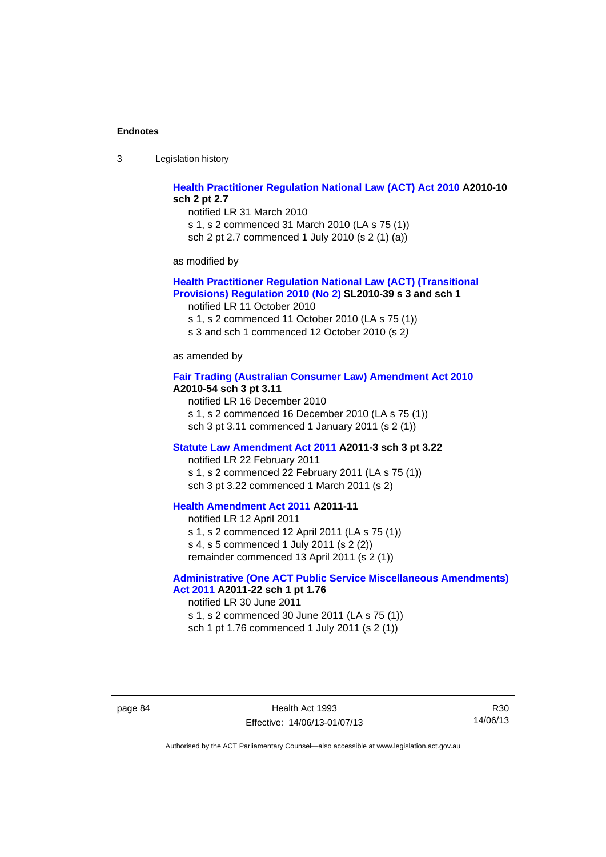3 Legislation history

# **[Health Practitioner Regulation National Law \(ACT\) Act 2010](http://www.legislation.act.gov.au/a/2010-10) A2010-10 sch 2 pt 2.7**

notified LR 31 March 2010 s 1, s 2 commenced 31 March 2010 (LA s 75 (1)) sch 2 pt 2.7 commenced 1 July 2010 (s 2 (1) (a))

as modified by

## **[Health Practitioner Regulation National Law \(ACT\) \(Transitional](http://www.legislation.act.gov.au/sl/2010-39)  [Provisions\) Regulation 2010 \(No 2\)](http://www.legislation.act.gov.au/sl/2010-39) SL2010-39 s 3 and sch 1**

notified LR 11 October 2010

s 1, s 2 commenced 11 October 2010 (LA s 75 (1))

s 3 and sch 1 commenced 12 October 2010 (s 2*)*

as amended by

#### **[Fair Trading \(Australian Consumer Law\) Amendment Act 2010](http://www.legislation.act.gov.au/a/2010-54) A2010-54 sch 3 pt 3.11**

notified LR 16 December 2010 s 1, s 2 commenced 16 December 2010 (LA s 75 (1)) sch 3 pt 3.11 commenced 1 January 2011 (s 2 (1))

#### **[Statute Law Amendment Act 2011](http://www.legislation.act.gov.au/a/2011-3) A2011-3 sch 3 pt 3.22**

notified LR 22 February 2011 s 1, s 2 commenced 22 February 2011 (LA s 75 (1)) sch 3 pt 3.22 commenced 1 March 2011 (s 2)

## **[Health Amendment Act 2011](http://www.legislation.act.gov.au/a/2011-11) A2011-11**

notified LR 12 April 2011 s 1, s 2 commenced 12 April 2011 (LA s 75 (1)) s 4, s 5 commenced 1 July 2011 (s 2 (2)) remainder commenced 13 April 2011 (s 2 (1))

# **[Administrative \(One ACT Public Service Miscellaneous Amendments\)](http://www.legislation.act.gov.au/a/2011-22)**

**[Act 2011](http://www.legislation.act.gov.au/a/2011-22) A2011-22 sch 1 pt 1.76**  notified LR 30 June 2011 s 1, s 2 commenced 30 June 2011 (LA s 75 (1)) sch 1 pt 1.76 commenced 1 July 2011 (s 2 (1))

page 84 Health Act 1993 Effective: 14/06/13-01/07/13

R30 14/06/13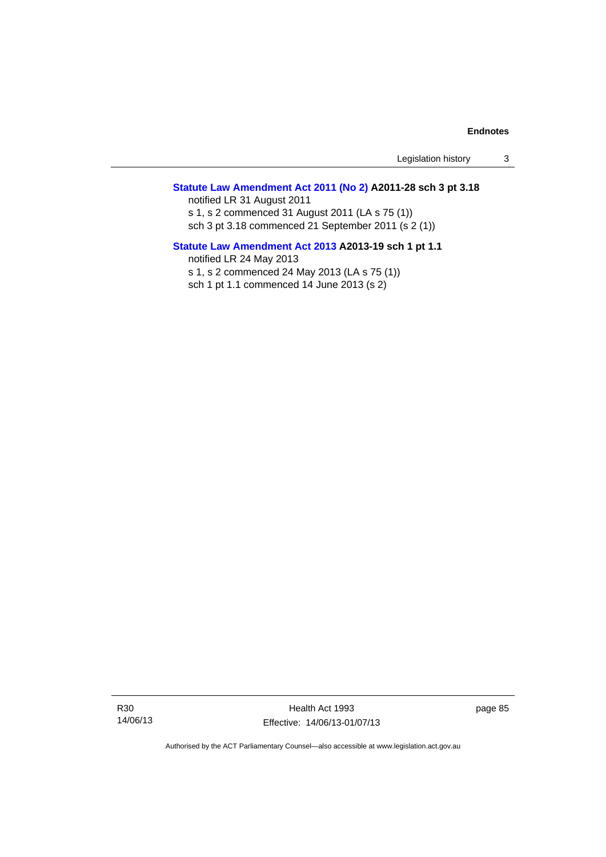Legislation history 3

## **[Statute Law Amendment Act 2011 \(No 2\)](http://www.legislation.act.gov.au/a/2011-28) A2011-28 sch 3 pt 3.18**

notified LR 31 August 2011 s 1, s 2 commenced 31 August 2011 (LA s 75 (1)) sch 3 pt 3.18 commenced 21 September 2011 (s 2 (1))

## **[Statute Law Amendment Act 2013](http://www.legislation.act.gov.au/a/2013-19) A2013-19 sch 1 pt 1.1**  notified LR 24 May 2013

s 1, s 2 commenced 24 May 2013 (LA s 75 (1)) sch 1 pt 1.1 commenced 14 June 2013 (s 2)

Health Act 1993 Effective: 14/06/13-01/07/13 page 85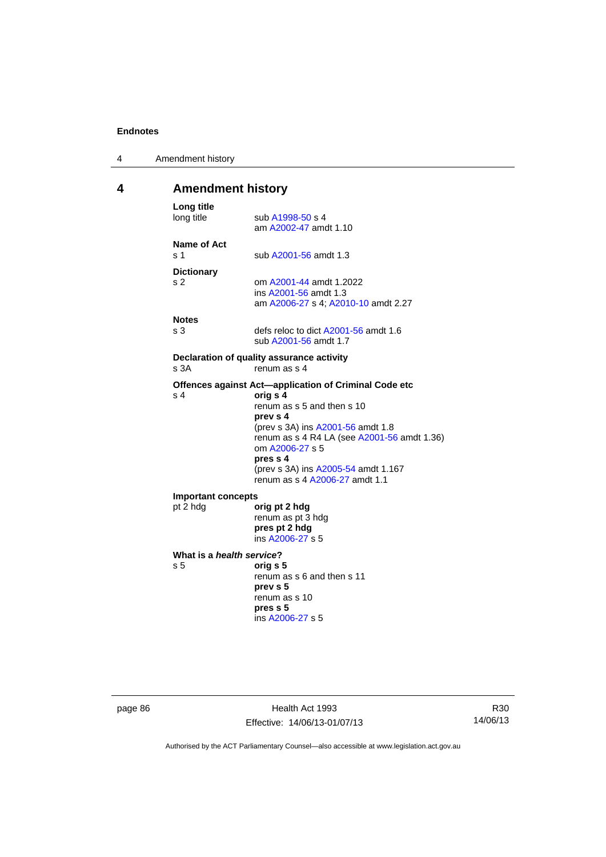| 4 | Amendment history |
|---|-------------------|
|---|-------------------|

# **4 Amendment history**

| Long title<br>long title                    | sub A1998-50 s 4<br>am A2002-47 amdt 1.10                                                                                                                                                                                                                                                               |
|---------------------------------------------|---------------------------------------------------------------------------------------------------------------------------------------------------------------------------------------------------------------------------------------------------------------------------------------------------------|
| Name of Act<br>s <sub>1</sub>               | sub A2001-56 amdt 1.3                                                                                                                                                                                                                                                                                   |
| <b>Dictionary</b><br>s <sub>2</sub>         | om A2001-44 amdt 1.2022<br>ins A2001-56 amdt 1.3<br>am A2006-27 s 4; A2010-10 amdt 2.27                                                                                                                                                                                                                 |
| <b>Notes</b><br>s <sub>3</sub>              | defs reloc to dict A2001-56 amdt 1.6<br>sub A2001-56 amdt 1.7                                                                                                                                                                                                                                           |
| s 3A                                        | Declaration of quality assurance activity<br>renum as s 4                                                                                                                                                                                                                                               |
| s <sub>4</sub>                              | Offences against Act-application of Criminal Code etc<br>orig s 4<br>renum as s 5 and then s 10<br>prev s 4<br>(prev s 3A) ins A2001-56 amdt 1.8<br>renum as s 4 R4 LA (see A2001-56 amdt 1.36)<br>om A2006-27 s 5<br>pres s 4<br>(prev s 3A) ins A2005-54 amdt 1.167<br>renum as s 4 A2006-27 amdt 1.1 |
| <b>Important concepts</b><br>pt 2 hdg       | orig pt 2 hdg<br>renum as pt 3 hdg<br>pres pt 2 hdg<br>ins A2006-27 s 5                                                                                                                                                                                                                                 |
| What is a health service?<br>s <sub>5</sub> | orig s 5<br>renum as s 6 and then s 11<br>prev s 5<br>renum as s 10<br>pres s 5<br>ins A2006-27 s 5                                                                                                                                                                                                     |

page 86 **Health Act 1993** Effective: 14/06/13-01/07/13

R30 14/06/13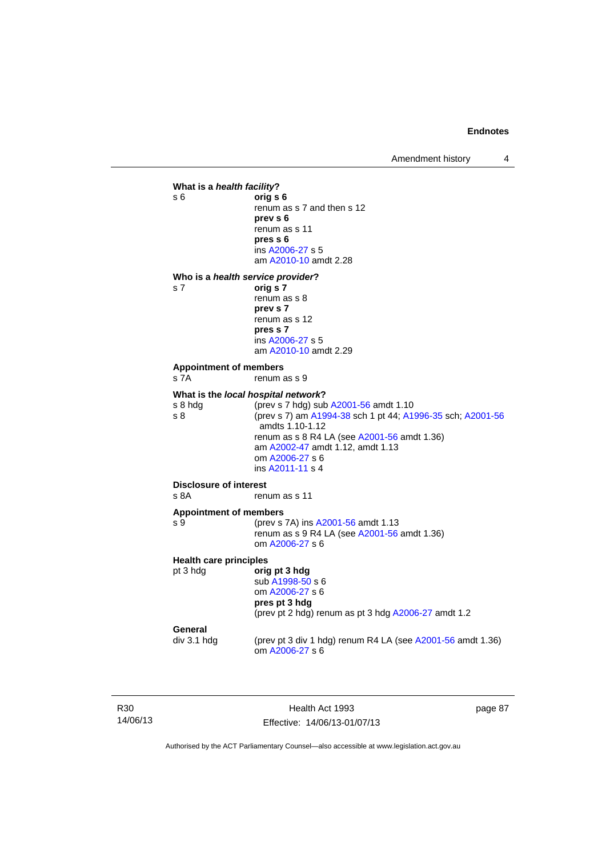Amendment history 4



R30 14/06/13

Health Act 1993 Effective: 14/06/13-01/07/13 page 87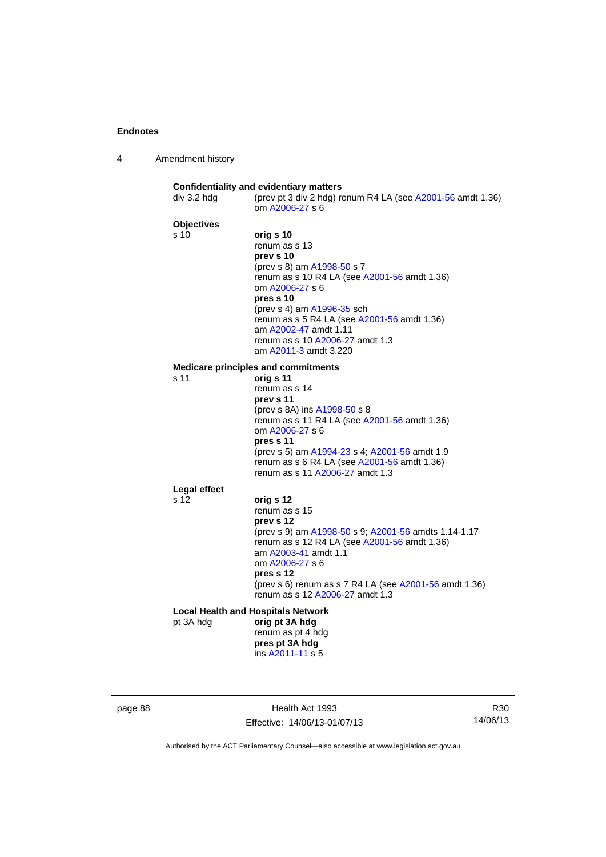| 4 | Amendment history |
|---|-------------------|
|---|-------------------|

|                   | (prev pt 3 div 2 hdg) renum R4 LA (see A2001-56 amdt 1.36)<br>om A2006-27 s 6                        |
|-------------------|------------------------------------------------------------------------------------------------------|
| <b>Objectives</b> |                                                                                                      |
| s 10              | orig s 10                                                                                            |
|                   | renum as s 13                                                                                        |
|                   | prev s 10                                                                                            |
|                   | (prev s 8) am A1998-50 s 7                                                                           |
|                   | renum as s 10 R4 LA (see A2001-56 amdt 1.36)                                                         |
|                   | om A2006-27 s 6<br>pres s 10                                                                         |
|                   | (prev s 4) am A1996-35 sch                                                                           |
|                   | renum as s 5 R4 LA (see A2001-56 amdt 1.36)                                                          |
|                   | am A2002-47 amdt 1.11                                                                                |
|                   | renum as s 10 A2006-27 amdt 1.3                                                                      |
|                   | am A2011-3 amdt 3.220                                                                                |
|                   | <b>Medicare principles and commitments</b>                                                           |
| s 11              | orig s 11                                                                                            |
|                   | renum as s 14                                                                                        |
|                   | prev s 11                                                                                            |
|                   | (prev s 8A) ins A1998-50 s 8<br>renum as s 11 R4 LA (see A2001-56 amdt 1.36)                         |
|                   | om A2006-27 s 6                                                                                      |
|                   | pres s 11                                                                                            |
|                   | (prev s 5) am A1994-23 s 4; A2001-56 amdt 1.9                                                        |
|                   | renum as s 6 R4 LA (see A2001-56 amdt 1.36)                                                          |
|                   | renum as s 11 A2006-27 amdt 1.3                                                                      |
| Legal effect      |                                                                                                      |
| s 12              | orig s 12                                                                                            |
|                   | renum as s 15                                                                                        |
|                   | prev s 12                                                                                            |
|                   | (prev s 9) am A1998-50 s 9; A2001-56 amdts 1.14-1.17<br>renum as s 12 R4 LA (see A2001-56 amdt 1.36) |
|                   | am A2003-41 amdt 1.1                                                                                 |
|                   | om A2006-27 s 6                                                                                      |
|                   | pres s 12                                                                                            |
|                   | (prev s 6) renum as s 7 R4 LA (see A2001-56 amdt 1.36)                                               |
|                   | renum as s 12 A2006-27 amdt 1.3                                                                      |
|                   | <b>Local Health and Hospitals Network</b>                                                            |
| pt 3A hdg         | orig pt 3A hdg                                                                                       |
|                   | renum as pt 4 hdg                                                                                    |
|                   | pres pt 3A hdg<br>ins A2011-11 s 5                                                                   |

page 88 Health Act 1993 Effective: 14/06/13-01/07/13

R30 14/06/13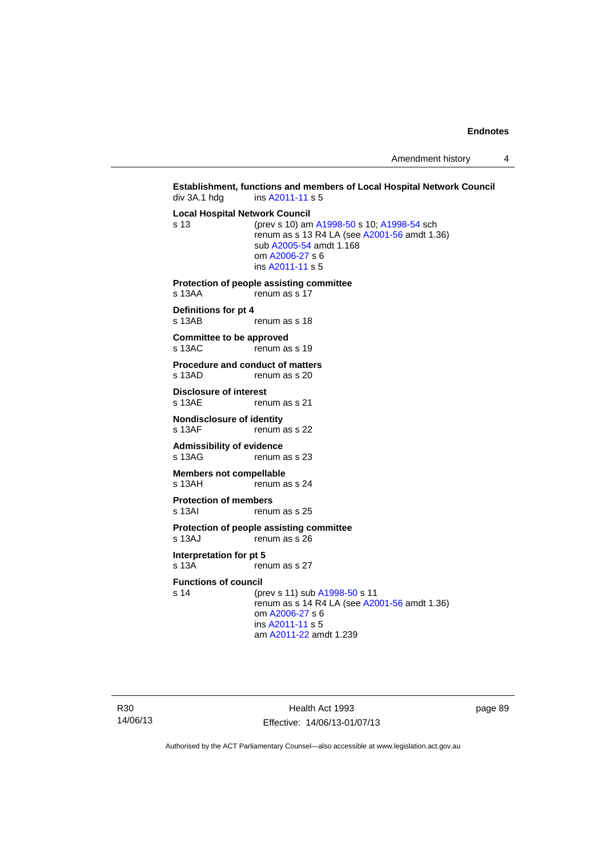Amendment history 4

```
Establishment, functions and members of Local Hospital Network Council div 3A.1 hdg ins A2011-11 s 5
                  A2011-11 s 5
Local Hospital Network Council
s 13 (prev s 10) am A1998-50 s 10; A1998-54 sch 
                 renum as s 13 R4 LA (see A2001-56 amdt 1.36) 
                  sub A2005-54 amdt 1.168 
                  om A2006-27 s 6 
                  ins A2011-11 s 5
Protection of people assisting committee 
s 13AA renum as s 17
Definitions for pt 4 
                 renum as s 18
Committee to be approved 
s 13AC renum as s 19
Procedure and conduct of matters<br>s 13AD renum as s 20
                 renum as s 20
Disclosure of interest 
s 13AE renum as s 21
Nondisclosure of identity<br>s 13AF renum
                 renum as s 22
Admissibility of evidence 
s 13AG renum as s 23
Members not compellable 
s 13AH renum as s 24
Protection of members 
s 13AI renum as s 25
Protection of people assisting committee 
s 13AJ renum as s 26
Interpretation for pt 5 
s 13A renum as s 27
Functions of council
s 14 (prev s 11) sub A1998-50 s 11 
                 renum as s A2001-56 amdt 1.36)
                  om A2006-27 s 6 
                  ins A2011-11 s 5
                  am A2011-22 amdt 1.239
```
R30 14/06/13

Health Act 1993 Effective: 14/06/13-01/07/13 page 89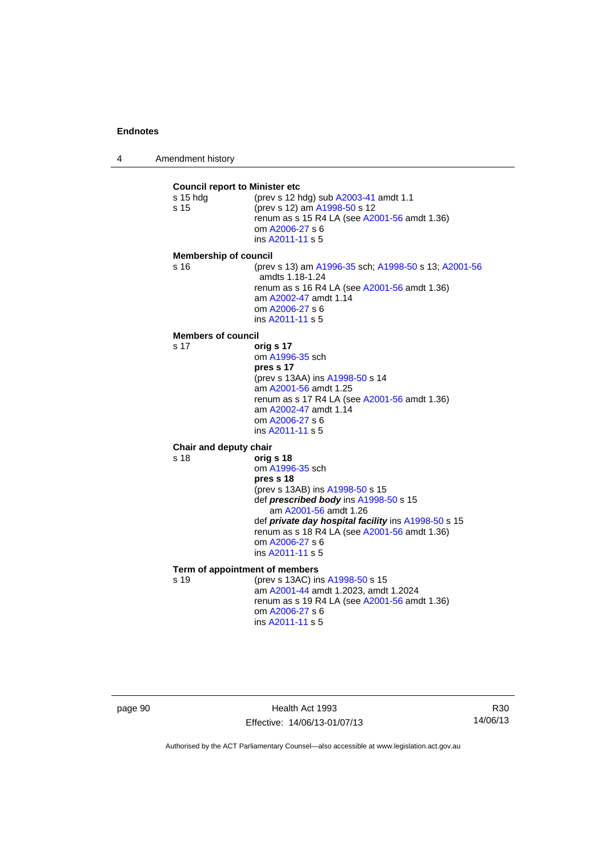4 Amendment history

**Council report to Minister etc** s 15 hdg (prev s 12 hdg) sub [A2003-41](http://www.legislation.act.gov.au/a/2003-41) amdt 1.1 s 15 (prev s 12) am [A1998-50](http://www.legislation.act.gov.au/a/1998-50) s 12 renum as s 15 R4 LA (see [A2001-56](http://www.legislation.act.gov.au/a/2001-56) amdt 1.36) om [A2006-27](http://www.legislation.act.gov.au/a/2006-27) s 6 ins [A2011-11](http://www.legislation.act.gov.au/a/2011-11) s 5 **Membership of council** s 16 (prev s 13) am [A1996-35](http://www.legislation.act.gov.au/a/1996-35) sch; [A1998-50](http://www.legislation.act.gov.au/a/1998-50) s 13; [A2001-56](http://www.legislation.act.gov.au/a/2001-56) amdts 1.18-1.24 renum as s 16 R4 LA (see [A2001-56](http://www.legislation.act.gov.au/a/2001-56) amdt 1.36) am [A2002-47](http://www.legislation.act.gov.au/a/2002-47) amdt 1.14 om [A2006-27](http://www.legislation.act.gov.au/a/2006-27) s 6 ins [A2011-11](http://www.legislation.act.gov.au/a/2011-11) s 5 **Members of council** s 17 **orig s 17** om [A1996-35](http://www.legislation.act.gov.au/a/1996-35) sch **pres s 17**  (prev s 13AA) ins [A1998-50](http://www.legislation.act.gov.au/a/1998-50) s 14 am [A2001-56](http://www.legislation.act.gov.au/a/2001-56) amdt 1.25 renum as s 17 R4 LA (see [A2001-56](http://www.legislation.act.gov.au/a/2001-56) amdt 1.36) am [A2002-47](http://www.legislation.act.gov.au/a/2002-47) amdt 1.14 om [A2006-27](http://www.legislation.act.gov.au/a/2006-27) s 6 ins [A2011-11](http://www.legislation.act.gov.au/a/2011-11) s 5 **Chair and deputy chair** s 18 **orig s 18** om [A1996-35](http://www.legislation.act.gov.au/a/1996-35) sch **pres s 18**  (prev s 13AB) ins [A1998-50](http://www.legislation.act.gov.au/a/1998-50) s 15 def *prescribed body* ins [A1998-50](http://www.legislation.act.gov.au/a/1998-50) s 15 am [A2001-56](http://www.legislation.act.gov.au/a/2001-56) amdt 1.26 def *private day hospital facility* ins [A1998-50](http://www.legislation.act.gov.au/a/1998-50) s 15 renum as s 18 R4 LA (see [A2001-56](http://www.legislation.act.gov.au/a/2001-56) amdt 1.36) om [A2006-27](http://www.legislation.act.gov.au/a/2006-27) s 6 ins [A2011-11](http://www.legislation.act.gov.au/a/2011-11) s 5 **Term of appointment of members** s 19 (prev s 13AC) ins [A1998-50](http://www.legislation.act.gov.au/a/1998-50) s 15 am [A2001-44](http://www.legislation.act.gov.au/a/2001-44) amdt 1.2023, amdt 1.2024 renum as s 19 R4 LA (see [A2001-56](http://www.legislation.act.gov.au/a/2001-56) amdt 1.36) om [A2006-27](http://www.legislation.act.gov.au/a/2006-27) s 6 ins [A2011-11](http://www.legislation.act.gov.au/a/2011-11) s 5

page 90 Health Act 1993 Effective: 14/06/13-01/07/13

R30 14/06/13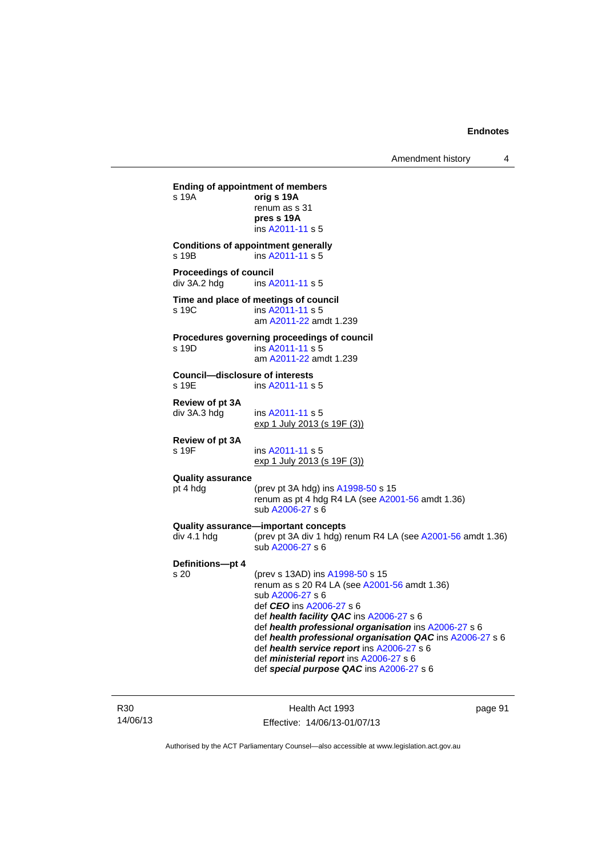**Ending of appointment of members**  s 19A **orig s 19A** renum as s 31 **pres s 19A**  ins [A2011-11](http://www.legislation.act.gov.au/a/2011-11) s 5 **Conditions of appointment generally**  s 19B ins [A2011-11](http://www.legislation.act.gov.au/a/2011-11) s 5 **Proceedings of council<br>div 3A.2 hdg ins A.** ins [A2011-11](http://www.legislation.act.gov.au/a/2011-11) s 5 **Time and place of meetings of council**  s 19C ins [A2011-11](http://www.legislation.act.gov.au/a/2011-11) s 5 am [A2011-22](http://www.legislation.act.gov.au/a/2011-22) amdt 1.239 **Procedures governing proceedings of council**  s 19D ins [A2011-11](http://www.legislation.act.gov.au/a/2011-11) s 5 am [A2011-22](http://www.legislation.act.gov.au/a/2011-22) amdt 1.239 **Council—disclosure of interests**   $ins$  [A2011-11](http://www.legislation.act.gov.au/a/2011-11) s 5 **Review of pt 3A**  div 3A.3 hdg ins [A2011-11](http://www.legislation.act.gov.au/a/2011-11) s 5 exp 1 July 2013 (s 19F (3)) **Review of pt 3A**  s 19F ins [A2011-11](http://www.legislation.act.gov.au/a/2011-11) s 5 exp 1 July 2013 (s 19F (3)) **Quality assurance** pt 4 hdg (prev pt 3A hdg) ins [A1998-50](http://www.legislation.act.gov.au/a/1998-50) s 15 renum as pt 4 hdg R4 LA (see [A2001-56](http://www.legislation.act.gov.au/a/2001-56) amdt 1.36) sub [A2006-27](http://www.legislation.act.gov.au/a/2006-27) s 6 **Quality assurance—important concepts**  div 4.1 hdg (prev pt 3A div 1 hdg) renum R4 LA (see [A2001-56](http://www.legislation.act.gov.au/a/2001-56) amdt 1.36) sub [A2006-27](http://www.legislation.act.gov.au/a/2006-27) s 6 **Definitions—pt 4** (prev s 13AD) ins [A1998-50](http://www.legislation.act.gov.au/a/1998-50) s 15 renum as s 20 R4 LA (see [A2001-56](http://www.legislation.act.gov.au/a/2001-56) amdt 1.36) sub [A2006-27](http://www.legislation.act.gov.au/a/2006-27) s 6 def *CEO* ins [A2006-27](http://www.legislation.act.gov.au/a/2006-27) s 6 def *health facility QAC* ins [A2006-27](http://www.legislation.act.gov.au/a/2006-27) s 6 def *health professional organisation* ins [A2006-27](http://www.legislation.act.gov.au/a/2006-27) s 6 def *health professional organisation QAC* ins [A2006-27](http://www.legislation.act.gov.au/a/2006-27) s 6 def *health service report* ins [A2006-27](http://www.legislation.act.gov.au/a/2006-27) s 6 def *ministerial report* ins [A2006-27](http://www.legislation.act.gov.au/a/2006-27) s 6 def *special purpose QAC* ins [A2006-27](http://www.legislation.act.gov.au/a/2006-27) s 6

R30 14/06/13

Health Act 1993 Effective: 14/06/13-01/07/13 page 91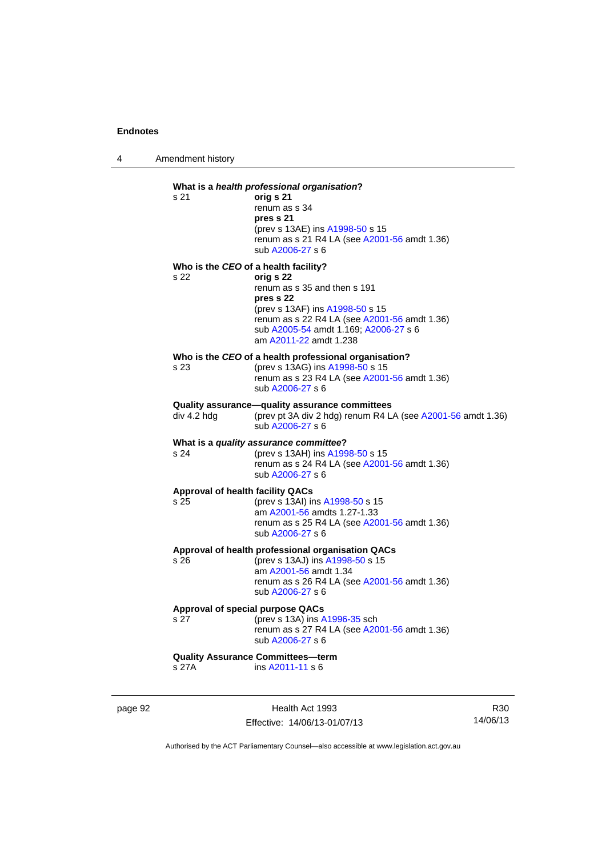4 Amendment history

## **What is a** *health professional organisation***?** s 21 **orig s 21**  renum as s 34 **pres s 21**  (prev s 13AE) ins [A1998-50](http://www.legislation.act.gov.au/a/1998-50) s 15 renum as s 21 R4 LA (see [A2001-56](http://www.legislation.act.gov.au/a/2001-56) amdt 1.36) sub [A2006-27](http://www.legislation.act.gov.au/a/2006-27) s 6 **Who is the** *CEO* **of a health facility?** s 22 **orig s 22**  renum as s 35 and then s 191 **pres s 22**  (prev s 13AF) ins [A1998-50](http://www.legislation.act.gov.au/a/1998-50) s 15 renum as s 22 R4 LA (see [A2001-56](http://www.legislation.act.gov.au/a/2001-56) amdt 1.36) sub [A2005-54](http://www.legislation.act.gov.au/a/2005-54) amdt 1.169; [A2006-27](http://www.legislation.act.gov.au/a/2006-27) s 6 am [A2011-22](http://www.legislation.act.gov.au/a/2011-22) amdt 1.238 **Who is the** *CEO* **of a health professional organisation?** s 23 (prev s 13AG) ins [A1998-50](http://www.legislation.act.gov.au/a/1998-50) s 15 renum as s 23 R4 LA (see [A2001-56](http://www.legislation.act.gov.au/a/2001-56) amdt 1.36) sub [A2006-27](http://www.legislation.act.gov.au/a/2006-27) s 6 **Quality assurance—quality assurance committees**  div 4.2 hdg (prev pt 3A div 2 hdg) renum R4 LA (see [A2001-56](http://www.legislation.act.gov.au/a/2001-56) amdt 1.36) sub [A2006-27](http://www.legislation.act.gov.au/a/2006-27) s 6 **What is a** *quality assurance committee***?** s 24 (prev s 13AH) ins [A1998-50](http://www.legislation.act.gov.au/a/1998-50) s 15 renum as s  $24$  R4 LA (see [A2001-56](http://www.legislation.act.gov.au/a/2001-56) amdt 1.36) sub [A2006-27](http://www.legislation.act.gov.au/a/2006-27) s 6 **Approval of health facility QACs** s 25 (prev s 13AI) ins [A1998-50](http://www.legislation.act.gov.au/a/1998-50) s 15 am [A2001-56](http://www.legislation.act.gov.au/a/2001-56) amdts 1.27-1.33 renum as s 25 R4 LA (see [A2001-56](http://www.legislation.act.gov.au/a/2001-56) amdt 1.36) sub [A2006-27](http://www.legislation.act.gov.au/a/2006-27) s 6 **Approval of health professional organisation QACs** s 26 (prev s 13AJ) ins [A1998-50](http://www.legislation.act.gov.au/a/1998-50) s 15 am [A2001-56](http://www.legislation.act.gov.au/a/2001-56) amdt 1.34 renum as s 26 R4 LA (see [A2001-56](http://www.legislation.act.gov.au/a/2001-56) amdt 1.36) sub [A2006-27](http://www.legislation.act.gov.au/a/2006-27) s 6 **Approval of special purpose QACs** s 27 (prev s 13A) ins [A1996-35](http://www.legislation.act.gov.au/a/1996-35) sch renum as s 27 R4 LA (see [A2001-56](http://www.legislation.act.gov.au/a/2001-56) amdt 1.36) sub [A2006-27](http://www.legislation.act.gov.au/a/2006-27) s 6 **Quality Assurance Committees—term**  s 27A ins [A2011-11](http://www.legislation.act.gov.au/a/2011-11) s 6

page 92 Health Act 1993 Effective: 14/06/13-01/07/13

R30 14/06/13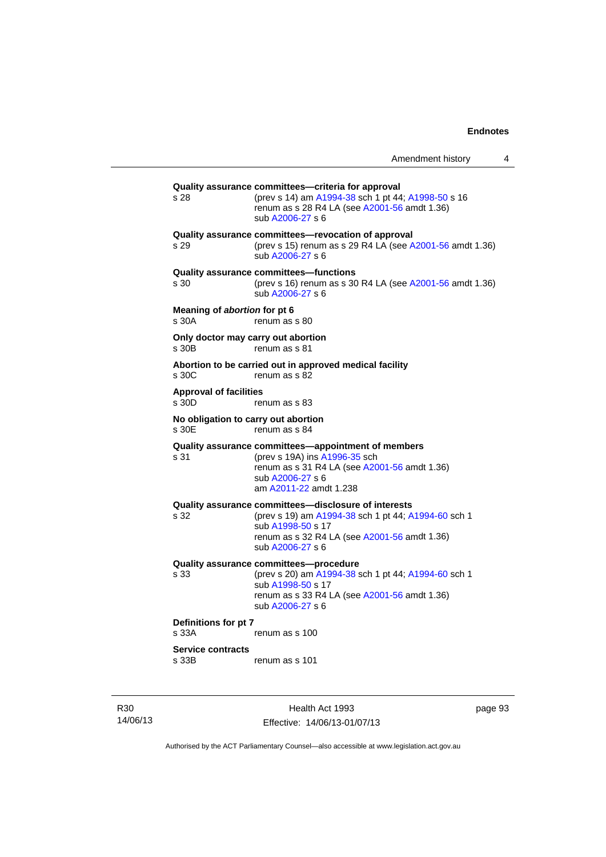| Amendment history |  |
|-------------------|--|
|-------------------|--|

**Quality assurance committees—criteria for approval** s 28 (prev s 14) am [A1994-38](http://www.legislation.act.gov.au/a/1994-38) sch 1 pt 44; [A1998-50](http://www.legislation.act.gov.au/a/1998-50) s 16 renum as s 28 R4 LA (see [A2001-56](http://www.legislation.act.gov.au/a/2001-56) amdt 1.36) sub [A2006-27](http://www.legislation.act.gov.au/a/2006-27) s 6 **Quality assurance committees—revocation of approval**  s 29 (prev s 15) renum as s 29 R4 LA (see [A2001-56](http://www.legislation.act.gov.au/a/2001-56) amdt 1.36) sub [A2006-27](http://www.legislation.act.gov.au/a/2006-27) s 6 **Quality assurance committees—functions**  s 30 (prev s 16) renum as s 30 R4 LA (see [A2001-56](http://www.legislation.act.gov.au/a/2001-56) amdt 1.36) sub [A2006-27](http://www.legislation.act.gov.au/a/2006-27) s 6 **Meaning of** *abortion* **for pt 6**  s 30A renum as s 80 **Only doctor may carry out abortion**  s 30B renum as s 81 **Abortion to be carried out in approved medical facility**  renum as s 82 **Approval of facilities**  s 30D renum as s 83 **No obligation to carry out abortion**  renum as s 84 **Quality assurance committees—appointment of members** s 31 (prev s 19A) ins [A1996-35](http://www.legislation.act.gov.au/a/1996-35) sch renum as s 31 R4 LA (see [A2001-56](http://www.legislation.act.gov.au/a/2001-56) amdt 1.36) sub [A2006-27](http://www.legislation.act.gov.au/a/2006-27) s 6 am [A2011-22](http://www.legislation.act.gov.au/a/2011-22) amdt 1.238 **Quality assurance committees—disclosure of interests** s 32 (prev s 19) am [A1994-38](http://www.legislation.act.gov.au/a/1994-38) sch 1 pt 44; [A1994-60](http://www.legislation.act.gov.au/a/1994-60) sch 1 sub [A1998-50](http://www.legislation.act.gov.au/a/1998-50) s 17 renum as s 32 R4 LA (see [A2001-56](http://www.legislation.act.gov.au/a/2001-56) amdt 1.36) sub [A2006-27](http://www.legislation.act.gov.au/a/2006-27) s 6 **Quality assurance committees—procedure** (prev s 20) am [A1994-38](http://www.legislation.act.gov.au/a/1994-38) sch 1 pt 44; [A1994-60](http://www.legislation.act.gov.au/a/1994-60) sch 1 sub [A1998-50](http://www.legislation.act.gov.au/a/1998-50) s 17 renum as s 33 R4 LA (see [A2001-56](http://www.legislation.act.gov.au/a/2001-56) amdt 1.36) sub [A2006-27](http://www.legislation.act.gov.au/a/2006-27) s 6 **Definitions for pt 7**  s 33A renum as s 100 **Service contracts**  s 33B renum as s 101

R30 14/06/13

Health Act 1993 Effective: 14/06/13-01/07/13 page 93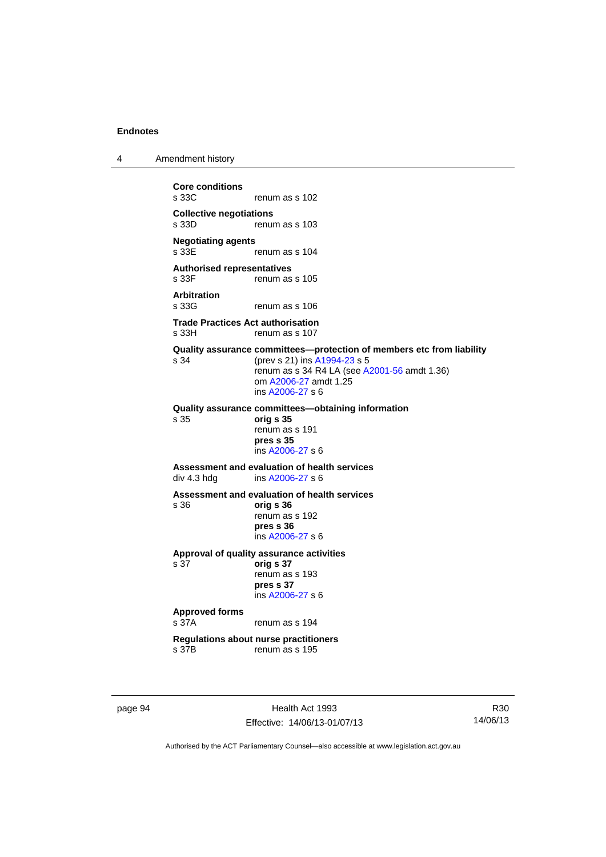4 Amendment history

**Core conditions**  renum as s 102 **Collective negotiations**  renum as s 103 **Negotiating agents**  renum as s 104 **Authorised representatives**  s 33F renum as s 105 **Arbitration**  renum as s 106 **Trade Practices Act authorisation**  s 33H renum as s 107 **Quality assurance committees—protection of members etc from liability** s 34 (prev s 21) ins [A1994-23](http://www.legislation.act.gov.au/a/1994-23) s 5 renum as s 34 R4 LA (see [A2001-56](http://www.legislation.act.gov.au/a/2001-56) amdt 1.36) om [A2006-27](http://www.legislation.act.gov.au/a/2006-27) amdt 1.25 ins [A2006-27](http://www.legislation.act.gov.au/a/2006-27) s 6 **Quality assurance committees—obtaining information** s 35 **orig s 35**  renum as s 191 **pres s 35**  ins [A2006-27](http://www.legislation.act.gov.au/a/2006-27) s 6 **Assessment and evaluation of health services**  div 4.3 hdg ins [A2006-27](http://www.legislation.act.gov.au/a/2006-27) s 6 **Assessment and evaluation of health services**  s 36 **orig s 36**  renum as s 192 **pres s 36**  ins [A2006-27](http://www.legislation.act.gov.au/a/2006-27) s 6 **Approval of quality assurance activities**  s 37 **orig s 37**  renum as s 193 **pres s 37**  ins [A2006-27](http://www.legislation.act.gov.au/a/2006-27) s 6 **Approved forms**  s 37A renum as s 194 **Regulations about nurse practitioners**  s 37B renum as s 195

page 94 Health Act 1993 Effective: 14/06/13-01/07/13

R30 14/06/13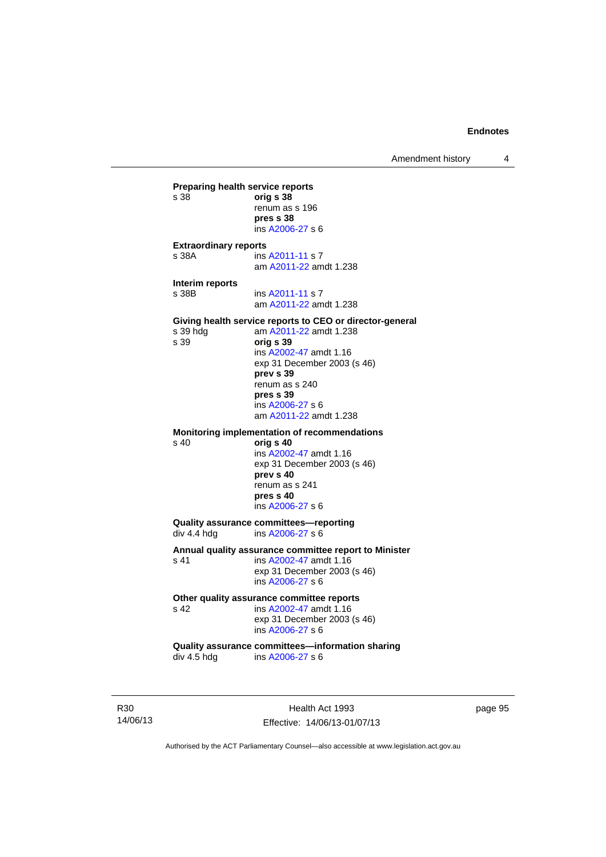Amendment history 4

**Preparing health service reports**<br>
s 38 orig **s 38** s 38 **orig s 38** renum as s 196 **pres s 38**  ins [A2006-27](http://www.legislation.act.gov.au/a/2006-27) s 6 **Extraordinary reports**  s 38A ins [A2011-11](http://www.legislation.act.gov.au/a/2011-11) s 7 am [A2011-22](http://www.legislation.act.gov.au/a/2011-22) amdt 1.238 **Interim reports**  s 38B ins [A2011-11](http://www.legislation.act.gov.au/a/2011-11) s 7 am [A2011-22](http://www.legislation.act.gov.au/a/2011-22) amdt 1.238 **Giving health service reports to CEO or director-general**<br>s 39 hdg am A2011-22 amdt 1.238 am [A2011-22](http://www.legislation.act.gov.au/a/2011-22) amdt 1.238 s 39 **orig s 39**  ins [A2002-47](http://www.legislation.act.gov.au/a/2002-47) amdt 1.16 exp 31 December 2003 (s 46) **prev s 39**  renum as s 240 **pres s 39**  ins [A2006-27](http://www.legislation.act.gov.au/a/2006-27) s 6 am [A2011-22](http://www.legislation.act.gov.au/a/2011-22) amdt 1.238 **Monitoring implementation of recommendations**  s 40 **orig s 40**  ins [A2002-47](http://www.legislation.act.gov.au/a/2002-47) amdt 1.16 exp 31 December 2003 (s 46) **prev s 40**  renum as s 241 **pres s 40**  ins [A2006-27](http://www.legislation.act.gov.au/a/2006-27) s 6 **Quality assurance committees—reporting**<br>div 4.4 hdg ins A2006-27 s 6 ins [A2006-27](http://www.legislation.act.gov.au/a/2006-27) s 6 **Annual quality assurance committee report to Minister**  s 41 **ins A2002-47** amdt 1.16 exp 31 December 2003 (s 46) ins [A2006-27](http://www.legislation.act.gov.au/a/2006-27) s 6 Other quality assurance committee reports<br>
s 42 **ins A2002-47** amdt 1.16 ins [A2002-47](http://www.legislation.act.gov.au/a/2002-47) amdt 1.16 exp 31 December 2003 (s 46) ins [A2006-27](http://www.legislation.act.gov.au/a/2006-27) s 6 **Quality assurance committees—information sharing**  div 4.5 hdg ins [A2006-27](http://www.legislation.act.gov.au/a/2006-27) s 6

R30 14/06/13

Health Act 1993 Effective: 14/06/13-01/07/13 page 95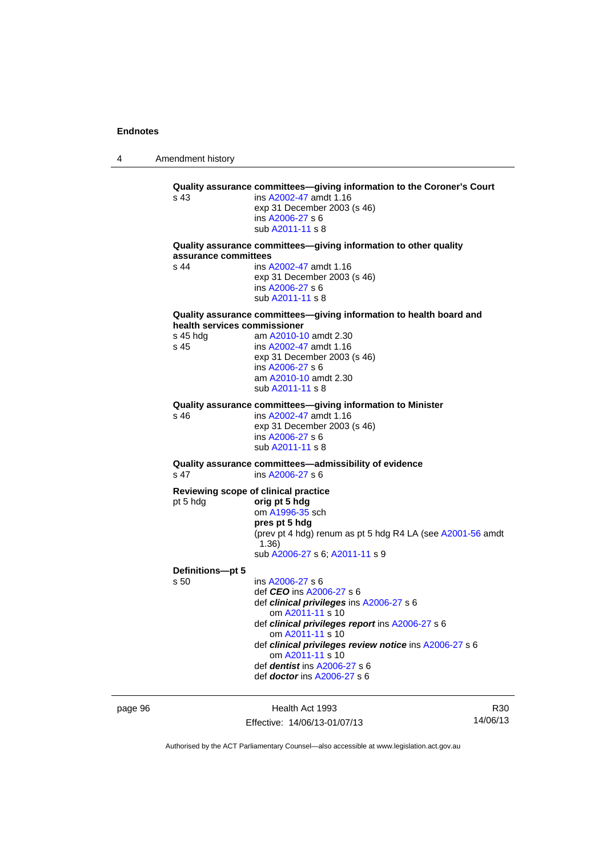4 Amendment history page 96 Health Act 1993 **Quality assurance committees—giving information to the Coroner's Court**  s 43 ins [A2002-47](http://www.legislation.act.gov.au/a/2002-47) amdt 1.16 exp 31 December 2003 (s 46) ins [A2006-27](http://www.legislation.act.gov.au/a/2006-27) s 6 sub [A2011-11](http://www.legislation.act.gov.au/a/2011-11) s 8 **Quality assurance committees—giving information to other quality assurance committees**  s 44 ins [A2002-47](http://www.legislation.act.gov.au/a/2002-47) amdt 1.16 exp 31 December 2003 (s 46) ins [A2006-27](http://www.legislation.act.gov.au/a/2006-27) s 6 sub [A2011-11](http://www.legislation.act.gov.au/a/2011-11) s 8 **Quality assurance committees—giving information to health board and health services commissioner**  s 45 hdg am [A2010-10](http://www.legislation.act.gov.au/a/2010-10) amdt 2.30 s 45 ins [A2002-47](http://www.legislation.act.gov.au/a/2002-47) amdt 1.16 exp 31 December 2003 (s 46) ins [A2006-27](http://www.legislation.act.gov.au/a/2006-27) s 6 am [A2010-10](http://www.legislation.act.gov.au/a/2010-10) amdt 2.30 sub [A2011-11](http://www.legislation.act.gov.au/a/2011-11) s 8 **Quality assurance committees—giving information to Minister**  s 46 ins [A2002-47](http://www.legislation.act.gov.au/a/2002-47) amdt 1.16 exp 31 December 2003 (s 46) ins [A2006-27](http://www.legislation.act.gov.au/a/2006-27) s 6 sub [A2011-11](http://www.legislation.act.gov.au/a/2011-11) s 8 **Quality assurance committees—admissibility of evidence**  s 47 ins [A2006-27](http://www.legislation.act.gov.au/a/2006-27) s 6 **Reviewing scope of clinical practice**  pt 5 hdg **orig pt 5 hdg** om [A1996-35](http://www.legislation.act.gov.au/a/1996-35) sch **pres pt 5 hdg**  (prev pt 4 hdg) renum as pt 5 hdg R4 LA (see [A2001-56](http://www.legislation.act.gov.au/a/2001-56) amdt 1.36) sub [A2006-27](http://www.legislation.act.gov.au/a/2006-27) s 6; [A2011-11](http://www.legislation.act.gov.au/a/2011-11) s 9 **Definitions—pt 5**  s 50 ins [A2006-27](http://www.legislation.act.gov.au/a/2006-27) s 6 def *CEO* ins [A2006-27](http://www.legislation.act.gov.au/a/2006-27) s 6 def *clinical privileges* ins [A2006-27](http://www.legislation.act.gov.au/a/2006-27) s 6 om [A2011-11](http://www.legislation.act.gov.au/a/2011-11) s 10 def *clinical privileges report* ins [A2006-27](http://www.legislation.act.gov.au/a/2006-27) s 6 om [A2011-11](http://www.legislation.act.gov.au/a/2011-11) s 10 def *clinical privileges review notice* ins [A2006-27](http://www.legislation.act.gov.au/a/2006-27) s 6 om [A2011-11](http://www.legislation.act.gov.au/a/2011-11) s 10 def *dentist* ins [A2006-27](http://www.legislation.act.gov.au/a/2006-27) s 6 def *doctor* ins [A2006-27](http://www.legislation.act.gov.au/a/2006-27) s 6

Effective: 14/06/13-01/07/13

R30 14/06/13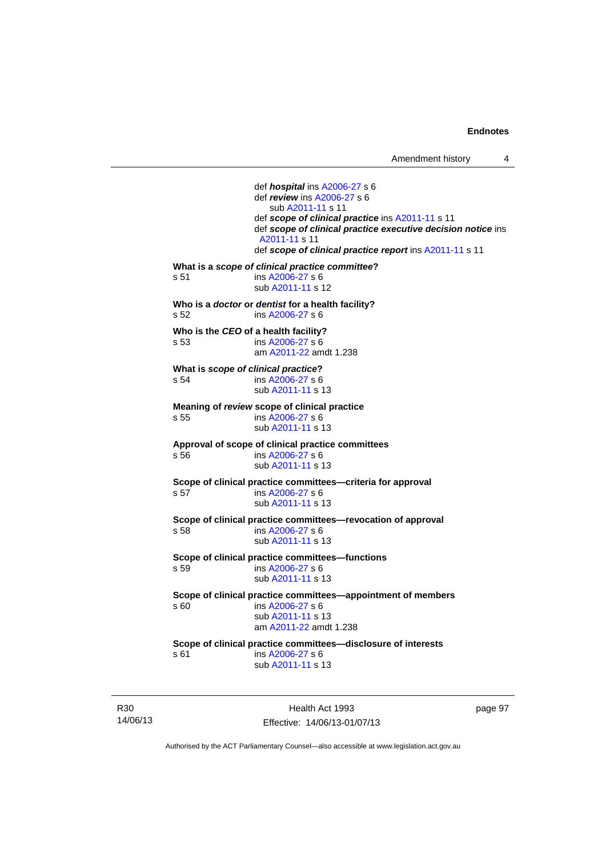def *hospital* ins [A2006-27](http://www.legislation.act.gov.au/a/2006-27) s 6 def *review* ins [A2006-27](http://www.legislation.act.gov.au/a/2006-27) s 6 sub [A2011-11](http://www.legislation.act.gov.au/a/2011-11) s 11 def *scope of clinical practice* ins [A2011-11](http://www.legislation.act.gov.au/a/2011-11) s 11 def *scope of clinical practice executive decision notice* ins [A2011-11](http://www.legislation.act.gov.au/a/2011-11) s 11 def *scope of clinical practice report* ins [A2011-11](http://www.legislation.act.gov.au/a/2011-11) s 11 **What is a** *scope of clinical practice committee***?**  s 51 ins [A2006-27](http://www.legislation.act.gov.au/a/2006-27) s 6 sub [A2011-11](http://www.legislation.act.gov.au/a/2011-11) s 12 **Who is a** *doctor* **or** *dentist* **for a health facility?**  s 52 ins [A2006-27](http://www.legislation.act.gov.au/a/2006-27) s 6 **Who is the** *CEO* **of a health facility?**  s 53 ins [A2006-27](http://www.legislation.act.gov.au/a/2006-27) s 6 am [A2011-22](http://www.legislation.act.gov.au/a/2011-22) amdt 1.238 **What is** *scope of clinical practice***?**  s 54 ins [A2006-27](http://www.legislation.act.gov.au/a/2006-27) s 6 sub [A2011-11](http://www.legislation.act.gov.au/a/2011-11) s 13 **Meaning of** *review* **scope of clinical practice**  s 55 ins [A2006-27](http://www.legislation.act.gov.au/a/2006-27) s 6 sub [A2011-11](http://www.legislation.act.gov.au/a/2011-11) s 13 **Approval of scope of clinical practice committees**  s 56 ins [A2006-27](http://www.legislation.act.gov.au/a/2006-27) s 6 sub [A2011-11](http://www.legislation.act.gov.au/a/2011-11) s 13 **Scope of clinical practice committees—criteria for approval**  s 57 ins [A2006-27](http://www.legislation.act.gov.au/a/2006-27) s 6 sub [A2011-11](http://www.legislation.act.gov.au/a/2011-11) s 13 **Scope of clinical practice committees—revocation of approval**  s 58 ins [A2006-27](http://www.legislation.act.gov.au/a/2006-27) s 6 sub [A2011-11](http://www.legislation.act.gov.au/a/2011-11) s 13 **Scope of clinical practice committees—functions**  s 59 ins [A2006-27](http://www.legislation.act.gov.au/a/2006-27) s 6 sub [A2011-11](http://www.legislation.act.gov.au/a/2011-11) s 13 **Scope of clinical practice committees—appointment of members**  ins [A2006-27](http://www.legislation.act.gov.au/a/2006-27) s 6 sub [A2011-11](http://www.legislation.act.gov.au/a/2011-11) s 13 am [A2011-22](http://www.legislation.act.gov.au/a/2011-22) amdt 1.238 **Scope of clinical practice committees—disclosure of interests**  s 61 ins [A2006-27](http://www.legislation.act.gov.au/a/2006-27) s 6 sub [A2011-11](http://www.legislation.act.gov.au/a/2011-11) s 13

R30 14/06/13

Health Act 1993 Effective: 14/06/13-01/07/13 page 97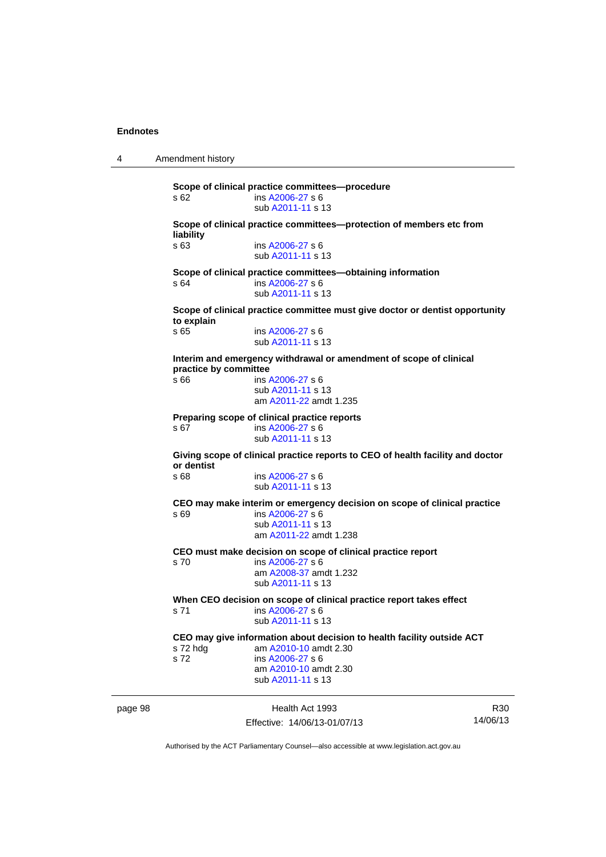4 Amendment history

page 98 Health Act 1993 R30 **Scope of clinical practice committees—procedure**  s 62 ins [A2006-27](http://www.legislation.act.gov.au/a/2006-27) s 6 sub [A2011-11](http://www.legislation.act.gov.au/a/2011-11) s 13 **Scope of clinical practice committees—protection of members etc from liability**  s 63 ins [A2006-27](http://www.legislation.act.gov.au/a/2006-27) s 6 sub [A2011-11](http://www.legislation.act.gov.au/a/2011-11) s 13 **Scope of clinical practice committees—obtaining information**  s 64 ins [A2006-27](http://www.legislation.act.gov.au/a/2006-27) s 6 sub [A2011-11](http://www.legislation.act.gov.au/a/2011-11) s 13 **Scope of clinical practice committee must give doctor or dentist opportunity to explain**  ins [A2006-27](http://www.legislation.act.gov.au/a/2006-27) s 6 sub [A2011-11](http://www.legislation.act.gov.au/a/2011-11) s 13 **Interim and emergency withdrawal or amendment of scope of clinical practice by committee**  s 66 ins [A2006-27](http://www.legislation.act.gov.au/a/2006-27) s 6 sub [A2011-11](http://www.legislation.act.gov.au/a/2011-11) s 13 am [A2011-22](http://www.legislation.act.gov.au/a/2011-22) amdt 1.235 **Preparing scope of clinical practice reports**  s 67 ins [A2006-27](http://www.legislation.act.gov.au/a/2006-27) s 6 sub [A2011-11](http://www.legislation.act.gov.au/a/2011-11) s 13 **Giving scope of clinical practice reports to CEO of health facility and doctor or dentist**  s 68 ins [A2006-27](http://www.legislation.act.gov.au/a/2006-27) s 6 sub [A2011-11](http://www.legislation.act.gov.au/a/2011-11) s 13 **CEO may make interim or emergency decision on scope of clinical practice**  s 69 ins [A2006-27](http://www.legislation.act.gov.au/a/2006-27) s 6 sub [A2011-11](http://www.legislation.act.gov.au/a/2011-11) s 13 am [A2011-22](http://www.legislation.act.gov.au/a/2011-22) amdt 1.238 **CEO must make decision on scope of clinical practice report**  s 70 ins [A2006-27](http://www.legislation.act.gov.au/a/2006-27) s 6 am [A2008-37](http://www.legislation.act.gov.au/a/2008-37) amdt 1.232 sub [A2011-11](http://www.legislation.act.gov.au/a/2011-11) s 13 **When CEO decision on scope of clinical practice report takes effect**  s 71 ins [A2006-27](http://www.legislation.act.gov.au/a/2006-27) s 6 sub [A2011-11](http://www.legislation.act.gov.au/a/2011-11) s 13 **CEO may give information about decision to health facility outside ACT**  s 72 hdg am [A2010-10](http://www.legislation.act.gov.au/a/2010-10) amdt 2.30 s 72 ins [A2006-27](http://www.legislation.act.gov.au/a/2006-27) s 6 am [A2010-10](http://www.legislation.act.gov.au/a/2010-10) amdt 2.30 sub [A2011-11](http://www.legislation.act.gov.au/a/2011-11) s 13

Effective: 14/06/13-01/07/13

14/06/13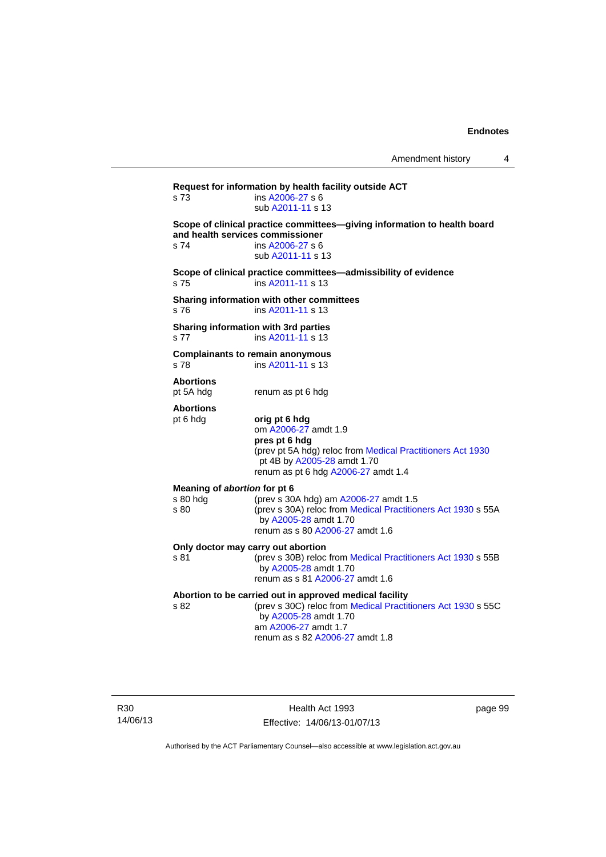**Request for information by health facility outside ACT**  s 73 ins [A2006-27](http://www.legislation.act.gov.au/a/2006-27) s 6 sub [A2011-11](http://www.legislation.act.gov.au/a/2011-11) s 13 **Scope of clinical practice committees—giving information to health board and health services commissioner**  s 74 ins [A2006-27](http://www.legislation.act.gov.au/a/2006-27) s 6 sub [A2011-11](http://www.legislation.act.gov.au/a/2011-11) s 13 **Scope of clinical practice committees—admissibility of evidence**  s 75 ins [A2011-11](http://www.legislation.act.gov.au/a/2011-11) s 13 **Sharing information with other committees**  s 76 ins [A2011-11](http://www.legislation.act.gov.au/a/2011-11) s 13 **Sharing information with 3rd parties**  s 77 ins [A2011-11](http://www.legislation.act.gov.au/a/2011-11) s 13 **Complainants to remain anonymous**  s 78 ins [A2011-11](http://www.legislation.act.gov.au/a/2011-11) s 13 **Abortions**  pt 5A hdg renum as pt 6 hdg **Abortions**  pt 6 hdg **orig pt 6 hdg**  om [A2006-27](http://www.legislation.act.gov.au/a/2006-27) amdt 1.9 **pres pt 6 hdg**  (prev pt 5A hdg) reloc from [Medical Practitioners Act 1930](http://www.legislation.act.gov.au/a/1930-13) pt 4B by [A2005-28](http://www.legislation.act.gov.au/a/2005-28) amdt 1.70 renum as pt 6 hdg [A2006-27](http://www.legislation.act.gov.au/a/2006-27) amdt 1.4 **Meaning of** *abortion* **for pt 6**  s 80 hdg (prev s 30A hdg) am [A2006-27](http://www.legislation.act.gov.au/a/2006-27) amdt 1.5<br>s 80 (prev s 30A) reloc from Medical Practition (prev s 30A) reloc from [Medical Practitioners Act 1930](http://www.legislation.act.gov.au/a/1930-13) s 55A by [A2005-28](http://www.legislation.act.gov.au/a/2005-28) amdt 1.70 renum as s 80 [A2006-27](http://www.legislation.act.gov.au/a/2006-27) amdt 1.6 **Only doctor may carry out abortion**  s 81 (prev s 30B) reloc from [Medical Practitioners Act 1930](http://www.legislation.act.gov.au/a/1930-13) s 55B by [A2005-28](http://www.legislation.act.gov.au/a/2005-28) amdt 1.70 renum as s 81 [A2006-27](http://www.legislation.act.gov.au/a/2006-27) amdt 1.6 **Abortion to be carried out in approved medical facility**  by [A2005-28](http://www.legislation.act.gov.au/a/2005-28) amdt 1.70

(prev s 30C) reloc from [Medical Practitioners Act 1930](http://www.legislation.act.gov.au/a/1930-13) s 55C am [A2006-27](http://www.legislation.act.gov.au/a/2006-27) amdt 1.7 renum as s 82 [A2006-27](http://www.legislation.act.gov.au/a/2006-27) amdt 1.8

R30 14/06/13

Health Act 1993 Effective: 14/06/13-01/07/13 page 99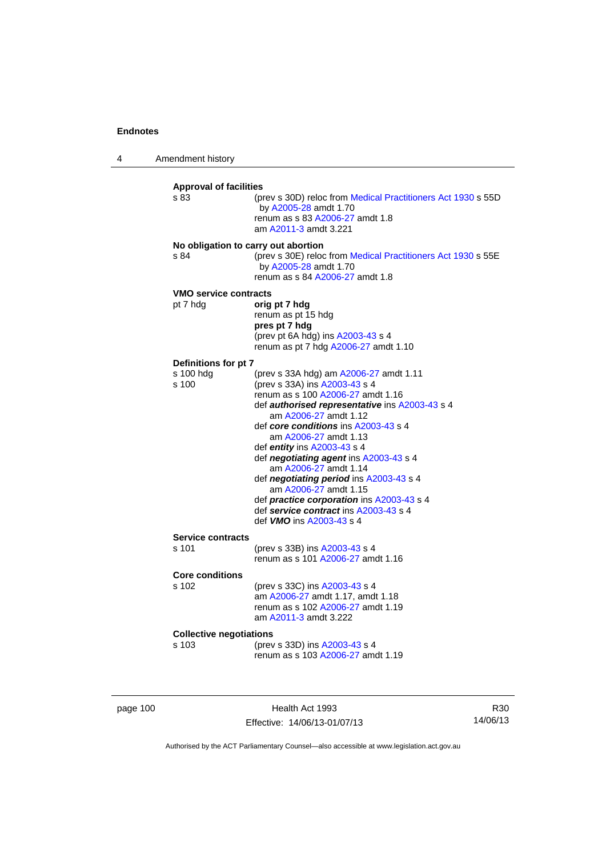4 Amendment history

| <b>Approval of facilities</b><br>s 83 | (prev s 30D) reloc from Medical Practitioners Act 1930 s 55D<br>by A2005-28 amdt 1.70<br>renum as s 83 A2006-27 amdt 1.8<br>am A2011-3 amdt 3.221                                                                                                                                                                                                                                                                                                                                                                                                                |
|---------------------------------------|------------------------------------------------------------------------------------------------------------------------------------------------------------------------------------------------------------------------------------------------------------------------------------------------------------------------------------------------------------------------------------------------------------------------------------------------------------------------------------------------------------------------------------------------------------------|
| s 84                                  | No obligation to carry out abortion<br>(prev s 30E) reloc from Medical Practitioners Act 1930 s 55E<br>by A2005-28 amdt 1.70<br>renum as s 84 A2006-27 amdt 1.8                                                                                                                                                                                                                                                                                                                                                                                                  |
| VMO service contracts<br>pt 7 hdg     | orig pt 7 hdg<br>renum as pt 15 hdg<br>pres pt 7 hdg<br>(prev pt 6A hdg) ins A2003-43 s 4<br>renum as pt 7 hdg A2006-27 amdt 1.10                                                                                                                                                                                                                                                                                                                                                                                                                                |
| Definitions for pt 7                  |                                                                                                                                                                                                                                                                                                                                                                                                                                                                                                                                                                  |
| s 100 hdg<br>s 100                    | (prev s 33A hdg) am A2006-27 amdt 1.11<br>(prev s 33A) ins A2003-43 s 4<br>renum as s 100 A2006-27 amdt 1.16<br>def authorised representative ins A2003-43 s 4<br>am A2006-27 amdt 1.12<br>def core conditions ins A2003-43 s 4<br>am A2006-27 amdt 1.13<br>def <b>entity</b> ins $A2003-43$ s 4<br>def negotiating agent ins A2003-43 s 4<br>am A2006-27 amdt 1.14<br>def negotiating period ins A2003-43 s 4<br>am A2006-27 amdt 1.15<br>def practice corporation ins A2003-43 s 4<br>def service contract ins A2003-43 s 4<br>def <i>VMO</i> ins A2003-43 s 4 |
| <b>Service contracts</b><br>s 101     | (prev s 33B) ins A2003-43 s 4<br>renum as s 101 A2006-27 amdt 1.16                                                                                                                                                                                                                                                                                                                                                                                                                                                                                               |
| <b>Core conditions</b>                |                                                                                                                                                                                                                                                                                                                                                                                                                                                                                                                                                                  |
| s 102                                 | (prev s 33C) ins A2003-43 s 4<br>am A2006-27 amdt 1.17, amdt 1.18<br>renum as s 102 A2006-27 amdt 1.19<br>am A2011-3 amdt 3.222                                                                                                                                                                                                                                                                                                                                                                                                                                  |
| <b>Collective negotiations</b>        |                                                                                                                                                                                                                                                                                                                                                                                                                                                                                                                                                                  |
| s 103                                 | (prev s 33D) ins A2003-43 s 4<br>renum as s 103 A2006-27 amdt 1.19                                                                                                                                                                                                                                                                                                                                                                                                                                                                                               |

page 100 **Health Act 1993** Effective: 14/06/13-01/07/13

R30 14/06/13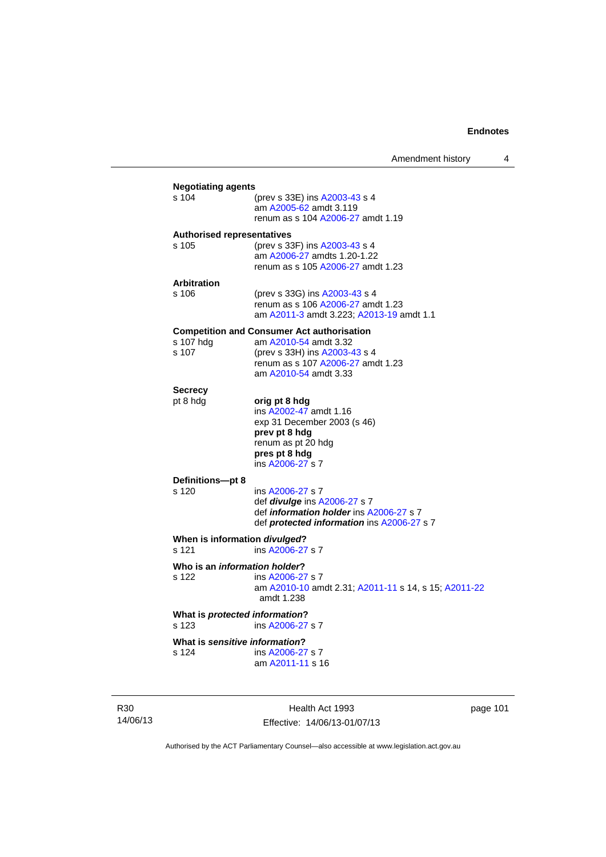|                                                |                                                                                                                                                                           | Amendment history | 4 |
|------------------------------------------------|---------------------------------------------------------------------------------------------------------------------------------------------------------------------------|-------------------|---|
| <b>Negotiating agents</b><br>s 104             | (prev s 33E) ins A2003-43 s 4<br>am A2005-62 amdt 3.119<br>renum as s 104 A2006-27 amdt 1.19                                                                              |                   |   |
| <b>Authorised representatives</b><br>s 105     | (prev s 33F) ins A2003-43 s 4<br>am A2006-27 amdts 1.20-1.22<br>renum as s 105 A2006-27 amdt 1.23                                                                         |                   |   |
| <b>Arbitration</b><br>s 106                    | (prev s 33G) ins A2003-43 s 4<br>renum as s 106 A2006-27 amdt 1.23<br>am A2011-3 amdt 3.223; A2013-19 amdt 1.1                                                            |                   |   |
| s 107 hdg<br>s 107                             | <b>Competition and Consumer Act authorisation</b><br>am A2010-54 amdt 3.32<br>(prev s 33H) ins A2003-43 s 4<br>renum as s 107 A2006-27 amdt 1.23<br>am A2010-54 amdt 3.33 |                   |   |
| <b>Secrecy</b><br>pt 8 hdg                     | orig pt 8 hdg<br>ins A2002-47 amdt 1.16<br>exp 31 December 2003 (s 46)<br>prev pt 8 hdg<br>renum as pt 20 hdg<br>pres pt 8 hdg<br>ins A2006-27 s 7                        |                   |   |
| Definitions-pt 8<br>s 120                      | ins A2006-27 s 7<br>def <i>divulge</i> ins A2006-27 s 7<br>def <i>information holder</i> ins A2006-27 s 7<br>def <b>protected information</b> ins A2006-27 s 7            |                   |   |
| When is information divulged?<br>s 121         | ins A2006-27 s 7                                                                                                                                                          |                   |   |
| Who is an <i>information holder</i> ?<br>s 122 | ins A2006-27 s 7<br>am A2010-10 amdt 2.31; A2011-11 s 14, s 15; A2011-22<br>amdt 1.238                                                                                    |                   |   |
| What is protected information?<br>s 123        | ins A2006-27 s 7                                                                                                                                                          |                   |   |
| What is sensitive information?<br>s 124        | ins A2006-27 s 7<br>am A2011-11 s 16                                                                                                                                      |                   |   |

R30 14/06/13

Health Act 1993 Effective: 14/06/13-01/07/13 page 101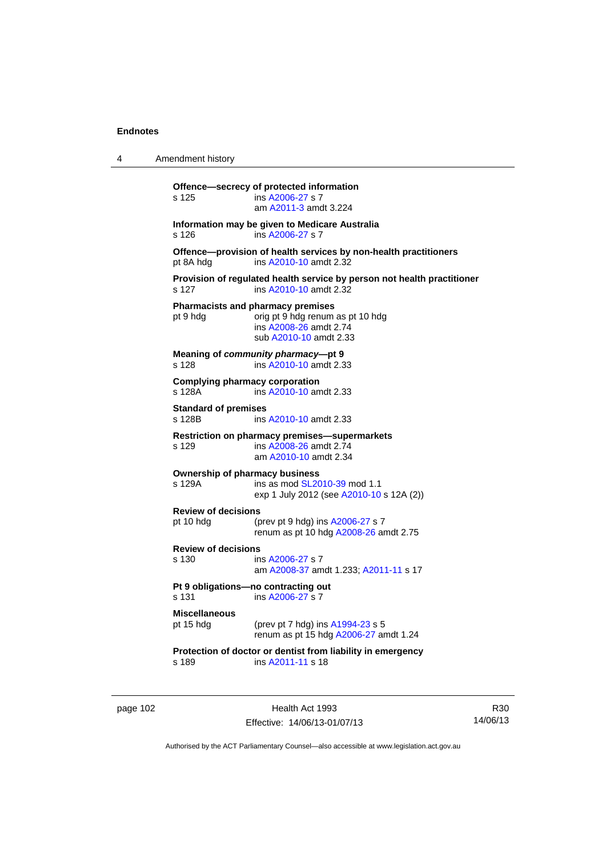| 4 | Amendment history |
|---|-------------------|
|---|-------------------|

**Offence—secrecy of protected information**  s 125 ins [A2006-27](http://www.legislation.act.gov.au/a/2006-27) s 7 am [A2011-3](http://www.legislation.act.gov.au/a/2011-3) amdt 3.224 **Information may be given to Medicare Australia**  s 126 ins [A2006-27](http://www.legislation.act.gov.au/a/2006-27) s 7 **Offence—provision of health services by non-health practitioners**  pt 8A hdg ins [A2010-10](http://www.legislation.act.gov.au/a/2010-10) amdt 2.32 **Provision of regulated health service by person not health practitioner**  s 127 ins [A2010-10](http://www.legislation.act.gov.au/a/2010-10) amdt 2.32 **Pharmacists and pharmacy premises**  pt 9 hdg orig pt 9 hdg renum as pt 10 hdg ins [A2008-26](http://www.legislation.act.gov.au/a/2008-26) amdt 2.74 sub [A2010-10](http://www.legislation.act.gov.au/a/2010-10) amdt 2.33 **Meaning of** *community pharmacy***—pt 9**  s 128 ins [A2010-10](http://www.legislation.act.gov.au/a/2010-10) amdt 2.33 **Complying pharmacy corporation**  s 128A ins [A2010-10](http://www.legislation.act.gov.au/a/2010-10) amdt 2.33 **Standard of premises**  s 128B **ins [A2010-10](http://www.legislation.act.gov.au/a/2010-10) amdt 2.33 Restriction on pharmacy premises—supermarkets**  s 129 ins [A2008-26](http://www.legislation.act.gov.au/a/2008-26) amdt 2.74 am [A2010-10](http://www.legislation.act.gov.au/a/2010-10) amdt 2.34 **Ownership of pharmacy business**<br>s 129A ins as mod SL20 ins as mod [SL2010-39](http://www.legislation.act.gov.au/sl/2010-39) mod 1.1 exp 1 July 2012 (see [A2010-10](http://www.legislation.act.gov.au/a/2010-10) s 12A (2)) **Review of decisions**  pt 10 hdg (prev pt 9 hdg) ins [A2006-27](http://www.legislation.act.gov.au/a/2006-27) s 7 renum as pt 10 hdg [A2008-26](http://www.legislation.act.gov.au/a/2008-26) amdt 2.75 **Review of decisions**  s 130 ins [A2006-27](http://www.legislation.act.gov.au/a/2006-27) s 7 am [A2008-37](http://www.legislation.act.gov.au/a/2008-37) amdt 1.233; [A2011-11](http://www.legislation.act.gov.au/a/2011-11) s 17 **Pt 9 obligations—no contracting out**  s 131 ins [A2006-27](http://www.legislation.act.gov.au/a/2006-27) s 7 **Miscellaneous** pt 15 hdg (prev pt 7 hdg) ins [A1994-23](http://www.legislation.act.gov.au/a/1994-23) s 5 renum as pt 15 hdg [A2006-27](http://www.legislation.act.gov.au/a/2006-27) amdt 1.24 **Protection of doctor or dentist from liability in emergency**  s 189 ins [A2011-11](http://www.legislation.act.gov.au/a/2011-11) s 18

page 102 Health Act 1993 Effective: 14/06/13-01/07/13

R30 14/06/13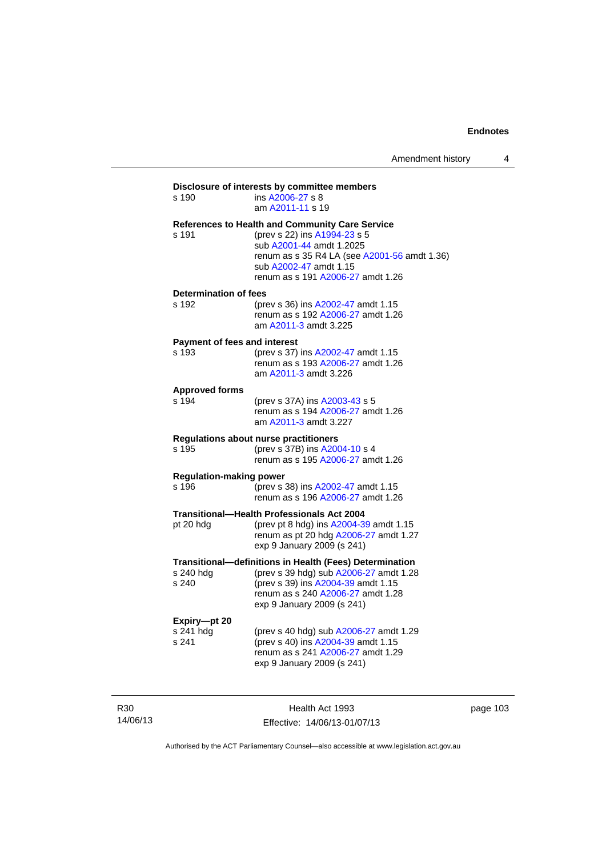| s 190                                   | ins A2006-27 s 8<br>am A2011-11 s 19                                                                                                                                                                                       |
|-----------------------------------------|----------------------------------------------------------------------------------------------------------------------------------------------------------------------------------------------------------------------------|
| s 191                                   | References to Health and Community Care Service<br>(prev s 22) ins A1994-23 s 5<br>sub A2001-44 amdt 1.2025<br>renum as s 35 R4 LA (see A2001-56 amdt 1.36)<br>sub A2002-47 amdt 1.15<br>renum as s 191 A2006-27 amdt 1.26 |
| <b>Determination of fees</b><br>s 192   | (prev s 36) ins A2002-47 amdt 1.15<br>renum as s 192 A2006-27 amdt 1.26<br>am A2011-3 amdt 3.225                                                                                                                           |
| Payment of fees and interest<br>s 193   | (prev s 37) ins A2002-47 amdt 1.15<br>renum as s 193 A2006-27 amdt 1.26<br>am A2011-3 amdt 3.226                                                                                                                           |
| <b>Approved forms</b><br>s 194          | (prev s 37A) ins A2003-43 s 5<br>renum as s 194 A2006-27 amdt 1.26<br>am A2011-3 amdt 3.227                                                                                                                                |
| s 195                                   | <b>Regulations about nurse practitioners</b><br>(prev s 37B) ins A2004-10 s 4<br>renum as s 195 A2006-27 amdt 1.26                                                                                                         |
| <b>Regulation-making power</b><br>s 196 | (prev s 38) ins A2002-47 amdt 1.15<br>renum as s 196 A2006-27 amdt 1.26                                                                                                                                                    |
| pt 20 hdg                               | <b>Transitional-Health Professionals Act 2004</b><br>(prev pt 8 hdg) ins A2004-39 amdt 1.15<br>renum as pt 20 hdg A2006-27 amdt 1.27<br>exp 9 January 2009 (s 241)                                                         |
| s 240 hdg<br>s 240                      | Transitional-definitions in Health (Fees) Determination<br>(prev s 39 hdg) sub A2006-27 amdt 1.28<br>(prev s 39) ins A2004-39 amdt 1.15<br>renum as s 240 A2006-27 amdt 1.28<br>exp 9 January 2009 (s 241)                 |
| Expiry-pt 20<br>s 241 hdg<br>s 241      | (prev s 40 hdg) sub A2006-27 amdt 1.29<br>(prev s 40) ins A2004-39 amdt 1.15<br>renum as s 241 A2006-27 amdt 1.29<br>exp 9 January 2009 (s 241)                                                                            |

R30 14/06/13

Health Act 1993 Effective: 14/06/13-01/07/13 page 103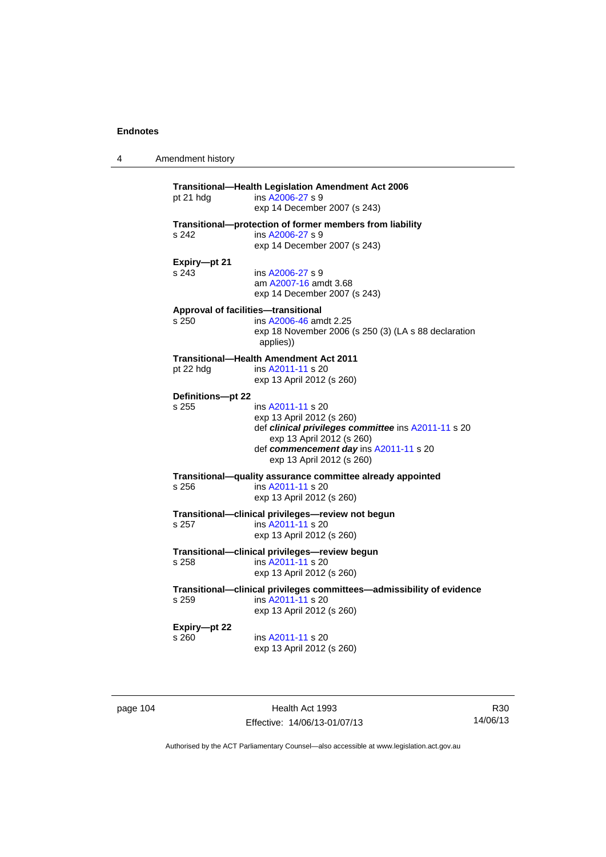4 Amendment history

| pt 21 hdg             | ins A2006-27 s 9<br>exp 14 December 2007 (s 243)                                                                                                                                                          |
|-----------------------|-----------------------------------------------------------------------------------------------------------------------------------------------------------------------------------------------------------|
| s 242                 | Transitional-protection of former members from liability<br>ins A2006-27 s 9<br>exp 14 December 2007 (s 243)                                                                                              |
| Expiry-pt 21<br>s 243 | ins A2006-27 s 9<br>am A2007-16 amdt 3.68<br>exp 14 December 2007 (s 243)                                                                                                                                 |
| s 250                 | Approval of facilities-transitional<br>ins A2006-46 amdt 2.25<br>exp 18 November 2006 (s 250 (3) (LA s 88 declaration<br>applies))                                                                        |
| pt 22 hdg             | <b>Transitional-Health Amendment Act 2011</b><br>ins A2011-11 s 20<br>exp 13 April 2012 (s 260)                                                                                                           |
| Definitions-pt 22     |                                                                                                                                                                                                           |
| s 255                 | ins A2011-11 s 20<br>exp 13 April 2012 (s 260)<br>def clinical privileges committee ins A2011-11 s 20<br>exp 13 April 2012 (s 260)<br>def commencement day ins A2011-11 s 20<br>exp 13 April 2012 (s 260) |
| s 256                 | Transitional-quality assurance committee already appointed<br>ins A2011-11 s 20<br>exp 13 April 2012 (s 260)                                                                                              |
| s 257                 | Transitional-clinical privileges-review not begun<br>ins A2011-11 s 20<br>exp 13 April 2012 (s 260)                                                                                                       |
| s 258                 | Transitional-clinical privileges-review begun<br>ins A2011-11 s 20<br>exp 13 April 2012 (s 260)                                                                                                           |
| s 259                 | Transitional-clinical privileges committees-admissibility of evidence<br>ins A2011-11 s 20<br>exp 13 April 2012 (s 260)                                                                                   |
| Expiry-pt 22<br>s 260 | ins A2011-11 s 20<br>exp 13 April 2012 (s 260)                                                                                                                                                            |

page 104 **Health Act 1993** Effective: 14/06/13-01/07/13

R30 14/06/13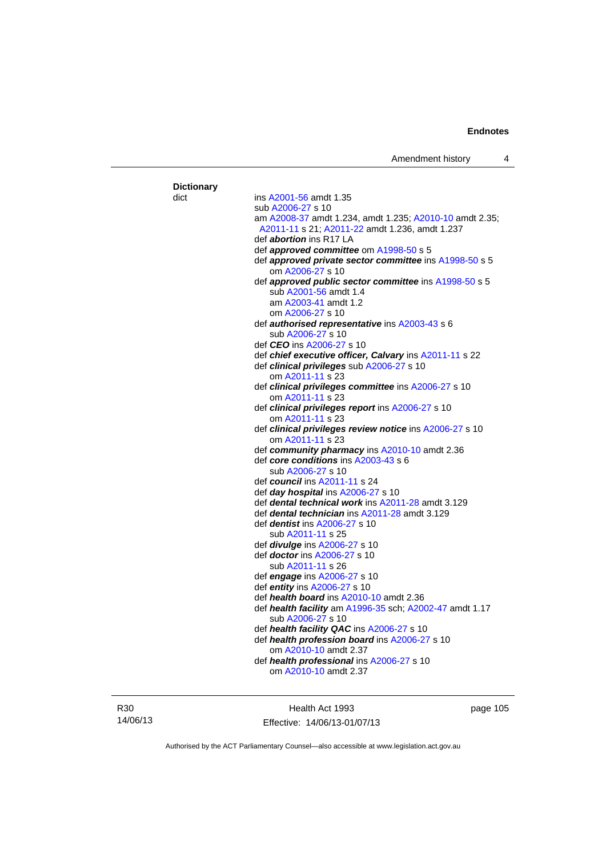| <b>Dictionary</b> |                                                          |
|-------------------|----------------------------------------------------------|
| dict              | ins A2001-56 amdt 1.35                                   |
|                   | sub A2006-27 s 10                                        |
|                   | am A2008-37 amdt 1.234, amdt 1.235; A2010-10 amdt 2.35;  |
|                   | A2011-11 s 21; A2011-22 amdt 1.236, amdt 1.237           |
|                   | def <i>abortion</i> ins R17 LA                           |
|                   | def <i>approved committee</i> om A1998-50 s 5            |
|                   | def approved private sector committee ins A1998-50 s 5   |
|                   | om A2006-27 s 10                                         |
|                   | def approved public sector committee ins A1998-50 s 5    |
|                   | sub A2001-56 amdt 1.4                                    |
|                   | am A2003-41 amdt 1.2                                     |
|                   | om A2006-27 s 10                                         |
|                   | def <i>authorised representative</i> ins A2003-43 s 6    |
|                   | sub A2006-27 s 10                                        |
|                   | def <i>CEO</i> ins A2006-27 s 10                         |
|                   | def chief executive officer, Calvary ins A2011-11 s 22   |
|                   | def clinical privileges sub A2006-27 s 10                |
|                   | om A2011-11 s 23                                         |
|                   |                                                          |
|                   | def clinical privileges committee ins A2006-27 s 10      |
|                   | om A2011-11 s 23                                         |
|                   | def clinical privileges report ins A2006-27 s 10         |
|                   | om A2011-11 s 23                                         |
|                   | def clinical privileges review notice ins A2006-27 s 10  |
|                   | om A2011-11 s 23                                         |
|                   | def community pharmacy ins A2010-10 amdt 2.36            |
|                   | def core conditions ins A2003-43 s 6                     |
|                   | sub A2006-27 s 10                                        |
|                   | def council ins A2011-11 s 24                            |
|                   | def day hospital ins A2006-27 s 10                       |
|                   | def <b>dental technical work</b> ins A2011-28 amdt 3.129 |
|                   | def <b>dental technician</b> ins A2011-28 amdt 3.129     |
|                   | def <i>dentist</i> ins A2006-27 s 10                     |
|                   | sub A2011-11 s 25                                        |
|                   | def <i>divulge</i> ins A2006-27 s 10                     |
|                   | def <i>doctor</i> ins A2006-27 s 10                      |
|                   | sub A2011-11 s 26                                        |
|                   | def engage ins A2006-27 s 10                             |
|                   | def entity ins A2006-27 s 10                             |
|                   | def health board ins A2010-10 amdt 2.36                  |
|                   | def health facility am A1996-35 sch; A2002-47 amdt 1.17  |
|                   | sub A2006-27 s 10                                        |
|                   | def health facility QAC ins A2006-27 s 10                |
|                   | def health profession board ins A2006-27 s 10            |
|                   | om A2010-10 amdt 2.37                                    |
|                   |                                                          |
|                   | def health professional ins A2006-27 s 10                |

R30 14/06/13

Health Act 1993 Effective: 14/06/13-01/07/13 page 105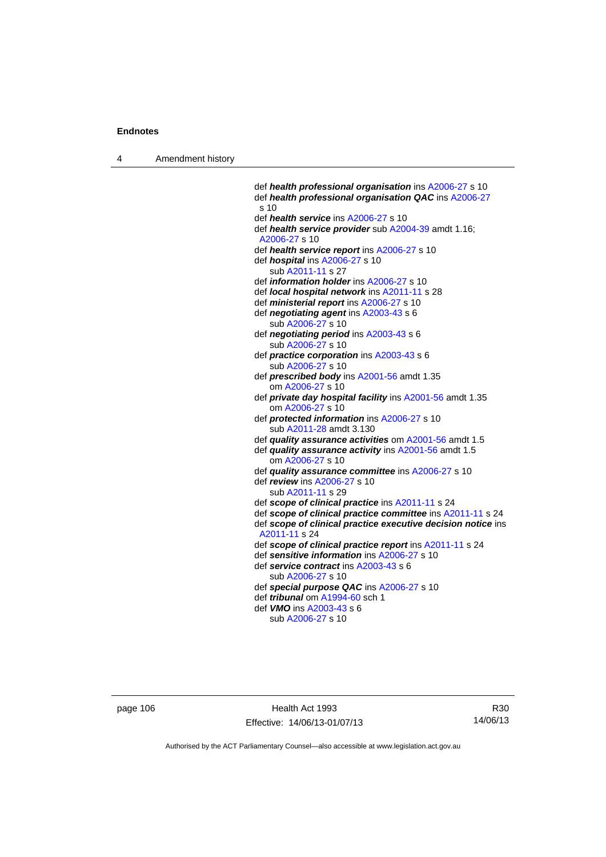4 Amendment history

 def *health professional organisation* ins [A2006-27](http://www.legislation.act.gov.au/a/2006-27) s 10 def *health professional organisation QAC* ins [A2006-27](http://www.legislation.act.gov.au/a/2006-27) s 10 def *health service* ins [A2006-27](http://www.legislation.act.gov.au/a/2006-27) s 10 def *health service provider* sub [A2004-39](http://www.legislation.act.gov.au/a/2004-39) amdt 1.16; [A2006-27](http://www.legislation.act.gov.au/a/2006-27) s 10 def *health service report* ins [A2006-27](http://www.legislation.act.gov.au/a/2006-27) s 10 def *hospital* ins [A2006-27](http://www.legislation.act.gov.au/a/2006-27) s 10 sub [A2011-11](http://www.legislation.act.gov.au/a/2011-11) s 27 def *information holder* ins [A2006-27](http://www.legislation.act.gov.au/a/2006-27) s 10 def *local hospital network* ins [A2011-11](http://www.legislation.act.gov.au/a/2011-11) s 28 def *ministerial report* ins [A2006-27](http://www.legislation.act.gov.au/a/2006-27) s 10 def *negotiating agent* ins [A2003-43](http://www.legislation.act.gov.au/a/2003-43) s 6 sub [A2006-27](http://www.legislation.act.gov.au/a/2006-27) s 10 def *negotiating period* ins [A2003-43](http://www.legislation.act.gov.au/a/2003-43) s 6 sub [A2006-27](http://www.legislation.act.gov.au/a/2006-27) s 10 def *practice corporation* ins [A2003-43](http://www.legislation.act.gov.au/a/2003-43) s 6 sub [A2006-27](http://www.legislation.act.gov.au/a/2006-27) s 10 def *prescribed body* ins [A2001-56](http://www.legislation.act.gov.au/a/2001-56) amdt 1.35 om [A2006-27](http://www.legislation.act.gov.au/a/2006-27) s 10 def *private day hospital facility* ins [A2001-56](http://www.legislation.act.gov.au/a/2001-56) amdt 1.35 om [A2006-27](http://www.legislation.act.gov.au/a/2006-27) s 10 def *protected information* ins [A2006-27](http://www.legislation.act.gov.au/a/2006-27) s 10 sub [A2011-28](http://www.legislation.act.gov.au/a/2011-28) amdt 3.130 def *quality assurance activities* om [A2001-56](http://www.legislation.act.gov.au/a/2001-56) amdt 1.5 def *quality assurance activity* ins [A2001-56](http://www.legislation.act.gov.au/a/2001-56) amdt 1.5 om [A2006-27](http://www.legislation.act.gov.au/a/2006-27) s 10 def *quality assurance committee* ins [A2006-27](http://www.legislation.act.gov.au/a/2006-27) s 10 def *review* ins [A2006-27](http://www.legislation.act.gov.au/a/2006-27) s 10 sub [A2011-11](http://www.legislation.act.gov.au/a/2011-11) s 29 def *scope of clinical practice* ins [A2011-11](http://www.legislation.act.gov.au/a/2011-11) s 24 def *scope of clinical practice committee* ins [A2011-11](http://www.legislation.act.gov.au/a/2011-11) s 24 def *scope of clinical practice executive decision notice* ins [A2011-11](http://www.legislation.act.gov.au/a/2011-11) s 24 def *scope of clinical practice report* ins [A2011-11](http://www.legislation.act.gov.au/a/2011-11) s 24 def *sensitive information* ins [A2006-27](http://www.legislation.act.gov.au/a/2006-27) s 10 def *service contract* ins [A2003-43](http://www.legislation.act.gov.au/a/2003-43) s 6 sub [A2006-27](http://www.legislation.act.gov.au/a/2006-27) s 10 def *special purpose QAC* ins [A2006-27](http://www.legislation.act.gov.au/a/2006-27) s 10 def *tribunal* om [A1994-60](http://www.legislation.act.gov.au/a/1994-60) sch 1 def *VMO* ins [A2003-43](http://www.legislation.act.gov.au/a/2003-43) s 6 sub [A2006-27](http://www.legislation.act.gov.au/a/2006-27) s 10

page 106 Health Act 1993 Effective: 14/06/13-01/07/13

R30 14/06/13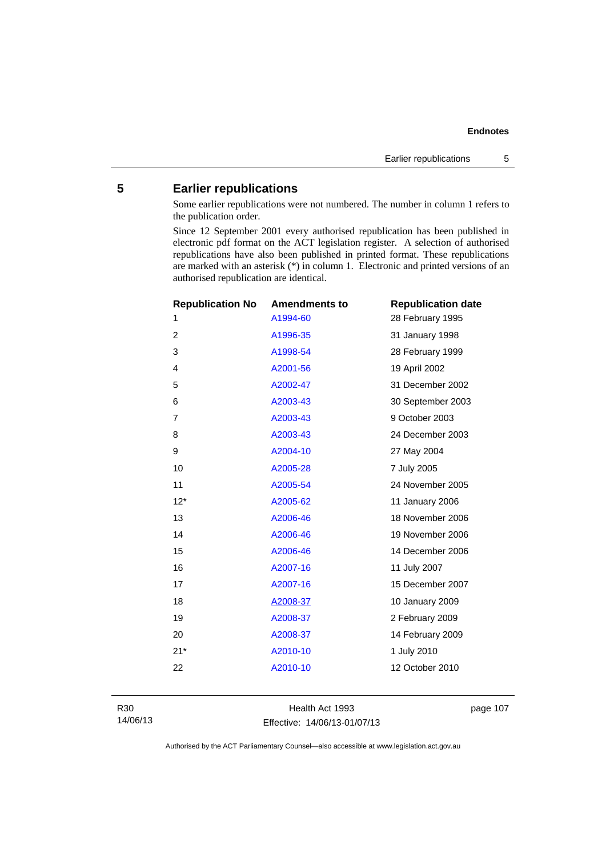# **5 Earlier republications**

Some earlier republications were not numbered. The number in column 1 refers to the publication order.

Since 12 September 2001 every authorised republication has been published in electronic pdf format on the ACT legislation register. A selection of authorised republications have also been published in printed format. These republications are marked with an asterisk (\*) in column 1. Electronic and printed versions of an authorised republication are identical.

| <b>Republication No</b> | <b>Amendments to</b> | <b>Republication date</b> |
|-------------------------|----------------------|---------------------------|
| 1                       | A1994-60             | 28 February 1995          |
| 2                       | A1996-35             | 31 January 1998           |
| 3                       | A1998-54             | 28 February 1999          |
| $\overline{4}$          | A2001-56             | 19 April 2002             |
| 5                       | A2002-47             | 31 December 2002          |
| 6                       | A2003-43             | 30 September 2003         |
| $\overline{7}$          | A2003-43             | 9 October 2003            |
| 8                       | A2003-43             | 24 December 2003          |
| 9                       | A2004-10             | 27 May 2004               |
| 10                      | A2005-28             | 7 July 2005               |
| 11                      | A2005-54             | 24 November 2005          |
| $12*$                   | A2005-62             | 11 January 2006           |
| 13                      | A2006-46             | 18 November 2006          |
| 14                      | A2006-46             | 19 November 2006          |
| 15                      | A2006-46             | 14 December 2006          |
| 16                      | A2007-16             | 11 July 2007              |
| 17                      | A2007-16             | 15 December 2007          |
| 18                      | A2008-37             | 10 January 2009           |
| 19                      | A2008-37             | 2 February 2009           |
| 20                      | A2008-37             | 14 February 2009          |
| $21*$                   | A2010-10             | 1 July 2010               |
| 22                      | A2010-10             | 12 October 2010           |
|                         |                      |                           |

Health Act 1993 Effective: 14/06/13-01/07/13 page 107